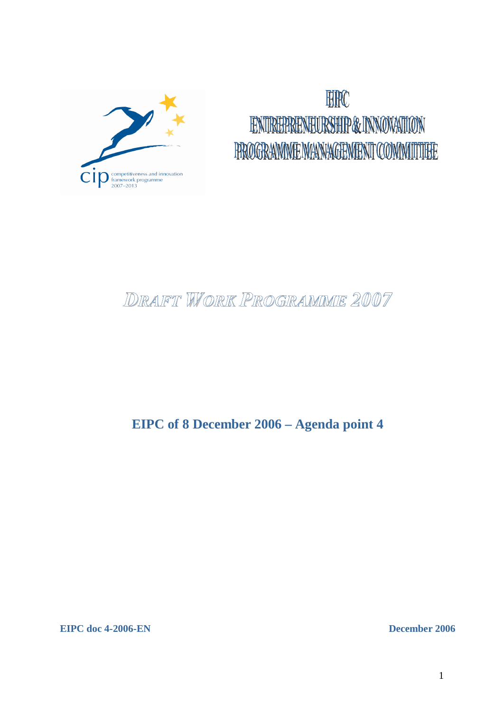

# HRC ENTREFFRENEURSHIP & INNOVATION FROGRAWWE WANAGEWENT COMMITTEE

# *DRAFT WORK PROGRAMME 2007*

**EIPC of 8 December 2006 – Agenda point 4**

**EIPC doc 4-2006-EN December 2006**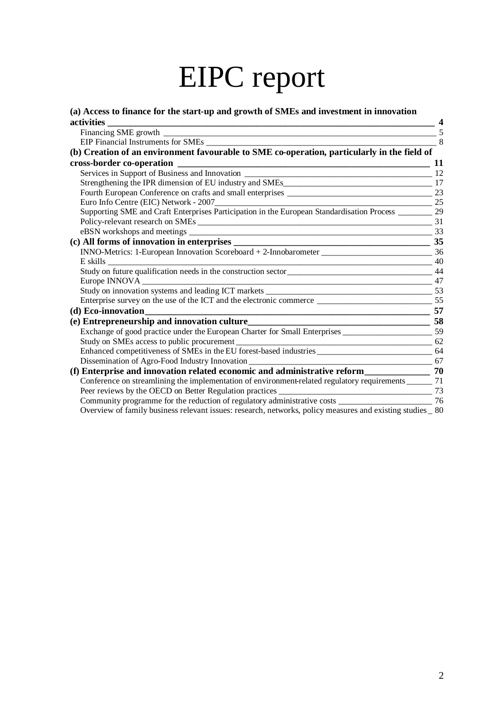# EIPC report

#### **(a) Access to finance for the start-up and growth of SMEs and investment in innovation activities \_\_\_\_\_\_\_\_\_\_\_\_\_\_\_\_\_\_\_\_\_\_\_\_\_\_\_\_\_\_\_\_\_\_\_\_\_\_\_\_\_\_\_\_\_\_\_\_\_\_\_\_\_\_\_\_\_\_\_\_\_\_\_\_\_\_\_\_\_\_ 4** Financing SME growth \_\_\_\_\_\_\_\_\_\_\_\_\_\_\_\_\_\_\_\_\_\_\_\_\_\_\_\_\_\_\_\_\_\_\_\_\_\_\_\_\_\_\_\_\_\_\_\_\_\_\_\_\_\_\_\_\_\_\_\_\_\_\_\_ 5 EIP Financial Instruments for SMEs \_\_\_\_\_\_\_\_\_\_\_\_\_\_\_\_\_\_\_\_\_\_\_\_\_\_\_\_\_\_\_\_\_\_\_\_\_\_\_\_\_\_\_\_\_\_\_\_\_\_\_\_\_\_ 8

| $\circ$ $\circ$                                                                                            |  |
|------------------------------------------------------------------------------------------------------------|--|
| (b) Creation of an environment favourable to SME co-operation, particularly in the field of                |  |
|                                                                                                            |  |
|                                                                                                            |  |
| Strengthening the IPR dimension of EU industry and SMEs                                                    |  |
|                                                                                                            |  |
|                                                                                                            |  |
| Supporting SME and Craft Enterprises Participation in the European Standardisation Process _________ 29    |  |
|                                                                                                            |  |
|                                                                                                            |  |
|                                                                                                            |  |
|                                                                                                            |  |
| $\overline{\phantom{a}100}$ 40                                                                             |  |
|                                                                                                            |  |
|                                                                                                            |  |
|                                                                                                            |  |
|                                                                                                            |  |
|                                                                                                            |  |
|                                                                                                            |  |
| Exchange of good practice under the European Charter for Small Enterprises _________________________ 59    |  |
|                                                                                                            |  |
|                                                                                                            |  |
|                                                                                                            |  |
| (f) Enterprise and innovation related economic and administrative reform<br>20                             |  |
| Conference on streamlining the implementation of environment-related regulatory requirements _______ 71    |  |
|                                                                                                            |  |
|                                                                                                            |  |
| Overview of family business relevant issues: research, networks, policy measures and existing studies _ 80 |  |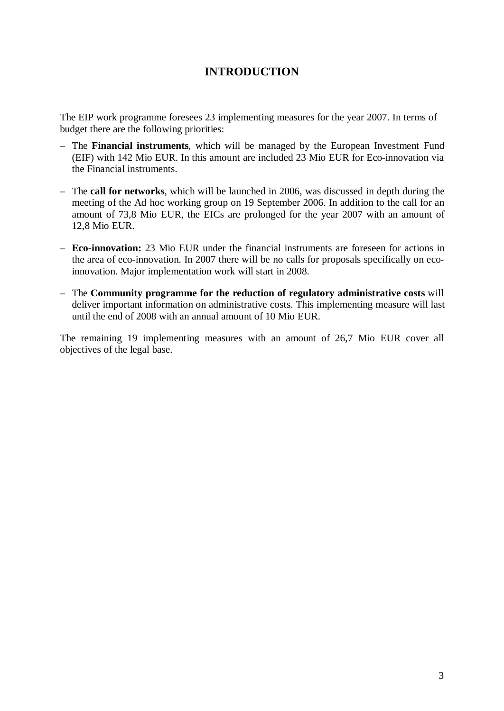# **INTRODUCTION**

The EIP work programme foresees 23 implementing measures for the year 2007. In terms of budget there are the following priorities:

- The **Financial instruments**, which will be managed by the European Investment Fund (EIF) with 142 Mio EUR. In this amount are included 23 Mio EUR for Eco-innovation via the Financial instruments.
- The **call for networks**, which will be launched in 2006, was discussed in depth during the meeting of the Ad hoc working group on 19 September 2006. In addition to the call for an amount of 73,8 Mio EUR, the EICs are prolonged for the year 2007 with an amount of 12,8 Mio EUR.
- **Eco-innovation:** 23 Mio EUR under the financial instruments are foreseen for actions in the area of eco-innovation. In 2007 there will be no calls for proposals specifically on ecoinnovation. Major implementation work will start in 2008.
- The **Community programme for the reduction of regulatory administrative costs** will deliver important information on administrative costs. This implementing measure will last until the end of 2008 with an annual amount of 10 Mio EUR.

The remaining 19 implementing measures with an amount of 26,7 Mio EUR cover all objectives of the legal base.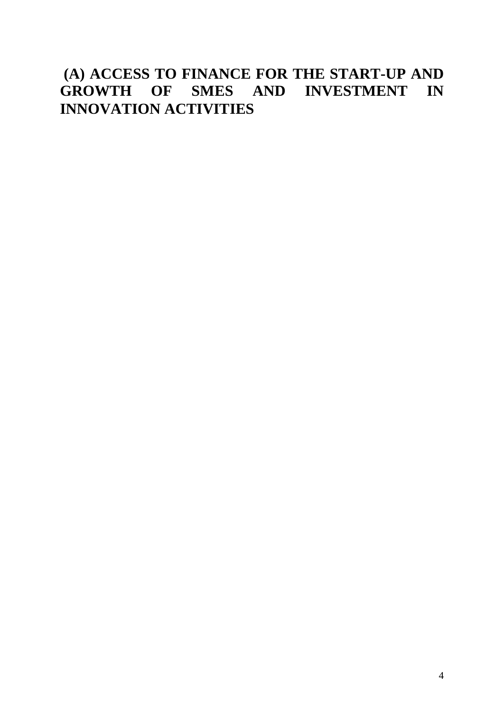# **(A) ACCESS TO FINANCE FOR THE START-UP AND GROWTH OF SMES AND INVESTMENT IN INNOVATION ACTIVITIES**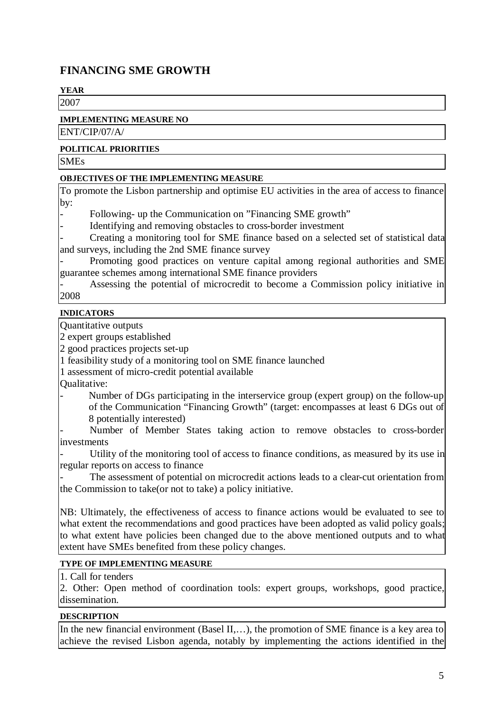# **FINANCING SME GROWTH**

# **YEAR**

2007

#### **IMPLEMENTING MEASURE NO**

ENT/CIP/07/A/

#### **POLITICAL PRIORITIES**

**SMEs** 

#### **OBJECTIVES OF THE IMPLEMENTING MEASURE**

To promote the Lisbon partnership and optimise EU activities in the area of access to finance by:

Following- up the Communication on "Financing SME growth"

Identifying and removing obstacles to cross-border investment

Creating a monitoring tool for SME finance based on a selected set of statistical data and surveys, including the 2nd SME finance survey

Promoting good practices on venture capital among regional authorities and SME guarantee schemes among international SME finance providers

- Assessing the potential of microcredit to become a Commission policy initiative in 2008

#### **INDICATORS**

Quantitative outputs

2 expert groups established

2 good practices projects set-up

1 feasibility study of a monitoring tool on SME finance launched

1 assessment of micro-credit potential available

Qualitative:

Number of DGs participating in the interservice group (expert group) on the follow-up of the Communication "Financing Growth" (target: encompasses at least 6 DGs out of 8 potentially interested)

Number of Member States taking action to remove obstacles to cross-border investments

Utility of the monitoring tool of access to finance conditions, as measured by its use in regular reports on access to finance

The assessment of potential on microcredit actions leads to a clear-cut orientation from the Commission to take(or not to take) a policy initiative.

NB: Ultimately, the effectiveness of access to finance actions would be evaluated to see to what extent the recommendations and good practices have been adopted as valid policy goals; to what extent have policies been changed due to the above mentioned outputs and to what extent have SMEs benefited from these policy changes.

#### **TYPE OF IMPLEMENTING MEASURE**

1. Call for tenders

2. Other: Open method of coordination tools: expert groups, workshops, good practice, dissemination.

#### **DESCRIPTION**

In the new financial environment (Basel II,...), the promotion of SME finance is a key area to achieve the revised Lisbon agenda, notably by implementing the actions identified in the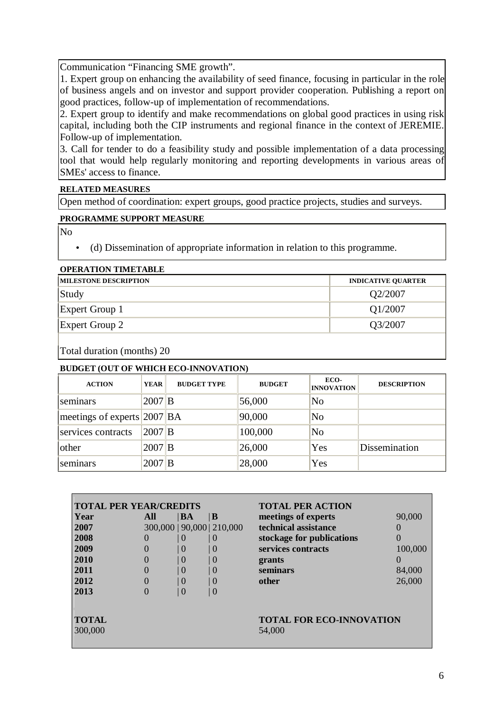Communication "Financing SME growth".

1. Expert group on enhancing the availability of seed finance, focusing in particular in the role of business angels and on investor and support provider cooperation. Publishing a report on good practices, follow-up of implementation of recommendations.

2. Expert group to identify and make recommendations on global good practices in using risk capital, including both the CIP instruments and regional finance in the context of JEREMIE. Follow-up of implementation.

3. Call for tender to do a feasibility study and possible implementation of a data processing tool that would help regularly monitoring and reporting developments in various areas of SMEs' access to finance.

#### **RELATED MEASURES**

Open method of coordination: expert groups, good practice projects, studies and surveys.

#### **PROGRAMME SUPPORT MEASURE**

No

• (d) Dissemination of appropriate information in relation to this programme.

#### **OPERATION TIMETABLE**

| <b>MILESTONE DESCRIPTION</b> | <b>INDICATIVE QUARTER</b> |
|------------------------------|---------------------------|
| Study                        | Q2/2007                   |
| Expert Group 1               | Q1/2007                   |
| Expert Group 2               | Q3/2007                   |

Total duration (months) 20

| <b>ACTION</b>                  | <b>YEAR</b> | <b>BUDGET TYPE</b> | <b>BUDGET</b> | ECO-<br><b>INNOVATION</b> | <b>DESCRIPTION</b> |
|--------------------------------|-------------|--------------------|---------------|---------------------------|--------------------|
| <b>Seminars</b>                | $2007$ B    |                    | 56,000        | No                        |                    |
| meetings of experts $ 2007 BA$ |             |                    | 90,000        | No                        |                    |
| services contracts             | $2007$ B    |                    | 100,000       | No                        |                    |
| other                          | $2007$ B    |                    | 26,000        | Yes                       | Dissemination      |
| seminars                       | $2007$ B    |                    | 28,000        | Yes                       |                    |

|                         | <b>TOTAL PER YEAR/CREDITS</b> |                  |                            | <b>TOTAL PER ACTION</b>                   |                  |
|-------------------------|-------------------------------|------------------|----------------------------|-------------------------------------------|------------------|
| Year                    | All                           | BA               | IВ                         | meetings of experts                       | 90,000           |
| 2007                    |                               |                  | 300,000   90,000   210,000 | technical assistance                      |                  |
| 2008                    | $\theta$                      | $\theta$         | O                          | stockage for publications                 | $\left( \right)$ |
| 2009                    | 0                             | $\theta$         | 0                          | services contracts                        | 100,000          |
| 2010                    | $\mathcal{O}$                 | $\left( \right)$ | $\vert$ ()                 | grants                                    |                  |
| 2011                    |                               | $\theta$         | 0                          | seminars                                  | 84,000           |
| 2012                    |                               | 0                | O                          | other                                     | 26,000           |
| 2013                    |                               | $\theta$         | 0                          |                                           |                  |
| <b>TOTAL</b><br>300,000 |                               |                  |                            | <b>TOTAL FOR ECO-INNOVATION</b><br>54,000 |                  |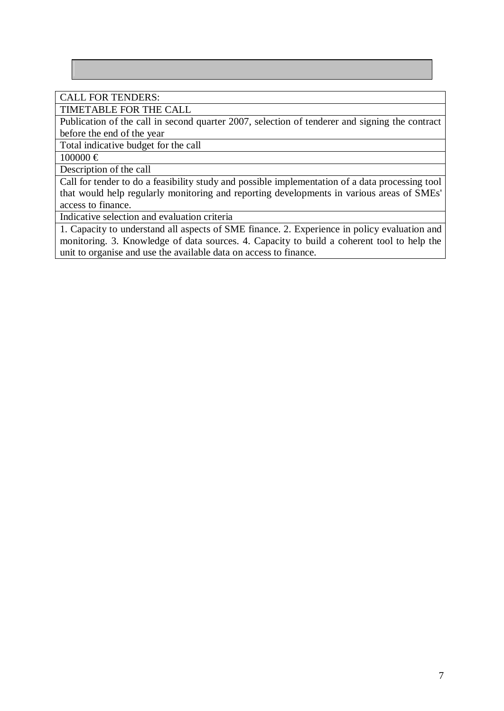#### CALL FOR TENDERS:

TIMETABLE FOR THE CALL

Publication of the call in second quarter 2007, selection of tenderer and signing the contract before the end of the year

Total indicative budget for the call

 $100000 €$ 

Description of the call

Call for tender to do a feasibility study and possible implementation of a data processing tool that would help regularly monitoring and reporting developments in various areas of SMEs' access to finance.

Indicative selection and evaluation criteria

1. Capacity to understand all aspects of SME finance. 2. Experience in policy evaluation and monitoring. 3. Knowledge of data sources. 4. Capacity to build a coherent tool to help the unit to organise and use the available data on access to finance.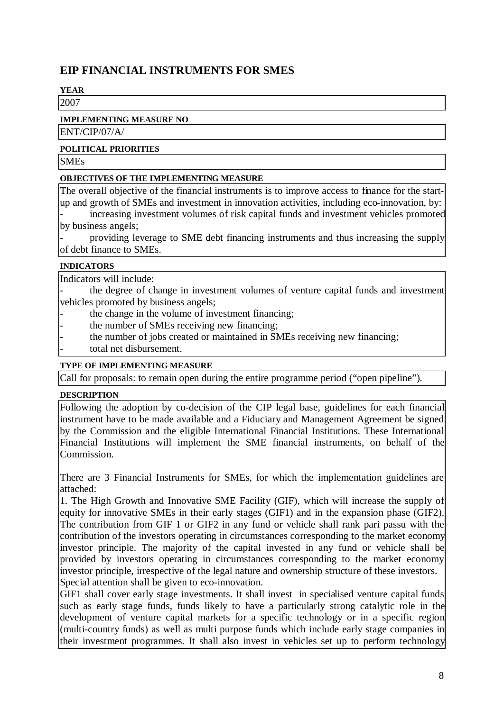# **EIP FINANCIAL INSTRUMENTS FOR SMES**

# **YEAR**

2007

#### **IMPLEMENTING MEASURE NO**

ENT/CIP/07/A/

#### **POLITICAL PRIORITIES**

**SMEs** 

#### **OBJECTIVES OF THE IMPLEMENTING MEASURE**

The overall objective of the financial instruments is to improve access to finance for the startup and growth of SMEs and investment in innovation activities, including eco-innovation, by:

increasing investment volumes of risk capital funds and investment vehicles promoted by business angels;

- providing leverage to SME debt financing instruments and thus increasing the supply of debt finance to SMEs.

#### **INDICATORS**

Indicators will include:

the degree of change in investment volumes of venture capital funds and investment vehicles promoted by business angels;

- the change in the volume of investment financing;
- the number of SMEs receiving new financing;
- the number of jobs created or maintained in SMEs receiving new financing;
- total net disbursement.

#### **TYPE OF IMPLEMENTING MEASURE**

Call for proposals: to remain open during the entire programme period ("open pipeline").

#### **DESCRIPTION**

Following the adoption by co-decision of the CIP legal base, guidelines for each financial instrument have to be made available and a Fiduciary and Management Agreement be signed by the Commission and the eligible International Financial Institutions. These International Financial Institutions will implement the SME financial instruments, on behalf of the Commission.

There are 3 Financial Instruments for SMEs, for which the implementation guidelines are attached:

1. The High Growth and Innovative SME Facility (GIF), which will increase the supply of equity for innovative SMEs in their early stages (GIF1) and in the expansion phase (GIF2). The contribution from GIF 1 or GIF2 in any fund or vehicle shall rank pari passu with the contribution of the investors operating in circumstances corresponding to the market economy investor principle. The majority of the capital invested in any fund or vehicle shall be provided by investors operating in circumstances corresponding to the market economy investor principle, irrespective of the legal nature and ownership structure of these investors. Special attention shall be given to eco-innovation.

GIF1 shall cover early stage investments. It shall invest in specialised venture capital funds such as early stage funds, funds likely to have a particularly strong catalytic role in the development of venture capital markets for a specific technology or in a specific region (multi-country funds) as well as multi purpose funds which include early stage companies in their investment programmes. It shall also invest in vehicles set up to perform technology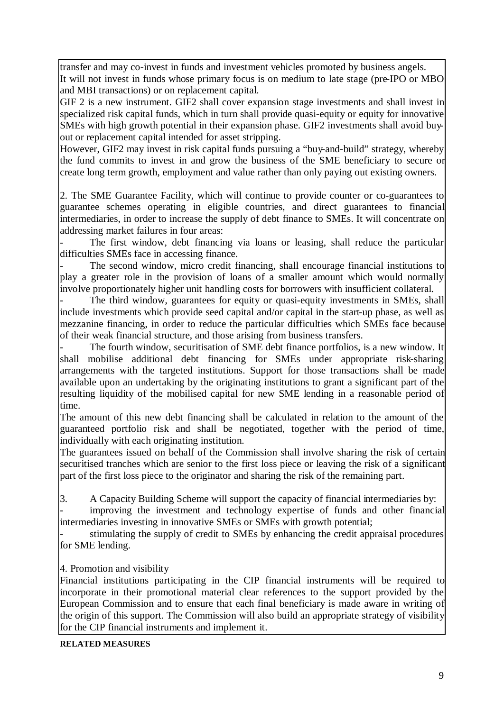transfer and may co-invest in funds and investment vehicles promoted by business angels. It will not invest in funds whose primary focus is on medium to late stage (pre-IPO or MBO and MBI transactions) or on replacement capital.

GIF 2 is a new instrument. GIF2 shall cover expansion stage investments and shall invest in specialized risk capital funds, which in turn shall provide quasi-equity or equity for innovative SMEs with high growth potential in their expansion phase. GIF2 investments shall avoid buyout or replacement capital intended for asset stripping.

However, GIF2 may invest in risk capital funds pursuing a "buy-and-build" strategy, whereby the fund commits to invest in and grow the business of the SME beneficiary to secure or create long term growth, employment and value rather than only paying out existing owners.

2. The SME Guarantee Facility, which will continue to provide counter or co-guarantees to guarantee schemes operating in eligible countries, and direct guarantees to financial intermediaries, in order to increase the supply of debt finance to SMEs. It will concentrate on addressing market failures in four areas:

The first window, debt financing via loans or leasing, shall reduce the particular difficulties SMEs face in accessing finance.

The second window, micro credit financing, shall encourage financial institutions to play a greater role in the provision of loans of a smaller amount which would normally involve proportionately higher unit handling costs for borrowers with insufficient collateral.

The third window, guarantees for equity or quasi-equity investments in SMEs, shall include investments which provide seed capital and/or capital in the start-up phase, as well as mezzanine financing, in order to reduce the particular difficulties which SMEs face because of their weak financial structure, and those arising from business transfers.

The fourth window, securitisation of SME debt finance portfolios, is a new window. It shall mobilise additional debt financing for SMEs under appropriate risk-sharing arrangements with the targeted institutions. Support for those transactions shall be made available upon an undertaking by the originating institutions to grant a significant part of the resulting liquidity of the mobilised capital for new SME lending in a reasonable period of time.

The amount of this new debt financing shall be calculated in relation to the amount of the guaranteed portfolio risk and shall be negotiated, together with the period of time, individually with each originating institution.

The guarantees issued on behalf of the Commission shall involve sharing the risk of certain securitised tranches which are senior to the first loss piece or leaving the risk of a significant part of the first loss piece to the originator and sharing the risk of the remaining part.

3. A Capacity Building Scheme will support the capacity of financial intermediaries by:

improving the investment and technology expertise of funds and other financial intermediaries investing in innovative SMEs or SMEs with growth potential;

stimulating the supply of credit to SMEs by enhancing the credit appraisal procedures for SME lending.

# 4. Promotion and visibility

Financial institutions participating in the CIP financial instruments will be required to incorporate in their promotional material clear references to the support provided by the European Commission and to ensure that each final beneficiary is made aware in writing of the origin of this support. The Commission will also build an appropriate strategy of visibility for the CIP financial instruments and implement it.

**RELATED MEASURES**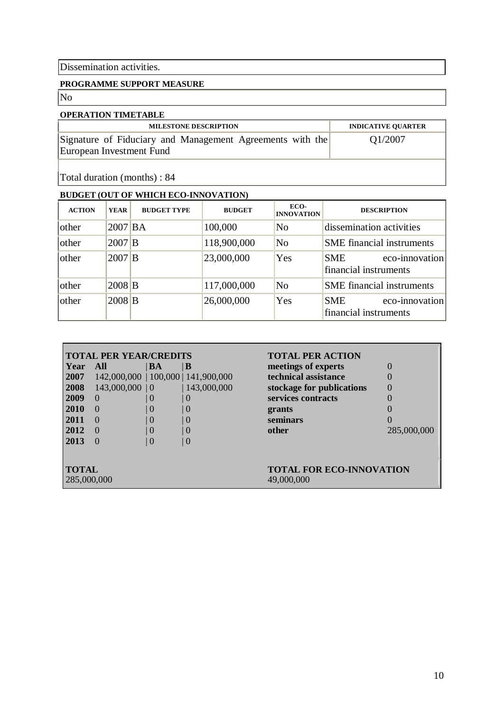Dissemination activities.

#### **PROGRAMME SUPPORT MEASURE**

No

|  |  |  | <b>OPERATION TIMETABLE</b> |  |
|--|--|--|----------------------------|--|
|--|--|--|----------------------------|--|

| <b>MILESTONE DESCRIPTION</b>                                                          | <b>INDICATIVE QUARTER</b> |
|---------------------------------------------------------------------------------------|---------------------------|
| Signature of Fiduciary and Management Agreements with the<br>European Investment Fund | Q1/2007                   |
|                                                                                       |                           |

Total duration (months) : 84

| <b>ACTION</b> | <b>YEAR</b> | <b>BUDGET TYPE</b> | <b>BUDGET</b> | ECO-<br><b>INNOVATION</b> | <b>DESCRIPTION</b>                                    |
|---------------|-------------|--------------------|---------------|---------------------------|-------------------------------------------------------|
| other         | $2007$ BA   |                    | 100,000       | No                        | dissemination activities                              |
| other         | 2007 B      |                    | 118,900,000   | No                        | <b>SME</b> financial instruments                      |
| other         | $2007$ B    |                    | 23,000,000    | Yes                       | eco-innovation<br><b>SME</b><br>financial instruments |
| other         | $2008$ B    |                    | 117,000,000   | No                        | <b>SME</b> financial instruments                      |
| other         | $2008$ B    |                    | 26,000,000    | Yes                       | eco-innovation<br><b>SME</b><br>financial instruments |

|                             | <b>TOTAL PER YEAR/CREDITS</b> |           |                                     | <b>TOTAL PER ACTION</b>                       |                  |
|-----------------------------|-------------------------------|-----------|-------------------------------------|-----------------------------------------------|------------------|
| Year                        | - All                         | <b>BA</b> | IВ                                  | meetings of experts                           |                  |
| 2007                        |                               |           | 142,000,000   100,000   141,900,000 | technical assistance                          |                  |
| <b>2008</b>                 | $143,000,000 \mid 0$          |           | 143,000,000                         | stockage for publications                     | $\left( \right)$ |
| 2009                        | $\theta$                      | $\theta$  | O                                   | services contracts                            |                  |
| <b>2010</b>                 | $\Omega$                      | $\theta$  | ()                                  | grants                                        |                  |
| 2011                        | $\Omega$                      | $\theta$  | ()                                  | seminars                                      |                  |
| 2012                        | $\Omega$                      | $\Omega$  | $\mid 0$                            | other                                         | 285,000,000      |
| 2013                        | $\Omega$                      | $\theta$  | -0                                  |                                               |                  |
|                             |                               |           |                                     |                                               |                  |
| <b>TOTAL</b><br>285,000,000 |                               |           |                                     | <b>TOTAL FOR ECO-INNOVATION</b><br>49,000,000 |                  |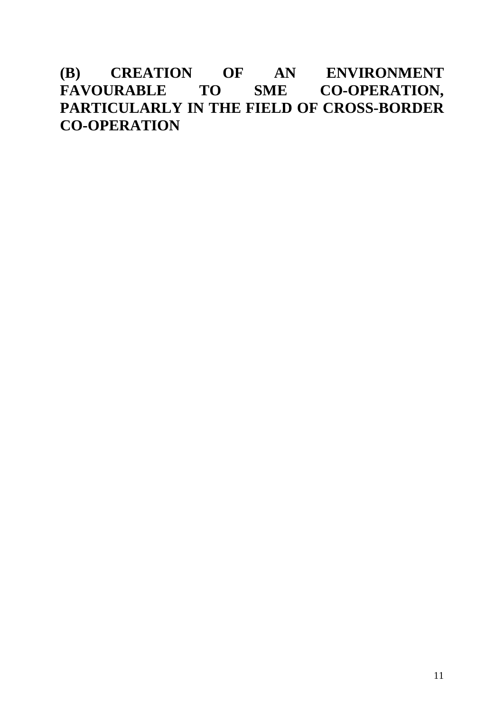# **(B) CREATION OF AN ENVIRONMENT FAVOURABLE TO SME CO-OPERATION, PARTICULARLY IN THE FIELD OF CROSS-BORDER CO-OPERATION**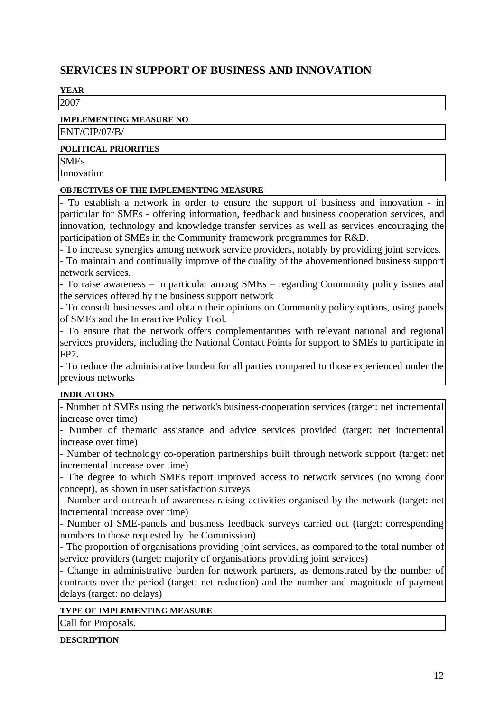# **SERVICES IN SUPPORT OF BUSINESS AND INNOVATION**

**YEAR** 2007

**IMPLEMENTING MEASURE NO**

ENT/CIP/07/B/

#### **POLITICAL PRIORITIES**

SMEs

Innovation

#### **OBJECTIVES OF THE IMPLEMENTING MEASURE**

- To establish a network in order to ensure the support of business and innovation - in particular for SMEs - offering information, feedback and business cooperation services, and innovation, technology and knowledge transfer services as well as services encouraging the participation of SMEs in the Community framework programmes for R&D.

- To increase synergies among network service providers, notably by providing joint services.

- To maintain and continually improve of the quality of the abovementioned business support network services.

- To raise awareness – in particular among SMEs – regarding Community policy issues and the services offered by the business support network

- To consult businesses and obtain their opinions on Community policy options, using panels of SMEs and the Interactive Policy Tool.

- To ensure that the network offers complementarities with relevant national and regional services providers, including the National Contact Points for support to SMEs to participate in FP7.

- To reduce the administrative burden for all parties compared to those experienced under the previous networks

#### **INDICATORS**

- Number of SMEs using the network's business-cooperation services (target: net incremental increase over time)

- Number of thematic assistance and advice services provided (target: net incremental increase over time)

- Number of technology co-operation partnerships built through network support (target: net incremental increase over time)

- The degree to which SMEs report improved access to network services (no wrong door concept), as shown in user satisfaction surveys

- Number and outreach of awareness-raising activities organised by the network (target: net incremental increase over time)

- Number of SME-panels and business feedback surveys carried out (target: corresponding numbers to those requested by the Commission)

- The proportion of organisations providing joint services, as compared to the total number of service providers (target: majority of organisations providing joint services)

- Change in administrative burden for network partners, as demonstrated by the number of contracts over the period (target: net reduction) and the number and magnitude of payment delays (target: no delays)

#### **TYPE OF IMPLEMENTING MEASURE**

Call for Proposals.

#### **DESCRIPTION**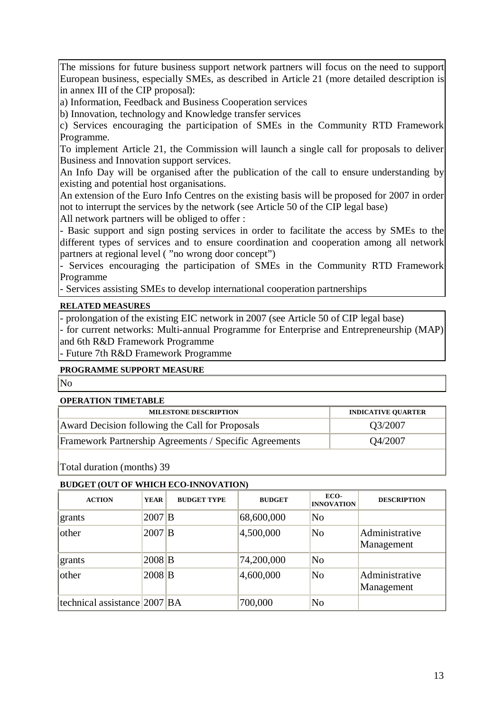The missions for future business support network partners will focus on the need to support European business, especially SMEs, as described in Article 21 (more detailed description is in annex III of the CIP proposal):

a) Information, Feedback and Business Cooperation services

b) Innovation, technology and Knowledge transfer services

c) Services encouraging the participation of SMEs in the Community RTD Framework Programme.

To implement Article 21, the Commission will launch a single call for proposals to deliver Business and Innovation support services.

An Info Day will be organised after the publication of the call to ensure understanding by existing and potential host organisations.

An extension of the Euro Info Centres on the existing basis will be proposed for 2007 in order not to interrupt the services by the network (see Article 50 of the CIP legal base)

All network partners will be obliged to offer :

- Basic support and sign posting services in order to facilitate the access by SMEs to the different types of services and to ensure coordination and cooperation among all network partners at regional level ( "no wrong door concept")

- Services encouraging the participation of SMEs in the Community RTD Framework Programme

- Services assisting SMEs to develop international cooperation partnerships

#### **RELATED MEASURES**

- prolongation of the existing EIC network in 2007 (see Article 50 of CIP legal base)

- for current networks: Multi-annual Programme for Enterprise and Entrepreneurship (MAP) and 6th R&D Framework Programme

- Future 7th R&D Framework Programme

#### **PROGRAMME SUPPORT MEASURE**

No

#### **OPERATION TIMETABLE**

| <b>MILESTONE DESCRIPTION</b>                           | <b>INDICATIVE QUARTER</b> |
|--------------------------------------------------------|---------------------------|
| Award Decision following the Call for Proposals        | Q3/2007                   |
| Framework Partnership Agreements / Specific Agreements | Q4/2007                   |

Total duration (months) 39

| <b>ACTION</b>                | <b>YEAR</b> | <b>BUDGET TYPE</b> | <b>BUDGET</b> | ECO-<br><b>INNOVATION</b> | <b>DESCRIPTION</b>           |
|------------------------------|-------------|--------------------|---------------|---------------------------|------------------------------|
| grants                       | $2007$ B    |                    | 68,600,000    | No                        |                              |
| other                        | $2007$ B    |                    | 4,500,000     | N <sub>0</sub>            | Administrative<br>Management |
| grants                       | $2008$ B    |                    | 74,200,000    | No                        |                              |
| other                        | $2008$ B    |                    | 4,600,000     | No                        | Administrative<br>Management |
| technical assistance 2007 BA |             |                    | 700,000       | No                        |                              |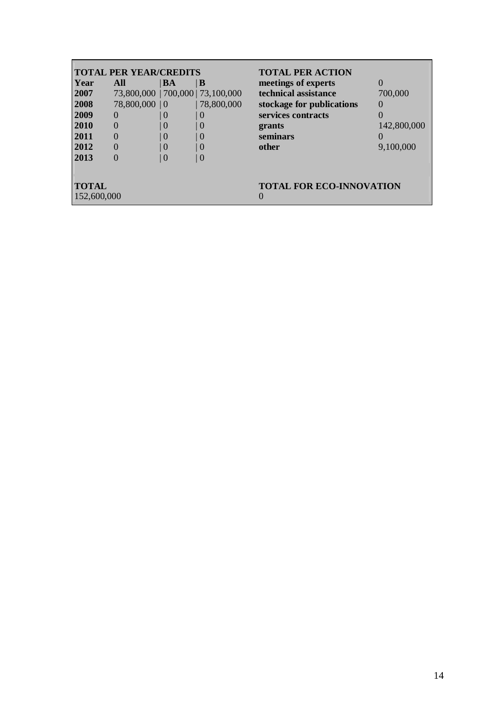|                             | <b>TOTAL PER YEAR/CREDITS</b> |          |                                   | <b>TOTAL PER ACTION</b>                          |                  |
|-----------------------------|-------------------------------|----------|-----------------------------------|--------------------------------------------------|------------------|
| <b>Year</b>                 | All                           | BA       | B                                 | meetings of experts                              | $\left( \right)$ |
| 2007                        |                               |          | 73,800,000   700,000   73,100,000 | technical assistance                             | 700,000          |
| 2008                        | 78,800,000   0                |          | 78,800,000                        | stockage for publications                        |                  |
| 2009                        | $\theta$                      | $\theta$ | -0                                | services contracts                               |                  |
| 2010                        | $\theta$                      | $\theta$ | $\theta$                          | grants                                           | 142,800,000      |
| 2011                        | $\theta$                      | $\bf{0}$ | 0                                 | seminars                                         |                  |
| 2012                        | $\theta$                      | $\Omega$ | $\overline{0}$                    | other                                            | 9,100,000        |
| 2013                        | $\left( \right)$              | $\theta$ | 0                                 |                                                  |                  |
| <b>TOTAL</b><br>152,600,000 |                               |          |                                   | <b>TOTAL FOR ECO-INNOVATION</b><br>$\mathcal{O}$ |                  |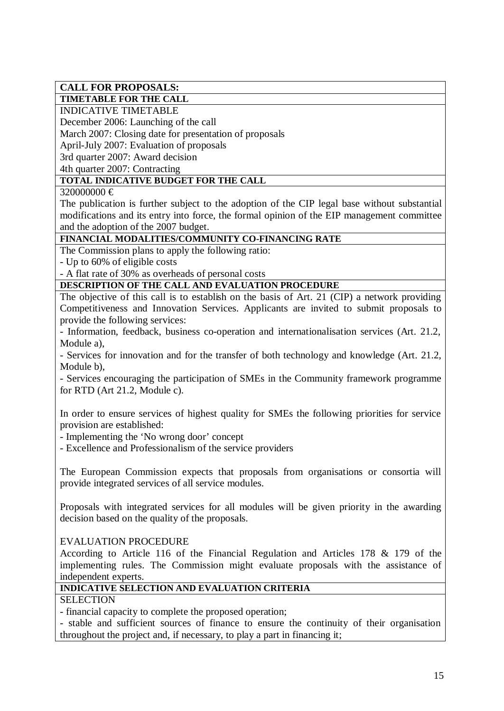# **CALL FOR PROPOSALS:**

#### **TIMETABLE FOR THE CALL**

INDICATIVE TIMETABLE

December 2006: Launching of the call

March 2007: Closing date for presentation of proposals

April-July 2007: Evaluation of proposals

3rd quarter 2007: Award decision

4th quarter 2007: Contracting

# **TOTAL INDICATIVE BUDGET FOR THE CALL**

#### 320000000 €

The publication is further subject to the adoption of the CIP legal base without substantial modifications and its entry into force, the formal opinion of the EIP management committee and the adoption of the 2007 budget.

#### **FINANCIAL MODALITIES/COMMUNITY CO-FINANCING RATE**

The Commission plans to apply the following ratio:

- Up to 60% of eligible costs

- A flat rate of 30% as overheads of personal costs

## **DESCRIPTION OF THE CALL AND EVALUATION PROCEDURE**

The objective of this call is to establish on the basis of Art. 21 (CIP) a network providing Competitiveness and Innovation Services. Applicants are invited to submit proposals to provide the following services:

- Information, feedback, business co-operation and internationalisation services (Art. 21.2, Module a),

- Services for innovation and for the transfer of both technology and knowledge (Art. 21.2, Module b),

- Services encouraging the participation of SMEs in the Community framework programme for RTD (Art 21.2, Module c).

In order to ensure services of highest quality for SMEs the following priorities for service provision are established:

- Implementing the 'No wrong door' concept

- Excellence and Professionalism of the service providers

The European Commission expects that proposals from organisations or consortia will provide integrated services of all service modules.

Proposals with integrated services for all modules will be given priority in the awarding decision based on the quality of the proposals.

#### EVALUATION PROCEDURE

According to Article 116 of the Financial Regulation and Articles 178 & 179 of the implementing rules. The Commission might evaluate proposals with the assistance of independent experts.

# **INDICATIVE SELECTION AND EVALUATION CRITERIA**

#### **SELECTION**

- financial capacity to complete the proposed operation;

- stable and sufficient sources of finance to ensure the continuity of their organisation throughout the project and, if necessary, to play a part in financing it;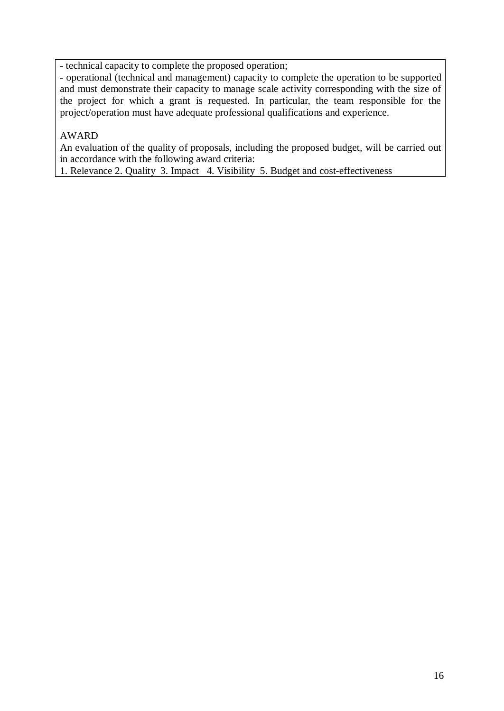- technical capacity to complete the proposed operation;

- operational (technical and management) capacity to complete the operation to be supported and must demonstrate their capacity to manage scale activity corresponding with the size of the project for which a grant is requested. In particular, the team responsible for the project/operation must have adequate professional qualifications and experience.

## AWARD

An evaluation of the quality of proposals, including the proposed budget, will be carried out in accordance with the following award criteria:

1. Relevance 2. Quality 3. Impact 4. Visibility 5. Budget and cost-effectiveness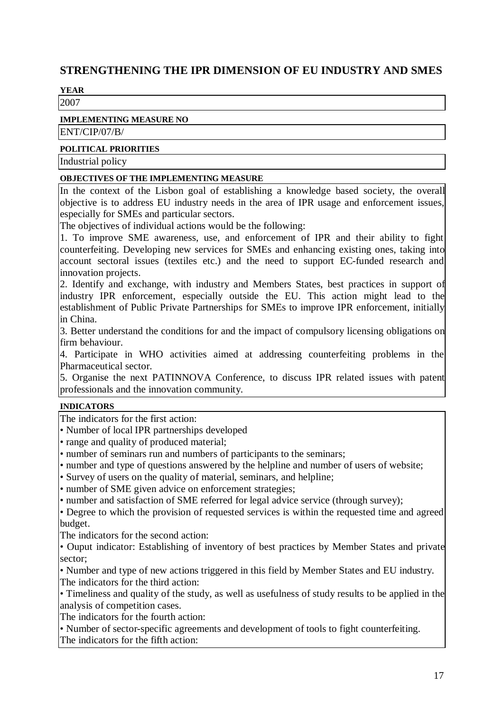# **STRENGTHENING THE IPR DIMENSION OF EU INDUSTRY AND SMES**

# **YEAR**

2007

#### **IMPLEMENTING MEASURE NO**

ENT/CIP/07/B/

#### **POLITICAL PRIORITIES**

Industrial policy

#### **OBJECTIVES OF THE IMPLEMENTING MEASURE**

In the context of the Lisbon goal of establishing a knowledge based society, the overall objective is to address EU industry needs in the area of IPR usage and enforcement issues, especially for SMEs and particular sectors.

The objectives of individual actions would be the following:

1. To improve SME awareness, use, and enforcement of IPR and their ability to fight counterfeiting. Developing new services for SMEs and enhancing existing ones, taking into account sectoral issues (textiles etc.) and the need to support EC-funded research and innovation projects.

2. Identify and exchange, with industry and Members States, best practices in support of industry IPR enforcement, especially outside the EU. This action might lead to the establishment of Public Private Partnerships for SMEs to improve IPR enforcement, initially in China.

3. Better understand the conditions for and the impact of compulsory licensing obligations on firm behaviour.

4. Participate in WHO activities aimed at addressing counterfeiting problems in the Pharmaceutical sector.

5. Organise the next PATINNOVA Conference, to discuss IPR related issues with patent professionals and the innovation community.

#### **INDICATORS**

The indicators for the first action:

• Number of local IPR partnerships developed

• range and quality of produced material;

• number of seminars run and numbers of participants to the seminars;

• number and type of questions answered by the helpline and number of users of website;

• Survey of users on the quality of material, seminars, and helpline;

• number of SME given advice on enforcement strategies;

• number and satisfaction of SME referred for legal advice service (through survey);

• Degree to which the provision of requested services is within the requested time and agreed budget.

The indicators for the second action:

• Ouput indicator: Establishing of inventory of best practices by Member States and private sector;

• Number and type of new actions triggered in this field by Member States and EU industry. The indicators for the third action:

• Timeliness and quality of the study, as well as usefulness of study results to be applied in the analysis of competition cases.

The indicators for the fourth action:

• Number of sector-specific agreements and development of tools to fight counterfeiting. The indicators for the fifth action: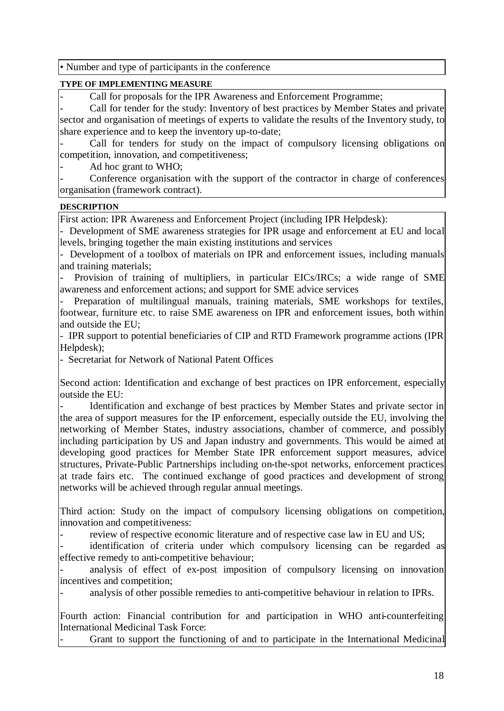• Number and type of participants in the conference

#### **TYPE OF IMPLEMENTING MEASURE**

Call for proposals for the IPR Awareness and Enforcement Programme;

Call for tender for the study: Inventory of best practices by Member States and private sector and organisation of meetings of experts to validate the results of the Inventory study, to share experience and to keep the inventory up-to-date;

Call for tenders for study on the impact of compulsory licensing obligations on competition, innovation, and competitiveness;

Ad hoc grant to WHO;

- Conference organisation with the support of the contractor in charge of conferences organisation (framework contract).

#### **DESCRIPTION**

First action: IPR Awareness and Enforcement Project (including IPR Helpdesk):

- Development of SME awareness strategies for IPR usage and enforcement at EU and local levels, bringing together the main existing institutions and services

- Development of a toolbox of materials on IPR and enforcement issues, including manuals and training materials;

Provision of training of multipliers, in particular EICs/IRCs; a wide range of SME awareness and enforcement actions; and support for SME advice services

Preparation of multilingual manuals, training materials, SME workshops for textiles, footwear, furniture etc. to raise SME awareness on IPR and enforcement issues, both within and outside the EU;

- IPR support to potential beneficiaries of CIP and RTD Framework programme actions (IPR Helpdesk);

- Secretariat for Network of National Patent Offices

Second action: Identification and exchange of best practices on IPR enforcement, especially outside the EU:

Identification and exchange of best practices by Member States and private sector in the area of support measures for the IP enforcement, especially outside the EU, involving the networking of Member States, industry associations, chamber of commerce, and possibly including participation by US and Japan industry and governments. This would be aimed at developing good practices for Member State IPR enforcement support measures, advice structures, Private-Public Partnerships including on-the-spot networks, enforcement practices at trade fairs etc. The continued exchange of good practices and development of strong networks will be achieved through regular annual meetings.

Third action: Study on the impact of compulsory licensing obligations on competition, innovation and competitiveness:

review of respective economic literature and of respective case law in EU and US;

identification of criteria under which compulsory licensing can be regarded as effective remedy to anti-competitive behaviour;

analysis of effect of ex-post imposition of compulsory licensing on innovation incentives and competition;

- analysis of other possible remedies to anti-competitive behaviour in relation to IPRs.

Fourth action: Financial contribution for and participation in WHO anti-counterfeiting International Medicinal Task Force:

Grant to support the functioning of and to participate in the International Medicinal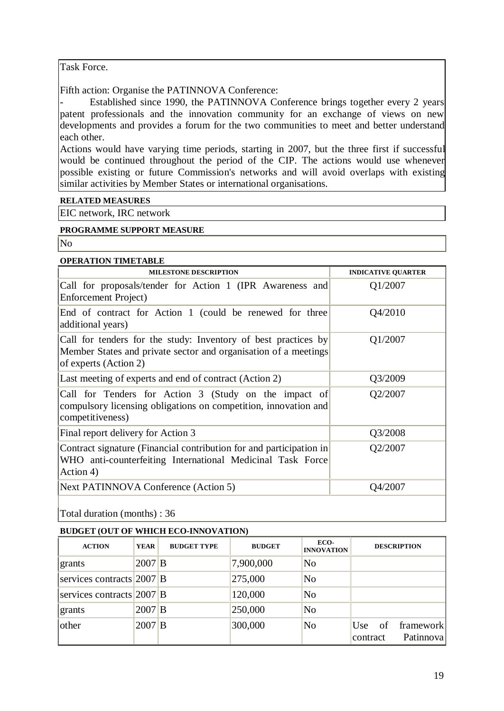Task Force.

Fifth action: Organise the PATINNOVA Conference:

Established since 1990, the PATINNOVA Conference brings together every 2 years patent professionals and the innovation community for an exchange of views on new developments and provides a forum for the two communities to meet and better understand each other.

Actions would have varying time periods, starting in 2007, but the three first if successful would be continued throughout the period of the CIP. The actions would use whenever possible existing or future Commission's networks and will avoid overlaps with existing similar activities by Member States or international organisations.

#### **RELATED MEASURES**

EIC network, IRC network

#### **PROGRAMME SUPPORT MEASURE**

No

| <b>OPERATION TIMETABLE</b>                                                                                                                                 |                           |
|------------------------------------------------------------------------------------------------------------------------------------------------------------|---------------------------|
| <b>MILESTONE DESCRIPTION</b>                                                                                                                               | <b>INDICATIVE QUARTER</b> |
| Call for proposals/tender for Action 1 (IPR Awareness and<br><b>Enforcement Project</b> )                                                                  | Q1/2007                   |
| End of contract for Action 1 (could be renewed for three<br>additional years)                                                                              | Q4/2010                   |
| Call for tenders for the study: Inventory of best practices by<br>Member States and private sector and organisation of a meetings<br>of experts (Action 2) | Q1/2007                   |
| Last meeting of experts and end of contract (Action 2)                                                                                                     | Q3/2009                   |
| Call for Tenders for Action 3 (Study on the impact of<br>compulsory licensing obligations on competition, innovation and<br>competitiveness)               | Q2/2007                   |
| Final report delivery for Action 3                                                                                                                         | Q3/2008                   |
| Contract signature (Financial contribution for and participation in<br>WHO anti-counterfeiting International Medicinal Task Force<br>Action 4)             | Q2/2007                   |
| Next PATINNOVA Conference (Action 5)                                                                                                                       | Q4/2007                   |
|                                                                                                                                                            |                           |

Total duration (months) : 36

| <b>ACTION</b>                       | <b>YEAR</b> | <b>BUDGET TYPE</b> | <b>BUDGET</b> | ECO-<br><b>INNOVATION</b> |                               | <b>DESCRIPTION</b>     |
|-------------------------------------|-------------|--------------------|---------------|---------------------------|-------------------------------|------------------------|
| grants                              | 2007 B      |                    | 7,900,000     | N <sub>o</sub>            |                               |                        |
| services contracts $2007 \text{ B}$ |             |                    | 275,000       | N <sub>o</sub>            |                               |                        |
| services contracts 2007 B           |             |                    | 120,000       | N <sub>o</sub>            |                               |                        |
| grants                              | 2007 B      |                    | 250,000       | N <sub>o</sub>            |                               |                        |
| other                               | 2007 B      |                    | 300,000       | N <sub>o</sub>            | Use  <br>$\sigma$<br>contract | framework<br>Patinnova |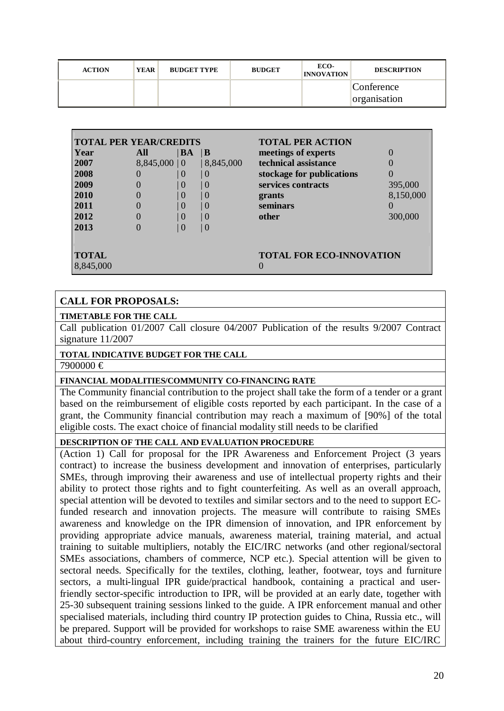| <b>ACTION</b> | <b>YEAR</b> | <b>BUDGET TYPE</b> | <b>BUDGET</b> | ECO-<br><b>INNOVATION</b> | <b>DESCRIPTION</b>         |
|---------------|-------------|--------------------|---------------|---------------------------|----------------------------|
|               |             |                    |               |                           | Conference<br>organisation |

|              | <b>TOTAL PER YEAR/CREDITS</b> |                  |           | <b>TOTAL PER ACTION</b>         |           |
|--------------|-------------------------------|------------------|-----------|---------------------------------|-----------|
| <b>Year</b>  | All                           | BA               | IВ        | meetings of experts             |           |
| 2007         | $8,845,000 \mid 0$            |                  | 8,845,000 | technical assistance            |           |
| 2008         | $\theta$                      | $\theta$         | 0         | stockage for publications       |           |
| 2009         | $\theta$                      | 0                | 0         | services contracts              | 395,000   |
| 2010         |                               | $\overline{0}$   | 0         | grants                          | 8,150,000 |
| 2011         |                               | $\Omega$         | $\theta$  | seminars                        |           |
| 2012         | $\left( \right)$              | $\left( \right)$ | 0         | other                           | 300,000   |
| 2013         |                               | $\Omega$         | 0         |                                 |           |
|              |                               |                  |           |                                 |           |
| <b>TOTAL</b> |                               |                  |           | <b>TOTAL FOR ECO-INNOVATION</b> |           |
| 8,845,000    |                               |                  |           |                                 |           |

#### **CALL FOR PROPOSALS:**

#### **TIMETABLE FOR THE CALL**

Call publication 01/2007 Call closure 04/2007 Publication of the results 9/2007 Contract signature 11/2007

#### **TOTAL INDICATIVE BUDGET FOR THE CALL**

#### 7900000 €

#### **FINANCIAL MODALITIES/COMMUNITY CO-FINANCING RATE**

The Community financial contribution to the project shall take the form of a tender or a grant based on the reimbursement of eligible costs reported by each participant. In the case of a grant, the Community financial contribution may reach a maximum of [90%] of the total eligible costs. The exact choice of financial modality still needs to be clarified

#### **DESCRIPTION OF THE CALL AND EVALUATION PROCEDURE**

(Action 1) Call for proposal for the IPR Awareness and Enforcement Project (3 years contract) to increase the business development and innovation of enterprises, particularly SMEs, through improving their awareness and use of intellectual property rights and their ability to protect those rights and to fight counterfeiting. As well as an overall approach, special attention will be devoted to textiles and similar sectors and to the need to support ECfunded research and innovation projects. The measure will contribute to raising SMEs awareness and knowledge on the IPR dimension of innovation, and IPR enforcement by providing appropriate advice manuals, awareness material, training material, and actual training to suitable multipliers, notably the EIC/IRC networks (and other regional/sectoral SMEs associations, chambers of commerce, NCP etc.). Special attention will be given to sectoral needs. Specifically for the textiles, clothing, leather, footwear, toys and furniture sectors, a multi-lingual IPR guide/practical handbook, containing a practical and userfriendly sector-specific introduction to IPR, will be provided at an early date, together with 25-30 subsequent training sessions linked to the guide. A IPR enforcement manual and other specialised materials, including third country IP protection guides to China, Russia etc., will be prepared. Support will be provided for workshops to raise SME awareness within the EU about third-country enforcement, including training the trainers for the future EIC/IRC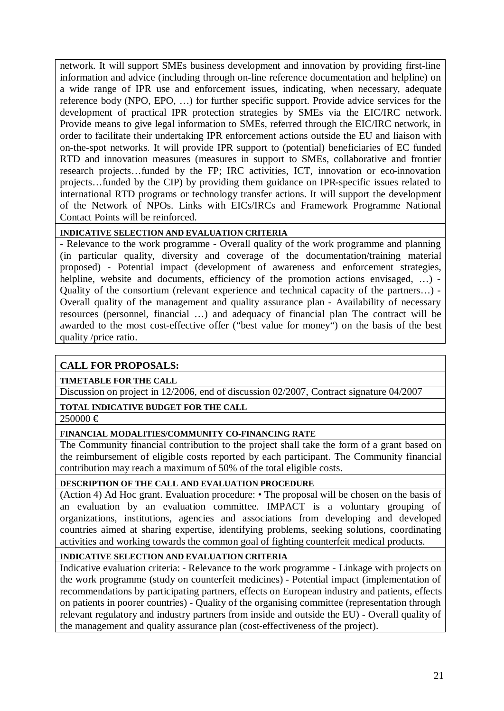network. It will support SMEs business development and innovation by providing first-line information and advice (including through on-line reference documentation and helpline) on a wide range of IPR use and enforcement issues, indicating, when necessary, adequate reference body (NPO, EPO, …) for further specific support. Provide advice services for the development of practical IPR protection strategies by SMEs via the EIC/IRC network. Provide means to give legal information to SMEs, referred through the EIC/IRC network, in order to facilitate their undertaking IPR enforcement actions outside the EU and liaison with on-the-spot networks. It will provide IPR support to (potential) beneficiaries of EC funded RTD and innovation measures (measures in support to SMEs, collaborative and frontier research projects…funded by the FP; IRC activities, ICT, innovation or eco-innovation projects…funded by the CIP) by providing them guidance on IPR-specific issues related to international RTD programs or technology transfer actions. It will support the development of the Network of NPOs. Links with EICs/IRCs and Framework Programme National Contact Points will be reinforced.

#### **INDICATIVE SELECTION AND EVALUATION CRITERIA**

- Relevance to the work programme - Overall quality of the work programme and planning (in particular quality, diversity and coverage of the documentation/training material proposed) - Potential impact (development of awareness and enforcement strategies, helpline, website and documents, efficiency of the promotion actions envisaged, ...) -Quality of the consortium (relevant experience and technical capacity of the partners…) - Overall quality of the management and quality assurance plan - Availability of necessary resources (personnel, financial …) and adequacy of financial plan The contract will be awarded to the most cost-effective offer ("best value for money") on the basis of the best quality /price ratio.

#### **CALL FOR PROPOSALS:**

#### **TIMETABLE FOR THE CALL**

Discussion on project in 12/2006, end of discussion 02/2007, Contract signature 04/2007

#### **TOTAL INDICATIVE BUDGET FOR THE CALL**

 $250000 \in$ 

#### **FINANCIAL MODALITIES/COMMUNITY CO-FINANCING RATE**

The Community financial contribution to the project shall take the form of a grant based on the reimbursement of eligible costs reported by each participant. The Community financial contribution may reach a maximum of 50% of the total eligible costs.

#### **DESCRIPTION OF THE CALL AND EVALUATION PROCEDURE**

(Action 4) Ad Hoc grant. Evaluation procedure: • The proposal will be chosen on the basis of an evaluation by an evaluation committee. IMPACT is a voluntary grouping of organizations, institutions, agencies and associations from developing and developed countries aimed at sharing expertise, identifying problems, seeking solutions, coordinating activities and working towards the common goal of fighting counterfeit medical products.

#### **INDICATIVE SELECTION AND EVALUATION CRITERIA**

Indicative evaluation criteria: - Relevance to the work programme - Linkage with projects on the work programme (study on counterfeit medicines) - Potential impact (implementation of recommendations by participating partners, effects on European industry and patients, effects on patients in poorer countries) - Quality of the organising committee (representation through relevant regulatory and industry partners from inside and outside the EU) - Overall quality of the management and quality assurance plan (cost-effectiveness of the project).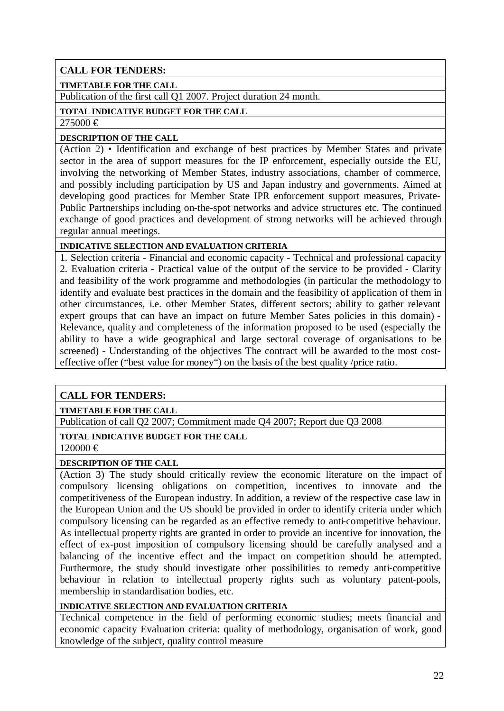**CALL FOR TENDERS:** 

**TIMETABLE FOR THE CALL**

Publication of the first call Q1 2007. Project duration 24 month.

#### **TOTAL INDICATIVE BUDGET FOR THE CALL**

275000 €

#### **DESCRIPTION OF THE CALL**

(Action 2) • Identification and exchange of best practices by Member States and private sector in the area of support measures for the IP enforcement, especially outside the EU, involving the networking of Member States, industry associations, chamber of commerce, and possibly including participation by US and Japan industry and governments. Aimed at developing good practices for Member State IPR enforcement support measures, Private-Public Partnerships including on-the-spot networks and advice structures etc. The continued exchange of good practices and development of strong networks will be achieved through regular annual meetings.

#### **INDICATIVE SELECTION AND EVALUATION CRITERIA**

1. Selection criteria - Financial and economic capacity - Technical and professional capacity 2. Evaluation criteria - Practical value of the output of the service to be provided - Clarity and feasibility of the work programme and methodologies (in particular the methodology to identify and evaluate best practices in the domain and the feasibility of application of them in other circumstances, i.e. other Member States, different sectors; ability to gather relevant expert groups that can have an impact on future Member Sates policies in this domain) - Relevance, quality and completeness of the information proposed to be used (especially the ability to have a wide geographical and large sectoral coverage of organisations to be screened) - Understanding of the objectives The contract will be awarded to the most costeffective offer ("best value for money") on the basis of the best quality /price ratio.

# **CALL FOR TENDERS:**

#### **TIMETABLE FOR THE CALL**

Publication of call Q2 2007; Commitment made Q4 2007; Report due Q3 2008

## **TOTAL INDICATIVE BUDGET FOR THE CALL**

 $120000 \in$ 

#### **DESCRIPTION OF THE CALL**

(Action 3) The study should critically review the economic literature on the impact of compulsory licensing obligations on competition, incentives to innovate and the competitiveness of the European industry. In addition, a review of the respective case law in the European Union and the US should be provided in order to identify criteria under which compulsory licensing can be regarded as an effective remedy to anti-competitive behaviour. As intellectual property rights are granted in order to provide an incentive for innovation, the effect of ex-post imposition of compulsory licensing should be carefully analysed and a balancing of the incentive effect and the impact on competition should be attempted. Furthermore, the study should investigate other possibilities to remedy anti-competitive behaviour in relation to intellectual property rights such as voluntary patent-pools, membership in standardisation bodies, etc.

#### **INDICATIVE SELECTION AND EVALUATION CRITERIA**

Technical competence in the field of performing economic studies; meets financial and economic capacity Evaluation criteria: quality of methodology, organisation of work, good knowledge of the subject, quality control measure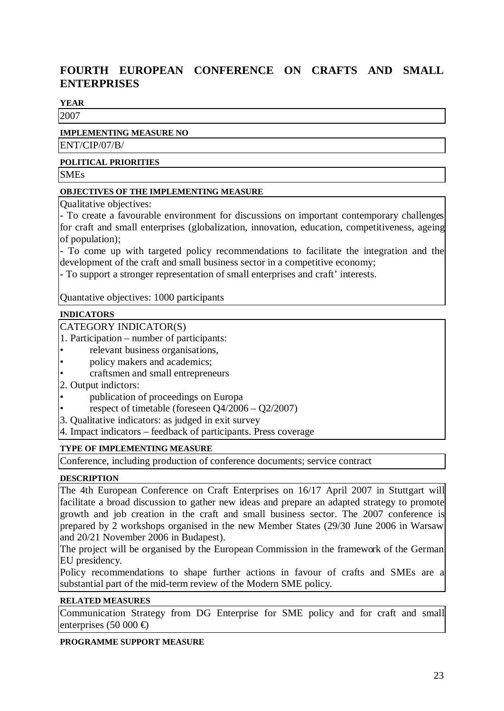# **FOURTH EUROPEAN CONFERENCE ON CRAFTS AND SMALL ENTERPRISES**

#### **YEAR**

2007

# **IMPLEMENTING MEASURE NO**

ENT/CIP/07/B/

#### **POLITICAL PRIORITIES**

**SMEs** 

#### **OBJECTIVES OF THE IMPLEMENTING MEASURE**

Qualitative objectives:

- To create a favourable environment for discussions on important contemporary challenges for craft and small enterprises (globalization, innovation, education, competitiveness, ageing of population);

- To come up with targeted policy recommendations to facilitate the integration and the development of the craft and small business sector in a competitive economy;

- To support a stronger representation of small enterprises and craft' interests.

Quantative objectives: 1000 participants

#### **INDICATORS**

#### CATEGORY INDICATOR(S)

1. Participation – number of participants:

- relevant business organisations,
- policy makers and academics;
- craftsmen and small entrepreneurs
- 2. Output indictors:
- publication of proceedings on Europa
- respect of timetable (foreseen  $Q4/2006 Q2/2007$ )
- 3. Qualitative indicators: as judged in exit survey
- 4. Impact indicators feedback of participants. Press coverage

#### **TYPE OF IMPLEMENTING MEASURE**

Conference, including production of conference documents; service contract

#### **DESCRIPTION**

The 4th European Conference on Craft Enterprises on 16/17 April 2007 in Stuttgart will facilitate a broad discussion to gather new ideas and prepare an adapted strategy to promote growth and job creation in the craft and small business sector. The 2007 conference is prepared by 2 workshops organised in the new Member States (29/30 June 2006 in Warsaw and 20/21 November 2006 in Budapest).

The project will be organised by the European Commission in the framework of the German EU presidency.

Policy recommendations to shape further actions in favour of crafts and SMEs are a substantial part of the mid-term review of the Modern SME policy.

#### **RELATED MEASURES**

Communication Strategy from DG Enterprise for SME policy and for craft and small enterprises (50 000  $\bigoplus$ 

**PROGRAMME SUPPORT MEASURE**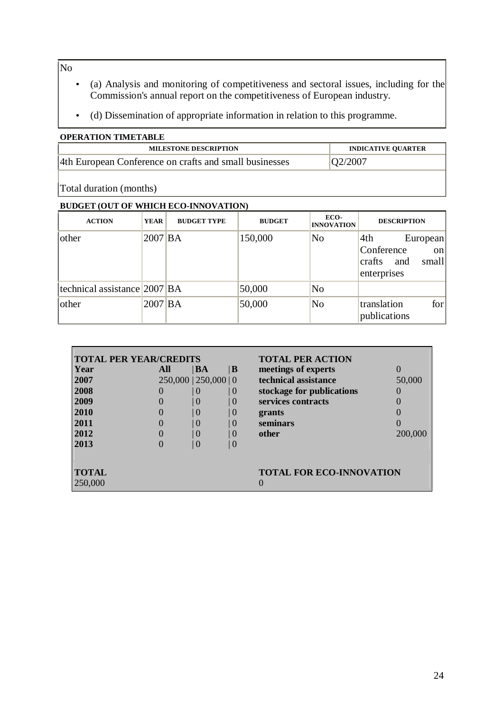No

- (a) Analysis and monitoring of competitiveness and sectoral issues, including for the Commission's annual report on the competitiveness of European industry.
- (d) Dissemination of appropriate information in relation to this programme.

| <b>OPERATION TIMETABLE</b>                             |                           |  |  |  |
|--------------------------------------------------------|---------------------------|--|--|--|
| <b>MILESTONE DESCRIPTION</b>                           | <b>INDICATIVE QUARTER</b> |  |  |  |
| 4th European Conference on crafts and small businesses | Q2/2007                   |  |  |  |
|                                                        |                           |  |  |  |

Total duration (months)

| <b>ACTION</b>                | <b>YEAR</b> | <b>BUDGET TYPE</b> | <b>BUDGET</b> | ECO-<br><b>INNOVATION</b> | <b>DESCRIPTION</b>                                                           |
|------------------------------|-------------|--------------------|---------------|---------------------------|------------------------------------------------------------------------------|
| other                        | $2007$ BA   |                    | 150,000       | N <sub>o</sub>            | 4th<br>European<br>Conference<br>on<br>small<br>crafts<br>and<br>enterprises |
| technical assistance 2007 BA |             |                    | 50,000        | N <sub>o</sub>            |                                                                              |
| other                        | $2007$ BA   |                    | 50,000        | N <sub>o</sub>            | for<br>translation<br>publications                                           |

| <b>TOTAL PER YEAR/CREDITS</b> |     |                           |                    | <b>TOTAL PER ACTION</b>         |                  |
|-------------------------------|-----|---------------------------|--------------------|---------------------------------|------------------|
| Year                          | All | <b>BA</b>                 | $\  \mathbf{B} \ $ | meetings of experts             | $\left( \right)$ |
| 2007                          |     | $250,000$   $250,000$   0 |                    | technical assistance            | 50,000           |
| 2008                          |     | $\theta$                  | $\theta$           | stockage for publications       |                  |
| 2009                          |     | $\overline{0}$            | $\overline{0}$     | services contracts              |                  |
| 2010                          |     | 0                         | $\vert 0 \vert$    | grants                          |                  |
| 2011                          |     | $\overline{0}$            | $\overline{0}$     | seminars                        |                  |
| 2012                          |     | $\Omega$                  | $\overline{0}$     | other                           | 200,000          |
| 2013                          |     | $\Omega$                  | $\theta$           |                                 |                  |
| <b>TOTAL</b>                  |     |                           |                    | <b>TOTAL FOR ECO-INNOVATION</b> |                  |
| 250,000                       |     |                           |                    |                                 |                  |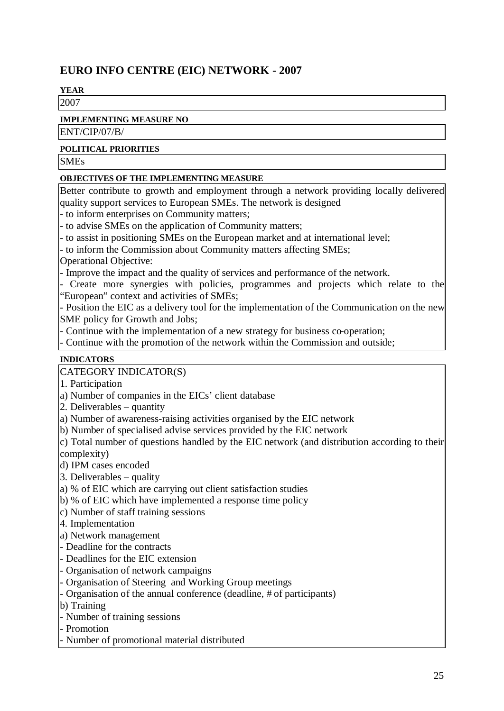# **EURO INFO CENTRE (EIC) NETWORK - 2007**

**YEAR**

2007

#### **IMPLEMENTING MEASURE NO**

ENT/CIP/07/B/

#### **POLITICAL PRIORITIES**

**SMEs** 

#### **OBJECTIVES OF THE IMPLEMENTING MEASURE**

Better contribute to growth and employment through a network providing locally delivered quality support services to European SMEs. The network is designed

- to inform enterprises on Community matters;

- to advise SMEs on the application of Community matters;

- to assist in positioning SMEs on the European market and at international level;

- to inform the Commission about Community matters affecting SMEs;

Operational Objective:

- Improve the impact and the quality of services and performance of the network.

- Create more synergies with policies, programmes and projects which relate to the "European" context and activities of SMEs;

- Position the EIC as a delivery tool for the implementation of the Communication on the new SME policy for Growth and Jobs;

- Continue with the implementation of a new strategy for business co-operation;

- Continue with the promotion of the network within the Commission and outside;

#### **INDICATORS**

CATEGORY INDICATOR(S)

1. Participation

a) Number of companies in the EICs' client database

2. Deliverables – quantity

a) Number of awareness-raising activities organised by the EIC network

b) Number of specialised advise services provided by the EIC network

c) Total number of questions handled by the EIC network (and distribution according to their complexity)

d) IPM cases encoded

3. Deliverables – quality

a) % of EIC which are carrying out client satisfaction studies

b) % of EIC which have implemented a response time policy

c) Number of staff training sessions

4. Implementation

a) Network management

- Deadline for the contracts

- Deadlines for the EIC extension

- Organisation of network campaigns

- Organisation of Steering and Working Group meetings

- Organisation of the annual conference (deadline, # of participants)

b) Training

- Number of training sessions

- Promotion

- Number of promotional material distributed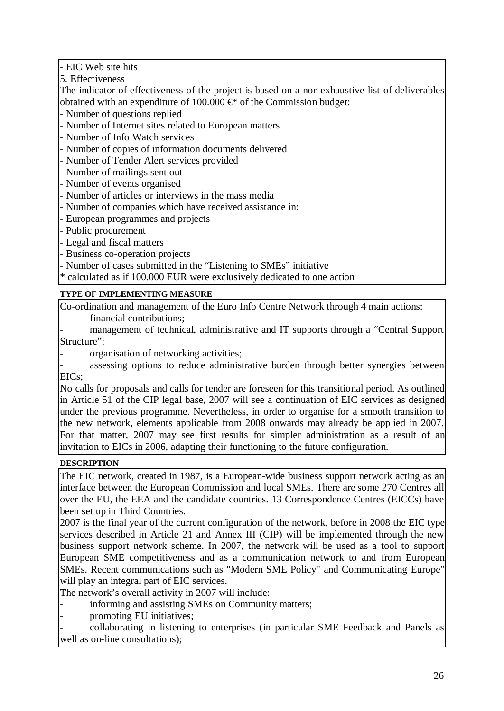EIC Web site hits

5. Effectiveness

The indicator of effectiveness of the project is based on a non-exhaustive list of deliverables obtained with an expenditure of 100.000  $\mathfrak{E}^*$  of the Commission budget:

- Number of questions replied

- Number of Internet sites related to European matters

- Number of Info Watch services

- Number of copies of information documents delivered

- Number of Tender Alert services provided

- Number of mailings sent out

- Number of events organised

- Number of articles or interviews in the mass media

- Number of companies which have received assistance in:

- European programmes and projects

- Public procurement

- Legal and fiscal matters

- Business co-operation projects

- Number of cases submitted in the "Listening to SMEs" initiative

\* calculated as if 100.000 EUR were exclusively dedicated to one action

#### **TYPE OF IMPLEMENTING MEASURE**

Co-ordination and management of the Euro Info Centre Network through 4 main actions: financial contributions:

management of technical, administrative and IT supports through a "Central Support Structure";

organisation of networking activities;

assessing options to reduce administrative burden through better synergies between EICs;

No calls for proposals and calls for tender are foreseen for this transitional period. As outlined in Article 51 of the CIP legal base, 2007 will see a continuation of EIC services as designed under the previous programme. Nevertheless, in order to organise for a smooth transition to the new network, elements applicable from 2008 onwards may already be applied in 2007. For that matter, 2007 may see first results for simpler administration as a result of an invitation to EICs in 2006, adapting their functioning to the future configuration.

#### **DESCRIPTION**

The EIC network, created in 1987, is a European-wide business support network acting as an interface between the European Commission and local SMEs. There are some 270 Centres all over the EU, the EEA and the candidate countries. 13 Correspondence Centres (EICCs) have been set up in Third Countries.

2007 is the final year of the current configuration of the network, before in 2008 the EIC type services described in Article 21 and Annex III (CIP) will be implemented through the new business support network scheme. In 2007, the network will be used as a tool to support European SME competitiveness and as a communication network to and from European SMEs. Recent communications such as "Modern SME Policy" and Communicating Europe" will play an integral part of EIC services.

The network's overall activity in 2007 will include:

- informing and assisting SMEs on Community matters;
- promoting EU initiatives;

- collaborating in listening to enterprises (in particular SME Feedback and Panels as well as on-line consultations);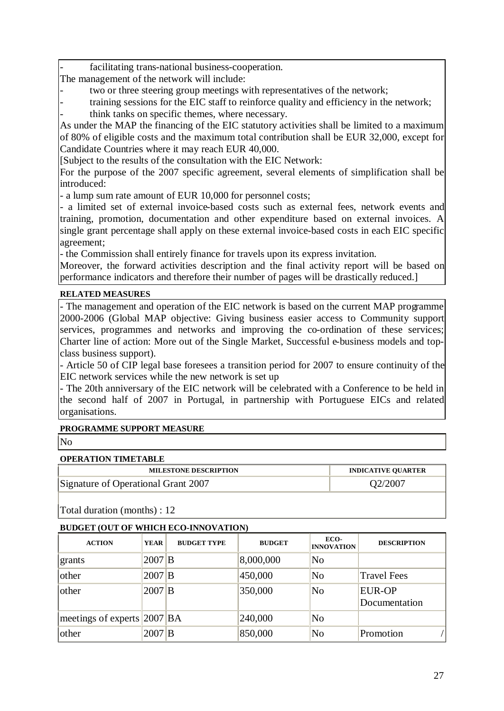facilitating trans-national business-cooperation.

The management of the network will include:

- two or three steering group meetings with representatives of the network;
- training sessions for the EIC staff to reinforce quality and efficiency in the network; think tanks on specific themes, where necessary.

As under the MAP the financing of the EIC statutory activities shall be limited to a maximum of 80% of eligible costs and the maximum total contribution shall be EUR 32,000, except for Candidate Countries where it may reach EUR 40,000.

[Subject to the results of the consultation with the EIC Network:

For the purpose of the 2007 specific agreement, several elements of simplification shall be introduced:

- a lump sum rate amount of EUR 10,000 for personnel costs;

- a limited set of external invoice-based costs such as external fees, network events and training, promotion, documentation and other expenditure based on external invoices. A single grant percentage shall apply on these external invoice-based costs in each EIC specific agreement;

- the Commission shall entirely finance for travels upon its express invitation.

Moreover, the forward activities description and the final activity report will be based on performance indicators and therefore their number of pages will be drastically reduced.]

#### **RELATED MEASURES**

- The management and operation of the EIC network is based on the current MAP programme 2000-2006 (Global MAP objective: Giving business easier access to Community support services, programmes and networks and improving the co-ordination of these services; Charter line of action: More out of the Single Market, Successful e-business models and topclass business support).

- Article 50 of CIP legal base foresees a transition period for 2007 to ensure continuity of the EIC network services while the new network is set up

- The 20th anniversary of the EIC network will be celebrated with a Conference to be held in the second half of 2007 in Portugal, in partnership with Portuguese EICs and related organisations.

#### **PROGRAMME SUPPORT MEASURE**

No

#### **OPERATION TIMETABLE**

| <b>MILESTONE DESCRIPTION</b>        | <b>INDICATIVE QUARTER</b> |
|-------------------------------------|---------------------------|
| Signature of Operational Grant 2007 | O2/2007                   |
|                                     |                           |

Total duration (months) : 12

| <b>ACTION</b>                  | <b>YEAR</b> | <b>BUDGET TYPE</b> | <b>BUDGET</b> | ECO-<br><b>INNOVATION</b> | <b>DESCRIPTION</b>             |
|--------------------------------|-------------|--------------------|---------------|---------------------------|--------------------------------|
| grants                         | $2007$ B    |                    | 8,000,000     | N <sub>o</sub>            |                                |
| other                          | 2007 B      |                    | 450,000       | N <sub>o</sub>            | <b>Travel Fees</b>             |
| other                          | $2007$ B    |                    | 350,000       | N <sub>o</sub>            | <b>EUR-OP</b><br>Documentation |
| meetings of experts $ 2007 BA$ |             |                    | 240,000       | No                        |                                |
| other                          | 2007        | B                  | 850,000       | N <sub>o</sub>            | Promotion                      |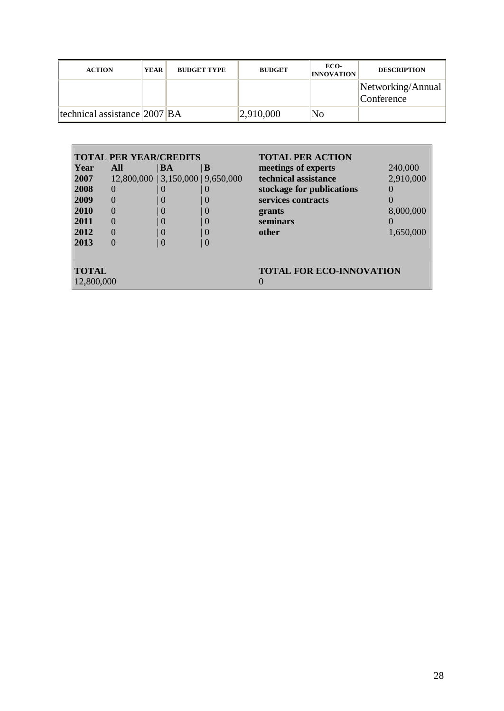| <b>ACTION</b>                   | <b>YEAR</b> | <b>BUDGET TYPE</b> | <b>BUDGET</b> | ECO-<br><b>INNOVATION</b> | <b>DESCRIPTION</b>              |
|---------------------------------|-------------|--------------------|---------------|---------------------------|---------------------------------|
|                                 |             |                    |               |                           | Networking/Annual<br>Conference |
| technical assistance $ 2007 BA$ |             |                    | 2,910,000     | No                        |                                 |

|                            | <b>TOTAL PER YEAR/CREDITS</b>        |    |   | <b>TOTAL PER ACTION</b>         |           |
|----------------------------|--------------------------------------|----|---|---------------------------------|-----------|
| <b>Year</b>                | All                                  | BA | B | meetings of experts             | 240,000   |
| 2007                       | $12,800,000$   3,150,000   9,650,000 |    |   | technical assistance            | 2,910,000 |
| 2008                       | $\theta$                             |    |   | stockage for publications       |           |
| 2009                       | $\Omega$                             | () |   | services contracts              |           |
| 2010                       | $\Omega$                             | () | 0 | grants                          | 8,000,000 |
| 2011                       | $\Omega$                             | () |   | seminars                        |           |
| 2012                       | $\Omega$                             | () |   | other                           | 1,650,000 |
| 2013                       | $\Omega$                             |    |   |                                 |           |
|                            |                                      |    |   |                                 |           |
| <b>TOTAL</b><br>12,800,000 |                                      |    |   | <b>TOTAL FOR ECO-INNOVATION</b> |           |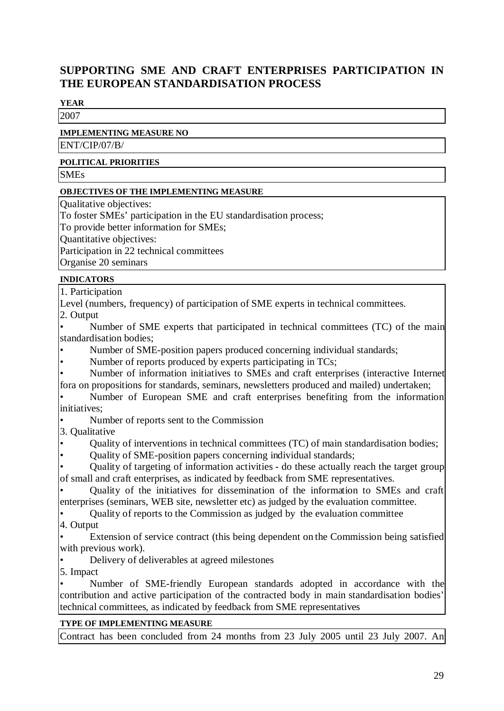# **SUPPORTING SME AND CRAFT ENTERPRISES PARTICIPATION IN THE EUROPEAN STANDARDISATION PROCESS**

#### **YEAR**

2007

#### **IMPLEMENTING MEASURE NO**

ENT/CIP/07/B/

#### **POLITICAL PRIORITIES**

**SMEs** 

#### **OBJECTIVES OF THE IMPLEMENTING MEASURE**

Qualitative objectives:

To foster SMEs' participation in the EU standardisation process;

To provide better information for SMEs;

Quantitative objectives:

Participation in 22 technical committees

Organise 20 seminars

#### **INDICATORS**

1. Participation

Level (numbers, frequency) of participation of SME experts in technical committees.

2. Output

• Number of SME experts that participated in technical committees (TC) of the main standardisation bodies;

• Number of SME-position papers produced concerning individual standards;

Number of reports produced by experts participating in TCs;

• Number of information initiatives to SMEs and craft enterprises (interactive Internet fora on propositions for standards, seminars, newsletters produced and mailed) undertaken;

• Number of European SME and craft enterprises benefiting from the information initiatives;

• Number of reports sent to the Commission

3. Qualitative

• Quality of interventions in technical committees (TC) of main standardisation bodies;

• Quality of SME-position papers concerning individual standards;

• Quality of targeting of information activities - do these actually reach the target group of small and craft enterprises, as indicated by feedback from SME representatives.

• Quality of the initiatives for dissemination of the information to SMEs and craft enterprises (seminars, WEB site, newsletter etc) as judged by the evaluation committee.

• Quality of reports to the Commission as judged by the evaluation committee

4. Output

Extension of service contract (this being dependent on the Commission being satisfied with previous work).

• Delivery of deliverables at agreed milestones

5. Impact

• Number of SME-friendly European standards adopted in accordance with the contribution and active participation of the contracted body in main standardisation bodies' technical committees, as indicated by feedback from SME representatives

# **TYPE OF IMPLEMENTING MEASURE**

Contract has been concluded from 24 months from 23 July 2005 until 23 July 2007. An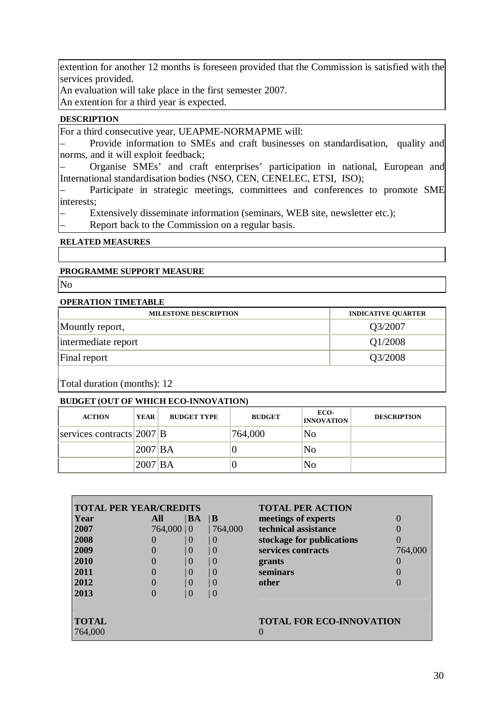extention for another 12 months is foreseen provided that the Commission is satisfied with the services provided.

An evaluation will take place in the first semester 2007.

An extention for a third year is expected.

#### **DESCRIPTION**

For a third consecutive year, UEAPME-NORMAPME will:

– Provide information to SMEs and craft businesses on standardisation, quality and norms, and it will exploit feedback;

– Organise SMEs' and craft enterprises' participation in national, European and International standardisation bodies (NSO, CEN, CENELEC, ETSI, ISO);

– Participate in strategic meetings, committees and conferences to promote SME interests;

– Extensively disseminate information (seminars, WEB site, newsletter etc.);

– Report back to the Commission on a regular basis.

#### **RELATED MEASURES**

#### **PROGRAMME SUPPORT MEASURE**

#### No

#### **OPERATION TIMETABLE**

| <b>MILESTONE DESCRIPTION</b> | <b>INDICATIVE OUARTER</b> |
|------------------------------|---------------------------|
| Mountly report,              | Q3/2007                   |
| intermediate report          | Q1/2008                   |
| Final report                 | Q3/2008                   |
|                              |                           |

Total duration (months): 12

| <b>ACTION</b>                    | <b>YEAR</b> | <b>BUDGET TYPE</b> | <b>BUDGET</b> | ECO-<br><b>INNOVATION</b> | <b>DESCRIPTION</b> |
|----------------------------------|-------------|--------------------|---------------|---------------------------|--------------------|
| $ $ services contracts $ 2007 B$ |             |                    | 764,000       | N <sub>0</sub>            |                    |
|                                  | 2007 BA     |                    |               | No                        |                    |
|                                  | 2007 BA     |                    |               | No                        |                    |

| <b>TOTAL PER YEAR/CREDITS</b> |                  |                |              | <b>TOTAL PER ACTION</b>         |                  |  |
|-------------------------------|------------------|----------------|--------------|---------------------------------|------------------|--|
| Year                          | All              | BA             | $\mathbf{B}$ | meetings of experts             | $\left( \right)$ |  |
| 2007                          | $764,000 \mid 0$ |                | 764,000      | technical assistance            |                  |  |
| 2008                          |                  | 0              | 0            | stockage for publications       |                  |  |
| 2009                          |                  | $\theta$       | $\theta$     | services contracts              | 764,000          |  |
| 2010                          |                  | 0              | ()           | grants                          |                  |  |
| 2011                          |                  | $\overline{0}$ | ()           | seminars                        |                  |  |
| 2012                          |                  | $\theta$       | ()           | other                           |                  |  |
| 2013                          |                  | $\overline{0}$ | $\theta$     |                                 |                  |  |
|                               |                  |                |              |                                 |                  |  |
| <b>TOTAL</b>                  |                  |                |              | <b>TOTAL FOR ECO-INNOVATION</b> |                  |  |
| 764,000                       |                  |                |              | $\left( \right)$                |                  |  |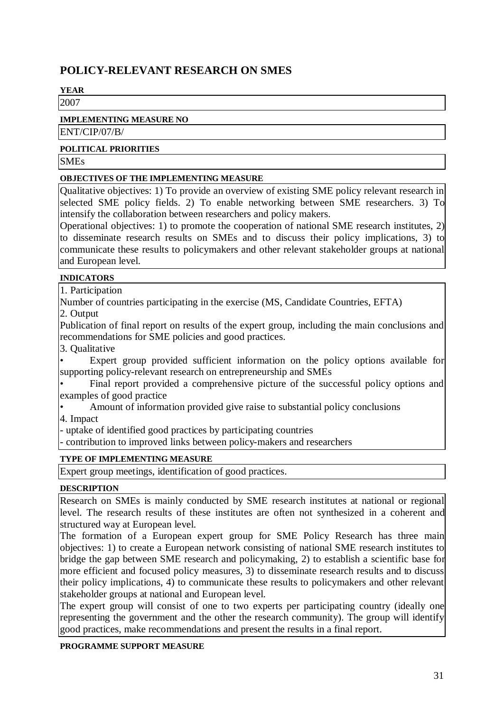# **POLICY-RELEVANT RESEARCH ON SMES**

# **YEAR**

2007

#### **IMPLEMENTING MEASURE NO**

ENT/CIP/07/B/

#### **POLITICAL PRIORITIES**

**SMEs** 

#### **OBJECTIVES OF THE IMPLEMENTING MEASURE**

Qualitative objectives: 1) To provide an overview of existing SME policy relevant research in selected SME policy fields. 2) To enable networking between SME researchers. 3) To intensify the collaboration between researchers and policy makers.

Operational objectives: 1) to promote the cooperation of national SME research institutes, 2) to disseminate research results on SMEs and to discuss their policy implications, 3) to communicate these results to policymakers and other relevant stakeholder groups at national and European level.

#### **INDICATORS**

1. Participation

Number of countries participating in the exercise (MS, Candidate Countries, EFTA)

2. Output

Publication of final report on results of the expert group, including the main conclusions and recommendations for SME policies and good practices.

3. Qualitative

Expert group provided sufficient information on the policy options available for supporting policy-relevant research on entrepreneurship and SMEs

Final report provided a comprehensive picture of the successful policy options and examples of good practice

• Amount of information provided give raise to substantial policy conclusions

4. Impact

- uptake of identified good practices by participating countries

- contribution to improved links between policy-makers and researchers

#### **TYPE OF IMPLEMENTING MEASURE**

Expert group meetings, identification of good practices.

#### **DESCRIPTION**

Research on SMEs is mainly conducted by SME research institutes at national or regional level. The research results of these institutes are often not synthesized in a coherent and structured way at European level.

The formation of a European expert group for SME Policy Research has three main objectives: 1) to create a European network consisting of national SME research institutes to bridge the gap between SME research and policymaking, 2) to establish a scientific base for more efficient and focused policy measures, 3) to disseminate research results and to discuss their policy implications, 4) to communicate these results to policymakers and other relevant stakeholder groups at national and European level.

The expert group will consist of one to two experts per participating country (ideally one representing the government and the other the research community). The group will identify good practices, make recommendations and present the results in a final report.

**PROGRAMME SUPPORT MEASURE**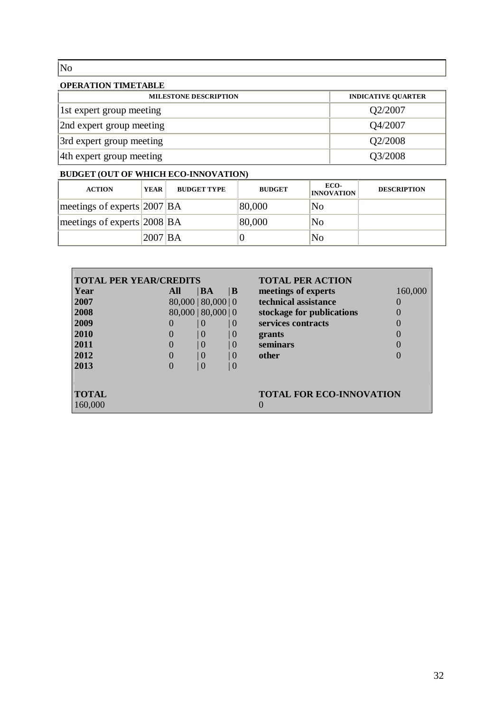No

#### **OPERATION TIMETABLE**

| <b>MILESTONE DESCRIPTION</b> | <b>INDICATIVE QUARTER</b> |
|------------------------------|---------------------------|
| 1st expert group meeting     | Q2/2007                   |
| 2nd expert group meeting     | Q4/2007                   |
| 3rd expert group meeting     | Q2/2008                   |
| 4th expert group meeting     | Q3/2008                   |

| <b>ACTION</b>                  | <b>YEAR</b> | <b>BUDGET TYPE</b> | <b>BUDGET</b> | ECO-<br><b>INNOVATION</b> | <b>DESCRIPTION</b> |
|--------------------------------|-------------|--------------------|---------------|---------------------------|--------------------|
| meetings of experts $ 2007 BA$ |             |                    | 80,000        | No                        |                    |
| meetings of experts $ 2008 BA$ |             |                    | 80,000        | No                        |                    |
|                                | $2007$ BA   |                    |               | No                        |                    |

| <b>TOTAL PER YEAR/CREDITS</b> |          |                         |                  | <b>TOTAL PER ACTION</b>         |         |
|-------------------------------|----------|-------------------------|------------------|---------------------------------|---------|
| Year                          | All      | <b>BA</b>               | $\mathbf{B}$     | meetings of experts             | 160,000 |
| 2007                          |          | $80,000$   $80,000$   0 |                  | technical assistance            |         |
| 2008                          |          | $80,000$   $80,000$   0 |                  | stockage for publications       |         |
| 2009                          |          | ()                      | 0                | services contracts              |         |
| 2010                          |          | 0                       | 0                | grants                          |         |
| 2011                          |          |                         | $\left( \right)$ | seminars                        |         |
| 2012                          | $\Omega$ | $\Omega$                | $\vert$ 0        | other                           |         |
| 2013                          | 0        | 0                       | $\cup$           |                                 |         |
| <b>TOTAL</b>                  |          |                         |                  | <b>TOTAL FOR ECO-INNOVATION</b> |         |
| 160,000                       |          |                         |                  |                                 |         |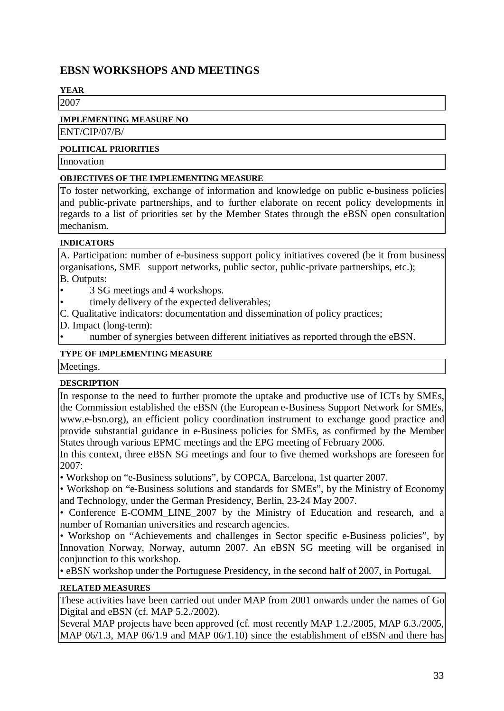# **EBSN WORKSHOPS AND MEETINGS**

# **YEAR**

2007

#### **IMPLEMENTING MEASURE NO**

ENT/CIP/07/B/

#### **POLITICAL PRIORITIES**

Innovation

#### **OBJECTIVES OF THE IMPLEMENTING MEASURE**

To foster networking, exchange of information and knowledge on public e-business policies and public-private partnerships, and to further elaborate on recent policy developments in regards to a list of priorities set by the Member States through the eBSN open consultation mechanism.

#### **INDICATORS**

A. Participation: number of e-business support policy initiatives covered (be it from business organisations, SME support networks, public sector, public-private partnerships, etc.); B. Outputs:

- 3 SG meetings and 4 workshops.
- timely delivery of the expected deliverables;
- C. Qualitative indicators: documentation and dissemination of policy practices;
- D. Impact (long-term):
- number of synergies between different initiatives as reported through the eBSN.

#### **TYPE OF IMPLEMENTING MEASURE**

Meetings.

#### **DESCRIPTION**

In response to the need to further promote the uptake and productive use of ICTs by SMEs, the Commission established the eBSN (the European e-Business Support Network for SMEs, www.e-bsn.org), an efficient policy coordination instrument to exchange good practice and provide substantial guidance in e-Business policies for SMEs, as confirmed by the Member States through various EPMC meetings and the EPG meeting of February 2006.

In this context, three eBSN SG meetings and four to five themed workshops are foreseen for 2007:

• Workshop on "e-Business solutions", by COPCA, Barcelona, 1st quarter 2007.

• Workshop on "e-Business solutions and standards for SMEs", by the Ministry of Economy and Technology, under the German Presidency, Berlin, 23-24 May 2007.

• Conference E-COMM\_LINE\_2007 by the Ministry of Education and research, and a number of Romanian universities and research agencies.

• Workshop on "Achievements and challenges in Sector specific e-Business policies", by Innovation Norway, Norway, autumn 2007. An eBSN SG meeting will be organised in conjunction to this workshop.

• eBSN workshop under the Portuguese Presidency, in the second half of 2007, in Portugal.

#### **RELATED MEASURES**

These activities have been carried out under MAP from 2001 onwards under the names of Go Digital and eBSN (cf. MAP 5.2./2002).

Several MAP projects have been approved (cf. most recently MAP 1.2./2005, MAP 6.3./2005, MAP 06/1.3, MAP 06/1.9 and MAP 06/1.10) since the establishment of eBSN and there has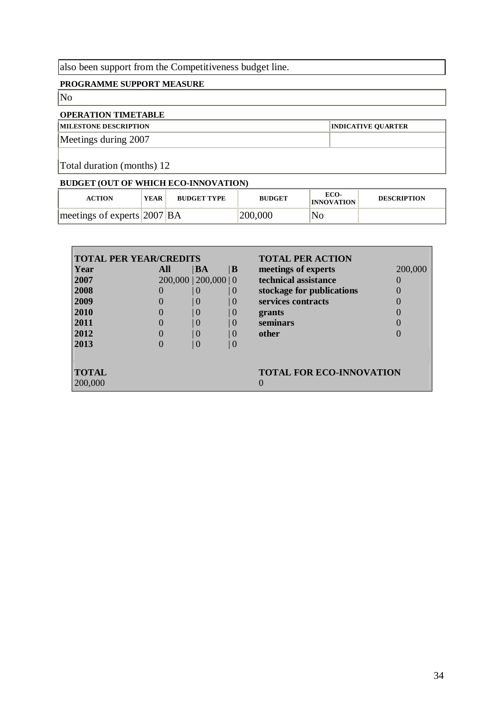also been support from the Competitiveness budget line.

#### **PROGRAMME SUPPORT MEASURE**

No

## **OPERATION TIMETABLE**

| <b> MILESTONE DESCRIPTION</b> | <b>INDICATIVE QUARTER</b> |
|-------------------------------|---------------------------|
| Meetings during 2007          |                           |
|                               |                           |

Total duration (months) 12

| <b>ACTION</b>                  | YEAR | <b>BUDGET TYPE</b> | <b>BUDGET</b> | ECO-<br><b>INNOVATION</b> | <b>DESCRIPTION</b> |
|--------------------------------|------|--------------------|---------------|---------------------------|--------------------|
| meetings of experts $ 2007 BA$ |      |                    | 200,000       | No                        |                    |

| <b>TOTAL PER YEAR/CREDITS</b> |     |                           |              | <b>TOTAL PER ACTION</b>         |         |  |
|-------------------------------|-----|---------------------------|--------------|---------------------------------|---------|--|
| Year                          | All | <b>BA</b>                 | $\mathbf{B}$ | meetings of experts             | 200,000 |  |
| 2007                          |     | $200,000$   $200,000$   0 |              | technical assistance            |         |  |
| 2008                          |     | $\Omega$                  | 0            | stockage for publications       |         |  |
| 2009                          |     | $\Omega$                  | 0            | services contracts              |         |  |
| 2010                          |     | $\Omega$                  | 0            | grants                          |         |  |
| 2011                          |     | $\theta$                  | -0           | seminars                        |         |  |
| 2012                          |     | $\theta$                  | 0            | other                           |         |  |
| 2013                          |     | 0                         | 0            |                                 |         |  |
|                               |     |                           |              |                                 |         |  |
| <b>TOTAL</b>                  |     |                           |              | <b>TOTAL FOR ECO-INNOVATION</b> |         |  |
| 200,000                       |     |                           |              | O                               |         |  |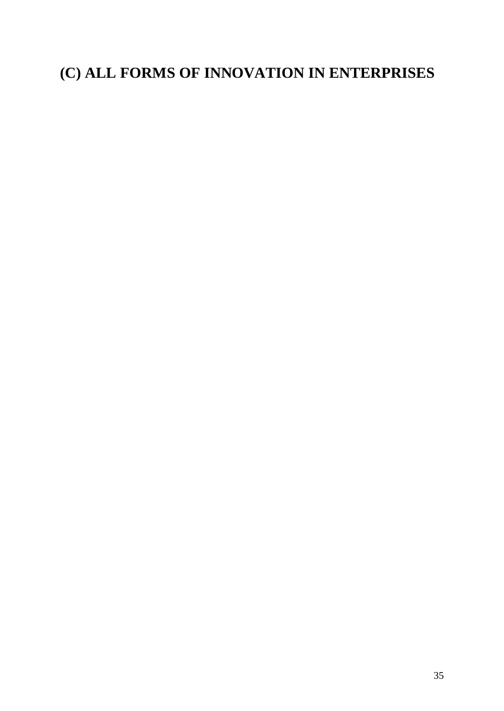# **(C) ALL FORMS OF INNOVATION IN ENTERPRISES**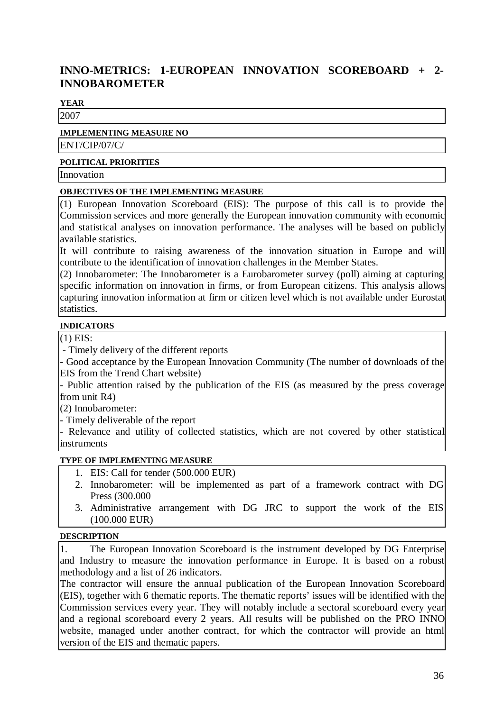# **INNO-METRICS: 1-EUROPEAN INNOVATION SCOREBOARD + 2- INNOBAROMETER**

#### **YEAR**

2007

#### **IMPLEMENTING MEASURE NO**

ENT/CIP/07/C/

#### **POLITICAL PRIORITIES**

Innovation

#### **OBJECTIVES OF THE IMPLEMENTING MEASURE**

(1) European Innovation Scoreboard (EIS): The purpose of this call is to provide the Commission services and more generally the European innovation community with economic and statistical analyses on innovation performance. The analyses will be based on publicly available statistics.

It will contribute to raising awareness of the innovation situation in Europe and will contribute to the identification of innovation challenges in the Member States.

(2) Innobarometer: The Innobarometer is a Eurobarometer survey (poll) aiming at capturing specific information on innovation in firms, or from European citizens. This analysis allows capturing innovation information at firm or citizen level which is not available under Eurostat statistics.

#### **INDICATORS**

(1) EIS:

- Timely delivery of the different reports

- Good acceptance by the European Innovation Community (The number of downloads of the EIS from the Trend Chart website)

- Public attention raised by the publication of the EIS (as measured by the press coverage from unit R4)

(2) Innobarometer:

- Timely deliverable of the report

- Relevance and utility of collected statistics, which are not covered by other statistical instruments

#### **TYPE OF IMPLEMENTING MEASURE**

- 1. EIS: Call for tender (500.000 EUR)
- 2. Innobarometer: will be implemented as part of a framework contract with DG Press (300.000
- 3. Administrative arrangement with DG JRC to support the work of the EIS (100.000 EUR)

#### **DESCRIPTION**

1. The European Innovation Scoreboard is the instrument developed by DG Enterprise and Industry to measure the innovation performance in Europe. It is based on a robust methodology and a list of 26 indicators.

The contractor will ensure the annual publication of the European Innovation Scoreboard (EIS), together with 6 thematic reports. The thematic reports' issues will be identified with the Commission services every year. They will notably include a sectoral scoreboard every year and a regional scoreboard every 2 years. All results will be published on the PRO INNO website, managed under another contract, for which the contractor will provide an html version of the EIS and thematic papers.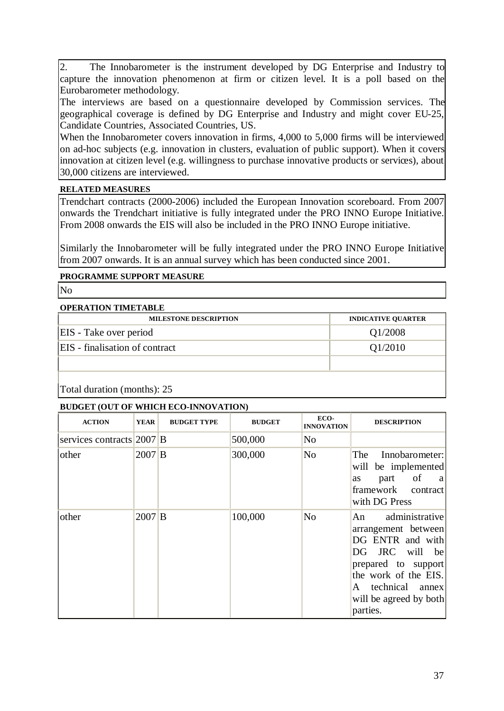2. The Innobarometer is the instrument developed by DG Enterprise and Industry to capture the innovation phenomenon at firm or citizen level. It is a poll based on the Eurobarometer methodology.

The interviews are based on a questionnaire developed by Commission services. The geographical coverage is defined by DG Enterprise and Industry and might cover EU-25, Candidate Countries, Associated Countries, US.

When the Innobarometer covers innovation in firms, 4,000 to 5,000 firms will be interviewed on ad-hoc subjects (e.g. innovation in clusters, evaluation of public support). When it covers innovation at citizen level (e.g. willingness to purchase innovative products or services), about 30,000 citizens are interviewed.

#### **RELATED MEASURES**

Trendchart contracts (2000-2006) included the European Innovation scoreboard. From 2007 onwards the Trendchart initiative is fully integrated under the PRO INNO Europe Initiative. From 2008 onwards the EIS will also be included in the PRO INNO Europe initiative.

Similarly the Innobarometer will be fully integrated under the PRO INNO Europe Initiative from 2007 onwards. It is an annual survey which has been conducted since 2001.

**PROGRAMME SUPPORT MEASURE**

No

#### **OPERATION TIMETABLE**

| <b>MILESTONE DESCRIPTION</b>                                                                     | <b>INDICATIVE QUARTER</b> |
|--------------------------------------------------------------------------------------------------|---------------------------|
| EIS - Take over period                                                                           | Q1/2008                   |
| <b>EIS</b> - finalisation of contract                                                            | Q1/2010                   |
|                                                                                                  |                           |
| $\mathsf{Im} \times \mathsf{1} \mathsf{1} \times \mathsf{1} \times \mathsf{1} \times \mathsf{2}$ |                           |

Total duration (months): 25

| <b>ACTION</b>                    | <b>YEAR</b> | <b>BUDGET TYPE</b> | <b>BUDGET</b> | ECO-<br><b>INNOVATION</b> | <b>DESCRIPTION</b>                                                                                                                                                                          |
|----------------------------------|-------------|--------------------|---------------|---------------------------|---------------------------------------------------------------------------------------------------------------------------------------------------------------------------------------------|
| $ $ services contracts $ 2007 B$ |             |                    | 500,000       | N <sub>o</sub>            |                                                                                                                                                                                             |
| other                            | $2007$ B    |                    | 300,000       | N <sub>o</sub>            | <b>The</b><br>Innobarometer:<br>will be implemented<br>of<br>part<br>as<br><sub>a</sub><br>framework contract<br>with DG Press                                                              |
| other                            | $2007$ B    |                    | 100,000       | N <sub>o</sub>            | administrative<br>An<br>arrangement between<br>DG ENTR and with<br>DG JRC will be<br>prepared to support<br>the work of the EIS.<br>A technical annex<br>will be agreed by both<br>parties. |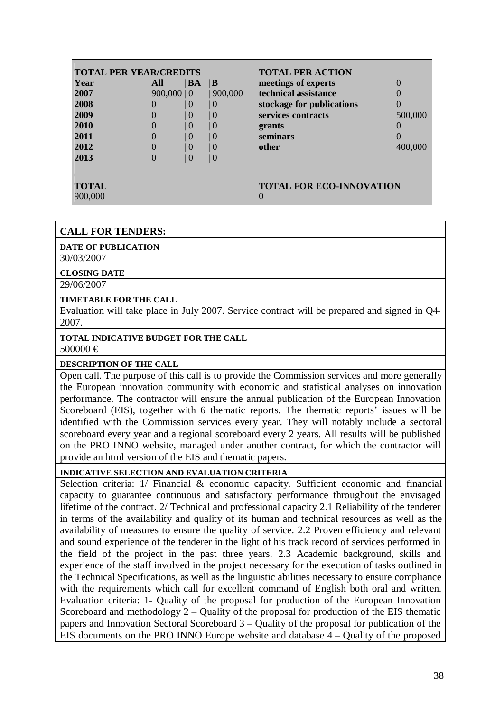| <b>TOTAL PER YEAR/CREDITS</b> |             |          |                | <b>TOTAL PER ACTION</b>         |         |
|-------------------------------|-------------|----------|----------------|---------------------------------|---------|
| Year                          | All         | BA       | IВ             | meetings of experts             |         |
| 2007                          | 900,000   0 |          | 900,000        | technical assistance            |         |
| 2008                          |             | 0        | -0             | stockage for publications       |         |
| 2009                          |             | $\theta$ | $\overline{0}$ | services contracts              | 500,000 |
| 2010                          |             | ()       | $\vert$ ()     | grants                          |         |
| 2011                          |             | $\theta$ | $\left($       | seminars                        |         |
| 2012                          |             | $\theta$ | $\vert$ ()     | other                           | 400,000 |
| 2013                          |             | $\theta$ | $\overline{0}$ |                                 |         |
| <b>TOTAL</b><br>900,000       |             |          |                | <b>TOTAL FOR ECO-INNOVATION</b> |         |

#### **CALL FOR TENDERS:**

#### **DATE OF PUBLICATION**

30/03/2007

**CLOSING DATE**

29/06/2007

#### **TIMETABLE FOR THE CALL**

Evaluation will take place in July 2007. Service contract will be prepared and signed in Q4- 2007.

#### **TOTAL INDICATIVE BUDGET FOR THE CALL**

500000 €

#### **DESCRIPTION OF THE CALL**

Open call. The purpose of this call is to provide the Commission services and more generally the European innovation community with economic and statistical analyses on innovation performance. The contractor will ensure the annual publication of the European Innovation Scoreboard (EIS), together with 6 thematic reports. The thematic reports' issues will be identified with the Commission services every year. They will notably include a sectoral scoreboard every year and a regional scoreboard every 2 years. All results will be published on the PRO INNO website, managed under another contract, for which the contractor will provide an html version of the EIS and thematic papers.

#### **INDICATIVE SELECTION AND EVALUATION CRITERIA**

Selection criteria: 1/ Financial & economic capacity. Sufficient economic and financial capacity to guarantee continuous and satisfactory performance throughout the envisaged lifetime of the contract. 2/ Technical and professional capacity 2.1 Reliability of the tenderer in terms of the availability and quality of its human and technical resources as well as the availability of measures to ensure the quality of service. 2.2 Proven efficiency and relevant and sound experience of the tenderer in the light of his track record of services performed in the field of the project in the past three years. 2.3 Academic background, skills and experience of the staff involved in the project necessary for the execution of tasks outlined in the Technical Specifications, as well as the linguistic abilities necessary to ensure compliance with the requirements which call for excellent command of English both oral and written. Evaluation criteria: 1- Quality of the proposal for production of the European Innovation Scoreboard and methodology  $2 -$  Quality of the proposal for production of the EIS thematic papers and Innovation Sectoral Scoreboard 3 – Quality of the proposal for publication of the EIS documents on the PRO INNO Europe website and database 4 – Quality of the proposed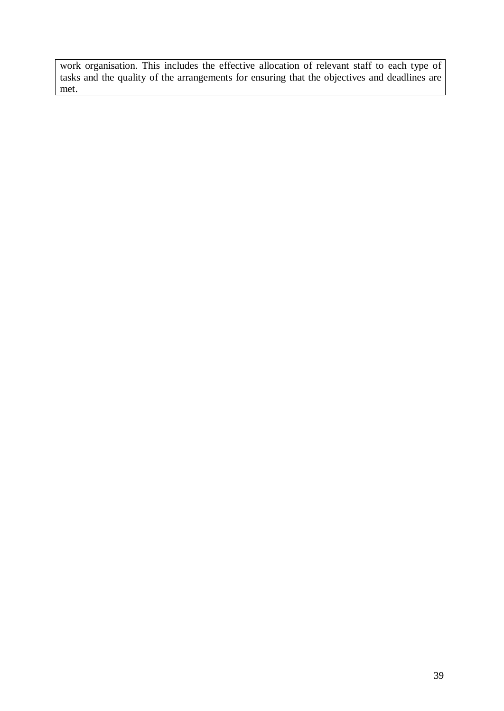work organisation. This includes the effective allocation of relevant staff to each type of tasks and the quality of the arrangements for ensuring that the objectives and deadlines are met.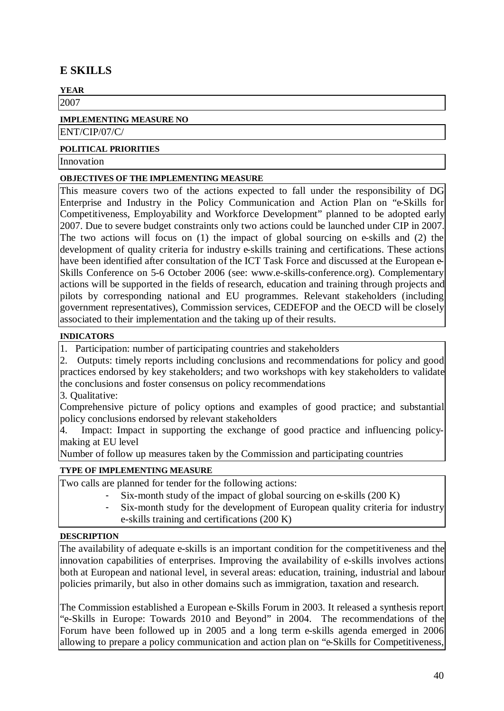# **E SKILLS**

# **YEAR**

2007

#### **IMPLEMENTING MEASURE NO**

ENT/CIP/07/C/

#### **POLITICAL PRIORITIES**

Innovation

#### **OBJECTIVES OF THE IMPLEMENTING MEASURE**

This measure covers two of the actions expected to fall under the responsibility of DG Enterprise and Industry in the Policy Communication and Action Plan on "e-Skills for Competitiveness, Employability and Workforce Development" planned to be adopted early 2007. Due to severe budget constraints only two actions could be launched under CIP in 2007. The two actions will focus on (1) the impact of global sourcing on e-skills and (2) the development of quality criteria for industry e-skills training and certifications. These actions have been identified after consultation of the ICT Task Force and discussed at the European e-Skills Conference on 5-6 October 2006 (see: www.e-skills-conference.org). Complementary actions will be supported in the fields of research, education and training through projects and pilots by corresponding national and EU programmes. Relevant stakeholders (including government representatives), Commission services, CEDEFOP and the OECD will be closely associated to their implementation and the taking up of their results.

#### **INDICATORS**

1. Participation: number of participating countries and stakeholders

2. Outputs: timely reports including conclusions and recommendations for policy and good practices endorsed by key stakeholders; and two workshops with key stakeholders to validate the conclusions and foster consensus on policy recommendations

3. Qualitative:

Comprehensive picture of policy options and examples of good practice; and substantial policy conclusions endorsed by relevant stakeholders

4. Impact: Impact in supporting the exchange of good practice and influencing policymaking at EU level

Number of follow up measures taken by the Commission and participating countries

#### **TYPE OF IMPLEMENTING MEASURE**

Two calls are planned for tender for the following actions:

- Six-month study of the impact of global sourcing on e-skills (200 K)
- Six-month study for the development of European quality criteria for industry e-skills training and certifications (200 K)

#### **DESCRIPTION**

The availability of adequate e-skills is an important condition for the competitiveness and the innovation capabilities of enterprises. Improving the availability of e-skills involves actions both at European and national level, in several areas: education, training, industrial and labour policies primarily, but also in other domains such as immigration, taxation and research.

The Commission established a European e-Skills Forum in 2003. It released a synthesis report "e-Skills in Europe: Towards 2010 and Beyond" in 2004. The recommendations of the Forum have been followed up in 2005 and a long term e-skills agenda emerged in 2006 allowing to prepare a policy communication and action plan on "e-Skills for Competitiveness,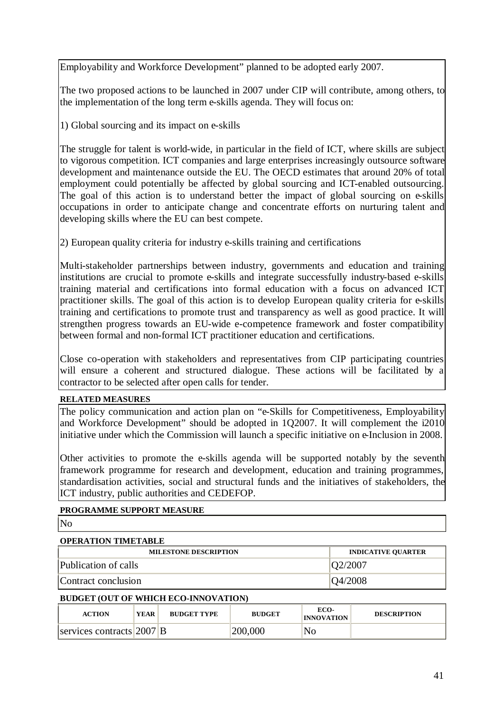Employability and Workforce Development" planned to be adopted early 2007.

The two proposed actions to be launched in 2007 under CIP will contribute, among others, to the implementation of the long term e-skills agenda. They will focus on:

1) Global sourcing and its impact on e-skills

The struggle for talent is world-wide, in particular in the field of ICT, where skills are subject to vigorous competition. ICT companies and large enterprises increasingly outsource software development and maintenance outside the EU. The OECD estimates that around 20% of total employment could potentially be affected by global sourcing and ICT-enabled outsourcing. The goal of this action is to understand better the impact of global sourcing on e-skills occupations in order to anticipate change and concentrate efforts on nurturing talent and developing skills where the EU can best compete.

2) European quality criteria for industry e-skills training and certifications

Multi-stakeholder partnerships between industry, governments and education and training institutions are crucial to promote e-skills and integrate successfully industry-based e-skills training material and certifications into formal education with a focus on advanced ICT practitioner skills. The goal of this action is to develop European quality criteria for e-skills training and certifications to promote trust and transparency as well as good practice. It will strengthen progress towards an EU-wide e-competence framework and foster compatibility between formal and non-formal ICT practitioner education and certifications.

Close co-operation with stakeholders and representatives from CIP participating countries will ensure a coherent and structured dialogue. These actions will be facilitated by a contractor to be selected after open calls for tender.

#### **RELATED MEASURES**

The policy communication and action plan on "e-Skills for Competitiveness, Employability and Workforce Development" should be adopted in 1Q2007. It will complement the i2010 initiative under which the Commission will launch a specific initiative on e-Inclusion in 2008.

Other activities to promote the e-skills agenda will be supported notably by the seventh framework programme for research and development, education and training programmes, standardisation activities, social and structural funds and the initiatives of stakeholders, the ICT industry, public authorities and CEDEFOP.

#### **PROGRAMME SUPPORT MEASURE**

No

#### **OPERATION TIMETABLE**

| <u> vi bini ilivi i iliyib ilibbb </u> |                           |  |  |  |  |  |
|----------------------------------------|---------------------------|--|--|--|--|--|
| <b>MILESTONE DESCRIPTION</b>           | <b>INDICATIVE OUARTER</b> |  |  |  |  |  |
| Publication of calls                   | Q2/2007                   |  |  |  |  |  |
| Contract conclusion                    | Q4/2008                   |  |  |  |  |  |

| <b>ACTION</b>                    | <b>YEAR</b> | <b>BUDGET TYPE</b> | <b>BUDGET</b> | ECO-<br><b>INNOVATION</b> | <b>DESCRIPTION</b> |
|----------------------------------|-------------|--------------------|---------------|---------------------------|--------------------|
| $ $ services contracts $ 2007 B$ |             |                    | 200,000       | No                        |                    |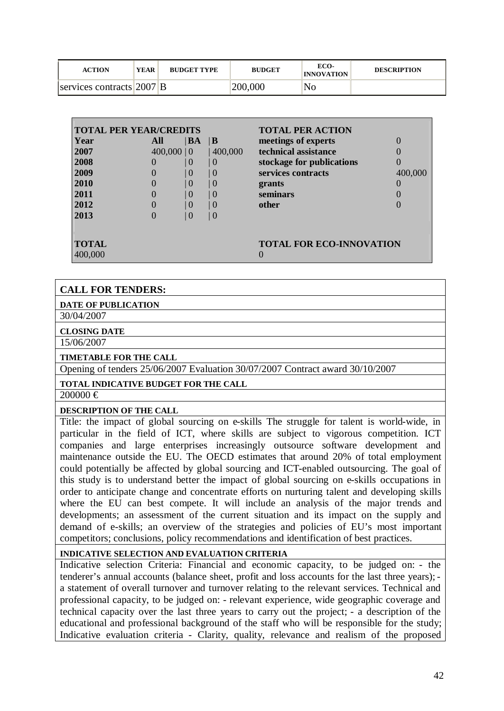| <b>ACTION</b>                    | YEAR | <b>BUDGET TYPE</b> | <b>BUDGET</b> | ECO-<br><b>INNOVATION</b> | <b>DESCRIPTION</b> |
|----------------------------------|------|--------------------|---------------|---------------------------|--------------------|
| $ $ services contracts $ 2007 B$ |      |                    | 200,000       | No                        |                    |

| <b>TOTAL PER YEAR/CREDITS</b> |                  |           |                | <b>TOTAL PER ACTION</b>         |         |
|-------------------------------|------------------|-----------|----------------|---------------------------------|---------|
| Year                          | All              | <b>BA</b> | IВ             | meetings of experts             |         |
| 2007                          | $400,000 \mid 0$ |           | 400,000        | technical assistance            |         |
| 2008                          |                  | 0         | ()             | stockage for publications       |         |
| 2009                          |                  | ()        | O              | services contracts              | 400,000 |
| 2010                          |                  | $\mid 0$  | 0              | grants                          |         |
| 2011                          |                  | -0        | ()             | seminars                        |         |
| 2012                          |                  | 0         | ()             | other                           |         |
| 2013                          |                  | $\Omega$  | $\overline{0}$ |                                 |         |
|                               |                  |           |                |                                 |         |
| <b>TOTAL</b><br>400,000       |                  |           |                | <b>TOTAL FOR ECO-INNOVATION</b> |         |

#### **CALL FOR TENDERS:**

**DATE OF PUBLICATION**

30/04/2007

**CLOSING DATE**

15/06/2007

#### **TIMETABLE FOR THE CALL**

Opening of tenders 25/06/2007 Evaluation 30/07/2007 Contract award 30/10/2007

#### **TOTAL INDICATIVE BUDGET FOR THE CALL**

 $200000 \in$ 

#### **DESCRIPTION OF THE CALL**

Title: the impact of global sourcing on e-skills The struggle for talent is world-wide, in particular in the field of ICT, where skills are subject to vigorous competition. ICT companies and large enterprises increasingly outsource software development and maintenance outside the EU. The OECD estimates that around 20% of total employment could potentially be affected by global sourcing and ICT-enabled outsourcing. The goal of this study is to understand better the impact of global sourcing on e-skills occupations in order to anticipate change and concentrate efforts on nurturing talent and developing skills where the EU can best compete. It will include an analysis of the major trends and developments; an assessment of the current situation and its impact on the supply and demand of e-skills; an overview of the strategies and policies of EU's most important competitors; conclusions, policy recommendations and identification of best practices.

#### **INDICATIVE SELECTION AND EVALUATION CRITERIA**

Indicative selection Criteria: Financial and economic capacity, to be judged on: - the tenderer's annual accounts (balance sheet, profit and loss accounts for the last three years); a statement of overall turnover and turnover relating to the relevant services. Technical and professional capacity, to be judged on: - relevant experience, wide geographic coverage and technical capacity over the last three years to carry out the project; - a description of the educational and professional background of the staff who will be responsible for the study; Indicative evaluation criteria - Clarity, quality, relevance and realism of the proposed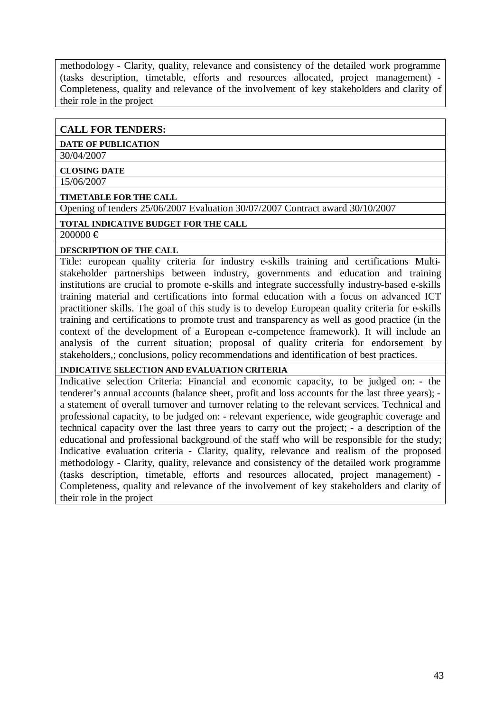methodology - Clarity, quality, relevance and consistency of the detailed work programme (tasks description, timetable, efforts and resources allocated, project management) - Completeness, quality and relevance of the involvement of key stakeholders and clarity of their role in the project

#### **CALL FOR TENDERS:**

# **DATE OF PUBLICATION**

30/04/2007

#### **CLOSING DATE**

15/06/2007

#### **TIMETABLE FOR THE CALL**

Opening of tenders 25/06/2007 Evaluation 30/07/2007 Contract award 30/10/2007

#### **TOTAL INDICATIVE BUDGET FOR THE CALL**

200000 €

#### **DESCRIPTION OF THE CALL**

Title: european quality criteria for industry e-skills training and certifications Multistakeholder partnerships between industry, governments and education and training institutions are crucial to promote e-skills and integrate successfully industry-based e-skills training material and certifications into formal education with a focus on advanced ICT practitioner skills. The goal of this study is to develop European quality criteria for e-skills training and certifications to promote trust and transparency as well as good practice (in the context of the development of a European e-competence framework). It will include an analysis of the current situation; proposal of quality criteria for endorsement by stakeholders,; conclusions, policy recommendations and identification of best practices.

#### **INDICATIVE SELECTION AND EVALUATION CRITERIA**

Indicative selection Criteria: Financial and economic capacity, to be judged on: - the tenderer's annual accounts (balance sheet, profit and loss accounts for the last three years); a statement of overall turnover and turnover relating to the relevant services. Technical and professional capacity, to be judged on: - relevant experience, wide geographic coverage and technical capacity over the last three years to carry out the project; - a description of the educational and professional background of the staff who will be responsible for the study; Indicative evaluation criteria - Clarity, quality, relevance and realism of the proposed methodology - Clarity, quality, relevance and consistency of the detailed work programme (tasks description, timetable, efforts and resources allocated, project management) - Completeness, quality and relevance of the involvement of key stakeholders and clarity of their role in the project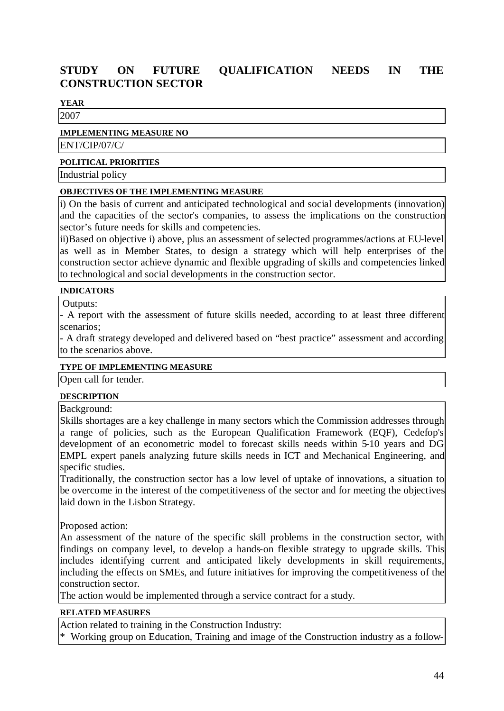# **STUDY ON FUTURE QUALIFICATION NEEDS IN THE CONSTRUCTION SECTOR**

#### **YEAR**

2007

#### **IMPLEMENTING MEASURE NO**

ENT/CIP/07/C/

#### **POLITICAL PRIORITIES**

Industrial policy

#### **OBJECTIVES OF THE IMPLEMENTING MEASURE**

i) On the basis of current and anticipated technological and social developments (innovation) and the capacities of the sector's companies, to assess the implications on the construction sector's future needs for skills and competencies.

ii)Based on objective i) above, plus an assessment of selected programmes/actions at EU-level as well as in Member States, to design a strategy which will help enterprises of the construction sector achieve dynamic and flexible upgrading of skills and competencies linked to technological and social developments in the construction sector.

#### **INDICATORS**

Outputs:

- A report with the assessment of future skills needed, according to at least three different scenarios;

- A draft strategy developed and delivered based on "best practice" assessment and according to the scenarios above.

#### **TYPE OF IMPLEMENTING MEASURE**

Open call for tender.

#### **DESCRIPTION**

Background:

Skills shortages are a key challenge in many sectors which the Commission addresses through a range of policies, such as the European Qualification Framework (EQF), Cedefop's development of an econometric model to forecast skills needs within 5-10 years and DG EMPL expert panels analyzing future skills needs in ICT and Mechanical Engineering, and specific studies.

Traditionally, the construction sector has a low level of uptake of innovations, a situation to be overcome in the interest of the competitiveness of the sector and for meeting the objectives laid down in the Lisbon Strategy.

Proposed action:

An assessment of the nature of the specific skill problems in the construction sector, with findings on company level, to develop a hands-on flexible strategy to upgrade skills. This includes identifying current and anticipated likely developments in skill requirements, including the effects on SMEs, and future initiatives for improving the competitiveness of the construction sector.

The action would be implemented through a service contract for a study.

#### **RELATED MEASURES**

Action related to training in the Construction Industry:

\* Working group on Education, Training and image of the Construction industry as a follow-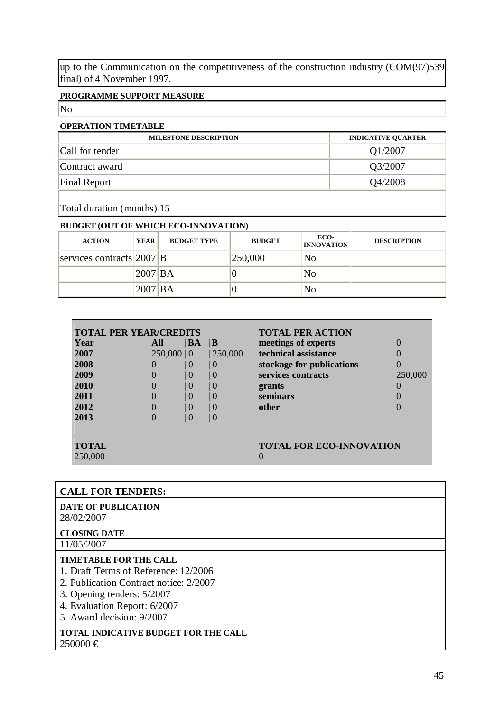up to the Communication on the competitiveness of the construction industry (COM(97)539 final) of 4 November 1997.

#### **PROGRAMME SUPPORT MEASURE**

No

# **OPERATION TIMETABLE**

| <b>VIENATIVA TIMETADLE</b>   |                           |  |  |  |  |  |
|------------------------------|---------------------------|--|--|--|--|--|
| <b>MILESTONE DESCRIPTION</b> | <b>INDICATIVE OUARTER</b> |  |  |  |  |  |
| Call for tender              | Q1/2007                   |  |  |  |  |  |
| Contract award               | Q3/2007                   |  |  |  |  |  |
| Final Report                 | Q4/2008                   |  |  |  |  |  |
|                              |                           |  |  |  |  |  |

Total duration (months) 15

| <b>ACTION</b>             | <b>YEAR</b> | <b>BUDGET TYPE</b> | <b>BUDGET</b> | ECO-<br><b>INNOVATION</b> | <b>DESCRIPTION</b> |  |  |  |
|---------------------------|-------------|--------------------|---------------|---------------------------|--------------------|--|--|--|
| services contracts 2007 B |             |                    | 250,000       | N <sub>0</sub>            |                    |  |  |  |
|                           | 2007 BA     |                    |               | No                        |                    |  |  |  |
|                           | 2007 BA     |                    |               | No                        |                    |  |  |  |

| <b>TOTAL PER YEAR/CREDITS</b> |                  |          |          | <b>TOTAL PER ACTION</b>         |         |
|-------------------------------|------------------|----------|----------|---------------------------------|---------|
| Year                          | All              | BA       | IВ       | meetings of experts             |         |
| 2007                          | $250,000 \mid 0$ |          | 250,000  | technical assistance            |         |
| 2008                          |                  | $\theta$ | $\left($ | stockage for publications       |         |
| 2009                          |                  | $\theta$ | ()       | services contracts              | 250,000 |
| 2010                          |                  | $\Omega$ | $\theta$ | grants                          |         |
| 2011                          |                  | $\theta$ |          | seminars                        |         |
| 2012                          |                  | $\theta$ | ()       | other                           |         |
| 2013                          |                  | $\theta$ | $\theta$ |                                 |         |
|                               |                  |          |          |                                 |         |
| <b>TOTAL</b>                  |                  |          |          | <b>TOTAL FOR ECO-INNOVATION</b> |         |
| 250,000                       |                  |          |          |                                 |         |

| <b>CALL FOR TENDERS:</b>                    |
|---------------------------------------------|
| <b>DATE OF PUBLICATION</b>                  |
| 28/02/2007                                  |
| <b>CLOSING DATE</b>                         |
| 11/05/2007                                  |
| <b>TIMETABLE FOR THE CALL</b>               |
| 1. Draft Terms of Reference: 12/2006        |
| 2. Publication Contract notice: 2/2007      |
| 3. Opening tenders: 5/2007                  |
| 4. Evaluation Report: 6/2007                |
| 5. Award decision: 9/2007                   |
| <b>TOTAL INDICATIVE BUDGET FOR THE CALL</b> |
| $250000 \in$                                |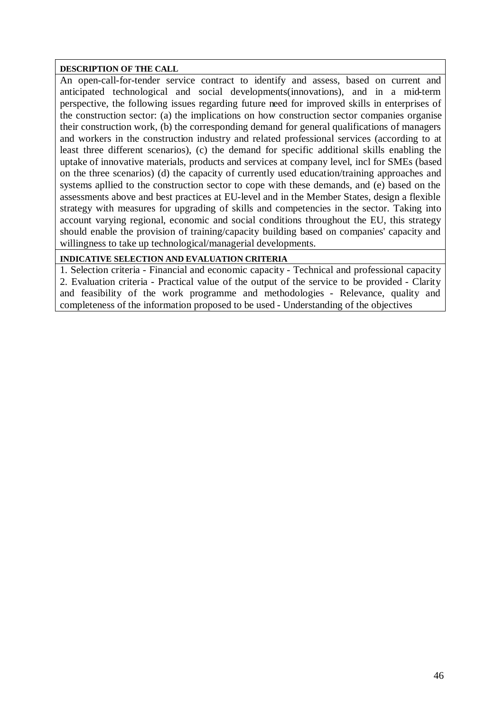#### **DESCRIPTION OF THE CALL**

An open-call-for-tender service contract to identify and assess, based on current and anticipated technological and social developments(innovations), and in a mid-term perspective, the following issues regarding future need for improved skills in enterprises of the construction sector: (a) the implications on how construction sector companies organise their construction work, (b) the corresponding demand for general qualifications of managers and workers in the construction industry and related professional services (according to at least three different scenarios), (c) the demand for specific additional skills enabling the uptake of innovative materials, products and services at company level, incl for SMEs (based on the three scenarios) (d) the capacity of currently used education/training approaches and systems apllied to the construction sector to cope with these demands, and (e) based on the assessments above and best practices at EU-level and in the Member States, design a flexible strategy with measures for upgrading of skills and competencies in the sector. Taking into account varying regional, economic and social conditions throughout the EU, this strategy should enable the provision of training/capacity building based on companies' capacity and willingness to take up technological/managerial developments.

#### **INDICATIVE SELECTION AND EVALUATION CRITERIA**

1. Selection criteria - Financial and economic capacity - Technical and professional capacity 2. Evaluation criteria - Practical value of the output of the service to be provided - Clarity and feasibility of the work programme and methodologies - Relevance, quality and completeness of the information proposed to be used - Understanding of the objectives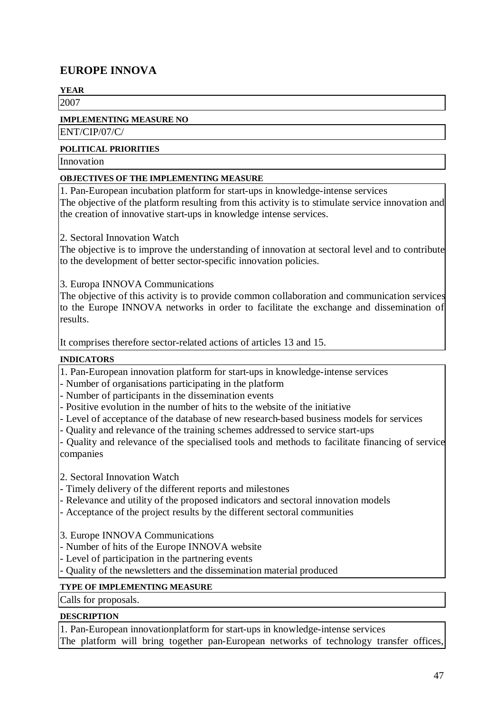# **EUROPE INNOVA**

# **YEAR**

2007

#### **IMPLEMENTING MEASURE NO**

ENT/CIP/07/C/

#### **POLITICAL PRIORITIES**

Innovation

#### **OBJECTIVES OF THE IMPLEMENTING MEASURE**

1. Pan-European incubation platform for start-ups in knowledge-intense services The objective of the platform resulting from this activity is to stimulate service innovation and the creation of innovative start-ups in knowledge intense services.

2. Sectoral Innovation Watch

The objective is to improve the understanding of innovation at sectoral level and to contribute to the development of better sector-specific innovation policies.

3. Europa INNOVA Communications

The objective of this activity is to provide common collaboration and communication services to the Europe INNOVA networks in order to facilitate the exchange and dissemination of results.

It comprises therefore sector-related actions of articles 13 and 15.

#### **INDICATORS**

1. Pan-European innovation platform for start-ups in knowledge-intense services

- Number of organisations participating in the platform

- Number of participants in the dissemination events

- Positive evolution in the number of hits to the website of the initiative

- Level of acceptance of the database of new research-based business models for services

- Quality and relevance of the training schemes addressed to service start-ups

- Quality and relevance of the specialised tools and methods to facilitate financing of service companies

2. Sectoral Innovation Watch

- Timely delivery of the different reports and milestones

- Relevance and utility of the proposed indicators and sectoral innovation models

- Acceptance of the project results by the different sectoral communities

3. Europe INNOVA Communications

- Number of hits of the Europe INNOVA website

- Level of participation in the partnering events

- Quality of the newsletters and the dissemination material produced

#### **TYPE OF IMPLEMENTING MEASURE**

Calls for proposals.

#### **DESCRIPTION**

1. Pan-European innovationplatform for start-ups in knowledge-intense services The platform will bring together pan-European networks of technology transfer offices,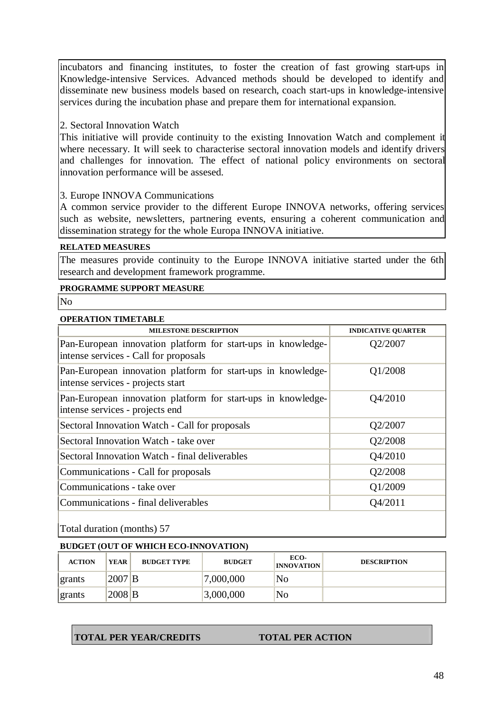incubators and financing institutes, to foster the creation of fast growing start-ups in Knowledge-intensive Services. Advanced methods should be developed to identify and disseminate new business models based on research, coach start-ups in knowledge-intensive services during the incubation phase and prepare them for international expansion.

#### 2. Sectoral Innovation Watch

This initiative will provide continuity to the existing Innovation Watch and complement it where necessary. It will seek to characterise sectoral innovation models and identify drivers and challenges for innovation. The effect of national policy environments on sectoral innovation performance will be assesed.

#### 3. Europe INNOVA Communications

A common service provider to the different Europe INNOVA networks, offering services such as website, newsletters, partnering events, ensuring a coherent communication and dissemination strategy for the whole Europa INNOVA initiative.

#### **RELATED MEASURES**

The measures provide continuity to the Europe INNOVA initiative started under the 6th research and development framework programme.

#### **PROGRAMME SUPPORT MEASURE**

No

#### **OPERATION TIMETABLE**

| <b>MILESTONE DESCRIPTION</b>                                                                          | <b>INDICATIVE QUARTER</b> |
|-------------------------------------------------------------------------------------------------------|---------------------------|
| Pan-European innovation platform for start-ups in knowledge-<br>intense services - Call for proposals | Q2/2007                   |
| Pan-European innovation platform for start-ups in knowledge-<br>intense services - projects start     | Q1/2008                   |
| Pan-European innovation platform for start-ups in knowledge-<br>intense services - projects end       | Q4/2010                   |
| Sectoral Innovation Watch - Call for proposals                                                        | Q2/2007                   |
| Sectoral Innovation Watch - take over                                                                 | Q2/2008                   |
| Sectoral Innovation Watch - final deliverables                                                        | Q4/2010                   |
| Communications - Call for proposals                                                                   | Q2/2008                   |
| Communications - take over                                                                            | Q1/2009                   |
| Communications - final deliverables                                                                   | Q4/2011                   |

Total duration (months) 57

#### **BUDGET (OUT OF WHICH ECO-INNOVATION)**

| <b>ACTION</b> | YEAR                | <b>BUDGET TYPE</b> | <b>BUDGET</b> | ECO-<br><b>INNOVATION</b> | <b>DESCRIPTION</b> |
|---------------|---------------------|--------------------|---------------|---------------------------|--------------------|
| grants        | $2007$ B            |                    | "7,000,000"   | No                        |                    |
| grants        | $2008$ <sub>B</sub> |                    | 3,000,000     | No                        |                    |

|  |  |  | <b>TOTAL PER YEAR/CREDITS</b> |  |
|--|--|--|-------------------------------|--|
|--|--|--|-------------------------------|--|

#### **TOTAL PER ACTION**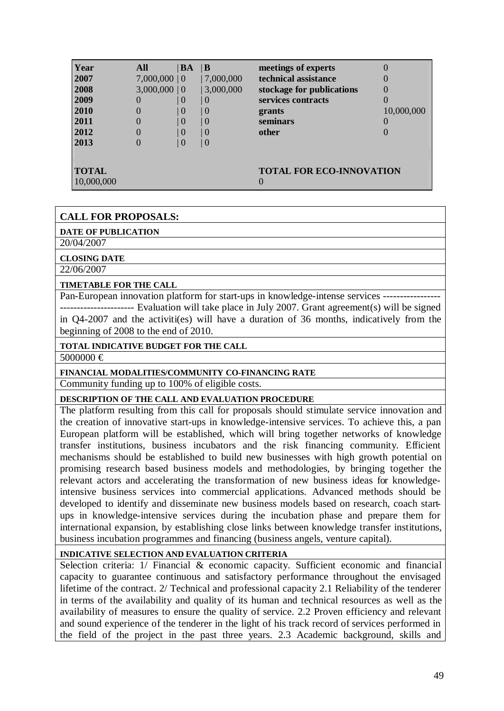| Year                       | All             | BA           | $\mathbf{B}$     | meetings of experts                                  |            |
|----------------------------|-----------------|--------------|------------------|------------------------------------------------------|------------|
| 2007                       | $7,000,000$   0 |              | 7,000,000        | technical assistance                                 |            |
| 2008                       | $3,000,000$   0 |              | 3,000,000        | stockage for publications                            |            |
| 2009                       |                 | 0            | $\mid 0 \rangle$ | services contracts                                   |            |
| 2010                       |                 | <sup>0</sup> | $\mid 0$         | grants                                               | 10,000,000 |
| 2011                       |                 | $\theta$     | $\mid 0$         | seminars                                             |            |
| 2012                       |                 | 0            | 0                | other                                                |            |
| 2013                       |                 |              | $\mid 0$         |                                                      |            |
|                            |                 |              |                  |                                                      |            |
| <b>TOTAL</b><br>10,000,000 |                 |              |                  | <b>TOTAL FOR ECO-INNOVATION</b><br>$\mathbf{\Omega}$ |            |

## **CALL FOR PROPOSALS:**

**DATE OF PUBLICATION**

20/04/2007

**CLOSING DATE**

22/06/2007

#### **TIMETABLE FOR THE CALL**

Pan-European innovation platform for start-ups in knowledge-intense services ---------------------------- Evaluation will take place in July 2007. Grant agreement(s) will be signed in Q4-2007 and the activiti(es) will have a duration of 36 months, indicatively from the beginning of 2008 to the end of 2010.

#### **TOTAL INDICATIVE BUDGET FOR THE CALL**

 $5000000 \in$ 

#### **FINANCIAL MODALITIES/COMMUNITY CO-FINANCING RATE**

Community funding up to 100% of eligible costs.

#### **DESCRIPTION OF THE CALL AND EVALUATION PROCEDURE**

The platform resulting from this call for proposals should stimulate service innovation and the creation of innovative start-ups in knowledge-intensive services. To achieve this, a pan European platform will be established, which will bring together networks of knowledge transfer institutions, business incubators and the risk financing community. Efficient mechanisms should be established to build new businesses with high growth potential on promising research based business models and methodologies, by bringing together the relevant actors and accelerating the transformation of new business ideas for knowledgeintensive business services into commercial applications. Advanced methods should be developed to identify and disseminate new business models based on research, coach startups in knowledge-intensive services during the incubation phase and prepare them for international expansion, by establishing close links between knowledge transfer institutions, business incubation programmes and financing (business angels, venture capital).

#### **INDICATIVE SELECTION AND EVALUATION CRITERIA**

Selection criteria: 1/ Financial & economic capacity. Sufficient economic and financial capacity to guarantee continuous and satisfactory performance throughout the envisaged lifetime of the contract. 2/ Technical and professional capacity 2.1 Reliability of the tenderer in terms of the availability and quality of its human and technical resources as well as the availability of measures to ensure the quality of service. 2.2 Proven efficiency and relevant and sound experience of the tenderer in the light of his track record of services performed in the field of the project in the past three years. 2.3 Academic background, skills and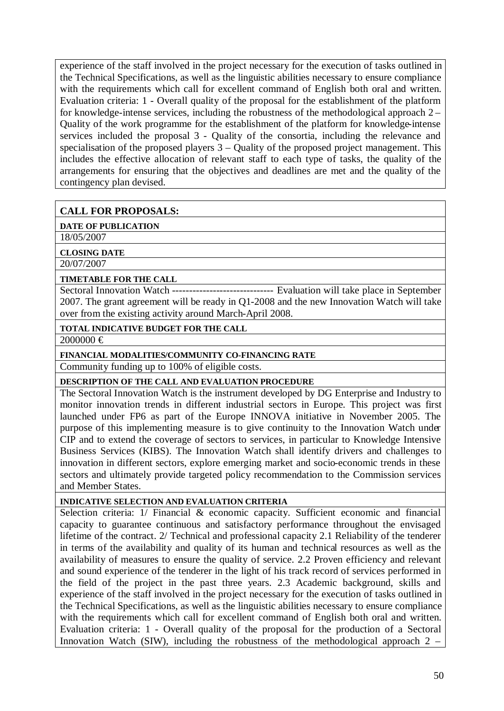experience of the staff involved in the project necessary for the execution of tasks outlined in the Technical Specifications, as well as the linguistic abilities necessary to ensure compliance with the requirements which call for excellent command of English both oral and written. Evaluation criteria: 1 - Overall quality of the proposal for the establishment of the platform for knowledge-intense services, including the robustness of the methodological approach 2 – Quality of the work programme for the establishment of the platform for knowledge-intense services included the proposal 3 - Quality of the consortia, including the relevance and specialisation of the proposed players 3 – Quality of the proposed project management. This includes the effective allocation of relevant staff to each type of tasks, the quality of the arrangements for ensuring that the objectives and deadlines are met and the quality of the contingency plan devised.

#### **CALL FOR PROPOSALS:**

**DATE OF PUBLICATION**

18/05/2007

**CLOSING DATE**

20/07/2007

#### **TIMETABLE FOR THE CALL**

Sectoral Innovation Watch ------------------------------ Evaluation will take place in September 2007. The grant agreement will be ready in Q1-2008 and the new Innovation Watch will take over from the existing activity around March-April 2008.

#### **TOTAL INDICATIVE BUDGET FOR THE CALL**

 $2000000 €$ 

**FINANCIAL MODALITIES/COMMUNITY CO-FINANCING RATE**

Community funding up to 100% of eligible costs.

#### **DESCRIPTION OF THE CALL AND EVALUATION PROCEDURE**

The Sectoral Innovation Watch is the instrument developed by DG Enterprise and Industry to monitor innovation trends in different industrial sectors in Europe. This project was first launched under FP6 as part of the Europe INNOVA initiative in November 2005. The purpose of this implementing measure is to give continuity to the Innovation Watch under CIP and to extend the coverage of sectors to services, in particular to Knowledge Intensive Business Services (KIBS). The Innovation Watch shall identify drivers and challenges to innovation in different sectors, explore emerging market and socio-economic trends in these sectors and ultimately provide targeted policy recommendation to the Commission services and Member States.

**INDICATIVE SELECTION AND EVALUATION CRITERIA**

Selection criteria: 1/ Financial & economic capacity. Sufficient economic and financial capacity to guarantee continuous and satisfactory performance throughout the envisaged lifetime of the contract. 2/ Technical and professional capacity 2.1 Reliability of the tenderer in terms of the availability and quality of its human and technical resources as well as the availability of measures to ensure the quality of service. 2.2 Proven efficiency and relevant and sound experience of the tenderer in the light of his track record of services performed in the field of the project in the past three years. 2.3 Academic background, skills and experience of the staff involved in the project necessary for the execution of tasks outlined in the Technical Specifications, as well as the linguistic abilities necessary to ensure compliance with the requirements which call for excellent command of English both oral and written. Evaluation criteria: 1 - Overall quality of the proposal for the production of a Sectoral Innovation Watch (SIW), including the robustness of the methodological approach 2 –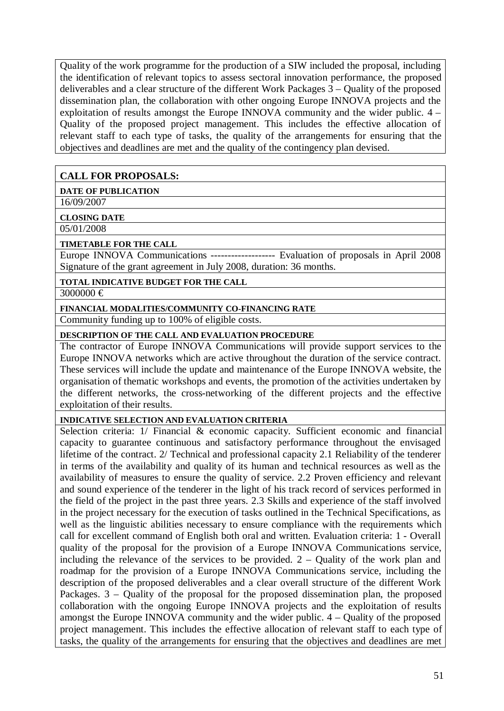Quality of the work programme for the production of a SIW included the proposal, including the identification of relevant topics to assess sectoral innovation performance, the proposed deliverables and a clear structure of the different Work Packages 3 – Quality of the proposed dissemination plan, the collaboration with other ongoing Europe INNOVA projects and the exploitation of results amongst the Europe INNOVA community and the wider public. 4 – Quality of the proposed project management. This includes the effective allocation of relevant staff to each type of tasks, the quality of the arrangements for ensuring that the objectives and deadlines are met and the quality of the contingency plan devised.

# **CALL FOR PROPOSALS:**

**DATE OF PUBLICATION**

16/09/2007

#### **CLOSING DATE**

05/01/2008

#### **TIMETABLE FOR THE CALL**

Europe INNOVA Communications ------------------- Evaluation of proposals in April 2008 Signature of the grant agreement in July 2008, duration: 36 months.

#### **TOTAL INDICATIVE BUDGET FOR THE CALL**

3000000 €

#### **FINANCIAL MODALITIES/COMMUNITY CO-FINANCING RATE**

Community funding up to 100% of eligible costs.

#### **DESCRIPTION OF THE CALL AND EVALUATION PROCEDURE**

The contractor of Europe INNOVA Communications will provide support services to the Europe INNOVA networks which are active throughout the duration of the service contract. These services will include the update and maintenance of the Europe INNOVA website, the organisation of thematic workshops and events, the promotion of the activities undertaken by the different networks, the cross-networking of the different projects and the effective exploitation of their results.

#### **INDICATIVE SELECTION AND EVALUATION CRITERIA**

Selection criteria: 1/ Financial & economic capacity. Sufficient economic and financial capacity to guarantee continuous and satisfactory performance throughout the envisaged lifetime of the contract. 2/ Technical and professional capacity 2.1 Reliability of the tenderer in terms of the availability and quality of its human and technical resources as well as the availability of measures to ensure the quality of service. 2.2 Proven efficiency and relevant and sound experience of the tenderer in the light of his track record of services performed in the field of the project in the past three years. 2.3 Skills and experience of the staff involved in the project necessary for the execution of tasks outlined in the Technical Specifications, as well as the linguistic abilities necessary to ensure compliance with the requirements which call for excellent command of English both oral and written. Evaluation criteria: 1 - Overall quality of the proposal for the provision of a Europe INNOVA Communications service, including the relevance of the services to be provided.  $2 -$  Quality of the work plan and roadmap for the provision of a Europe INNOVA Communications service, including the description of the proposed deliverables and a clear overall structure of the different Work Packages. 3 – Quality of the proposal for the proposed dissemination plan, the proposed collaboration with the ongoing Europe INNOVA projects and the exploitation of results amongst the Europe INNOVA community and the wider public. 4 – Quality of the proposed project management. This includes the effective allocation of relevant staff to each type of tasks, the quality of the arrangements for ensuring that the objectives and deadlines are met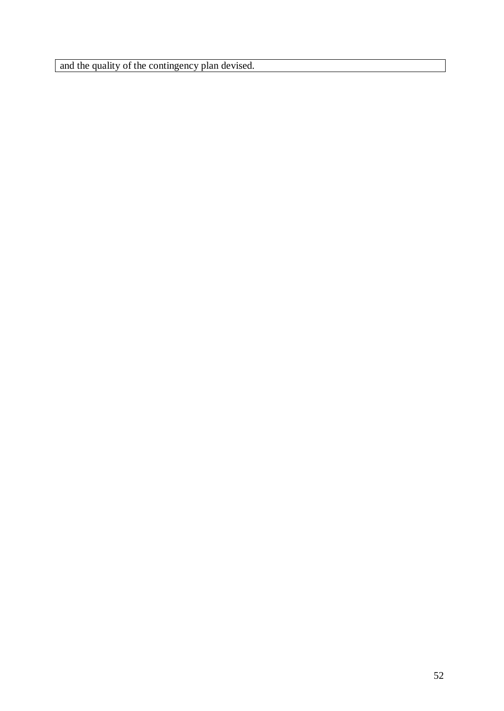and the quality of the contingency plan devised.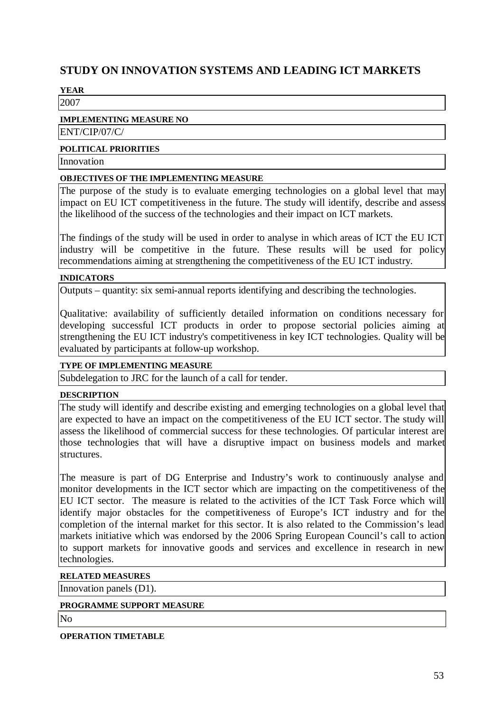# **STUDY ON INNOVATION SYSTEMS AND LEADING ICT MARKETS**

# **YEAR**

2007

#### **IMPLEMENTING MEASURE NO**

ENT/CIP/07/C/

#### **POLITICAL PRIORITIES**

Innovation

#### **OBJECTIVES OF THE IMPLEMENTING MEASURE**

The purpose of the study is to evaluate emerging technologies on a global level that may impact on EU ICT competitiveness in the future. The study will identify, describe and assess the likelihood of the success of the technologies and their impact on ICT markets.

The findings of the study will be used in order to analyse in which areas of ICT the EU ICT industry will be competitive in the future. These results will be used for policy recommendations aiming at strengthening the competitiveness of the EU ICT industry.

#### **INDICATORS**

Outputs – quantity: six semi-annual reports identifying and describing the technologies.

Qualitative: availability of sufficiently detailed information on conditions necessary for developing successful ICT products in order to propose sectorial policies aiming at strengthening the EU ICT industry's competitiveness in key ICT technologies. Quality will be evaluated by participants at follow-up workshop.

#### **TYPE OF IMPLEMENTING MEASURE**

Subdelegation to JRC for the launch of a call for tender.

#### **DESCRIPTION**

The study will identify and describe existing and emerging technologies on a global level that are expected to have an impact on the competitiveness of the EU ICT sector. The study will assess the likelihood of commercial success for these technologies. Of particular interest are those technologies that will have a disruptive impact on business models and market structures.

The measure is part of DG Enterprise and Industry's work to continuously analyse and monitor developments in the ICT sector which are impacting on the competitiveness of the EU ICT sector. The measure is related to the activities of the ICT Task Force which will identify major obstacles for the competitiveness of Europe's ICT industry and for the completion of the internal market for this sector. It is also related to the Commission's lead markets initiative which was endorsed by the 2006 Spring European Council's call to action to support markets for innovative goods and services and excellence in research in new technologies.

#### **RELATED MEASURES**

Innovation panels (D1).

#### **PROGRAMME SUPPORT MEASURE**

No

#### **OPERATION TIMETABLE**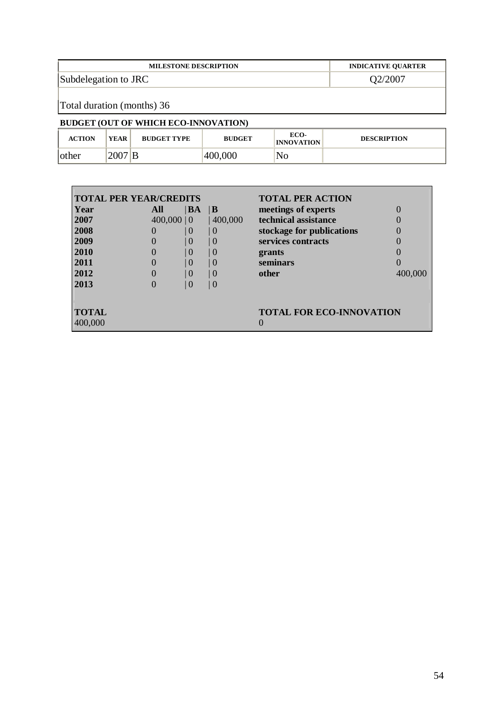| <b>MILESTONE DESCRIPTION</b> | <b>INDICATIVE QUARTER</b> |
|------------------------------|---------------------------|
| Subdelegation to JRC         | Q2/2007                   |

Total duration (months) 36

| <b>ACTION</b> | <b>YEAR</b> | <b>BUDGET TYPE</b> | <b>BUDGET</b> | ECO-<br><b>INNOVATION</b> | <b>DESCRIPTION</b> |
|---------------|-------------|--------------------|---------------|---------------------------|--------------------|
| lother        | $2007$ B    |                    | 400,000       | No                        |                    |

| <b>TOTAL PER YEAR/CREDITS</b> |                  |                  |                  | <b>TOTAL PER ACTION</b>         |         |
|-------------------------------|------------------|------------------|------------------|---------------------------------|---------|
| Year                          | All              | <b>BA</b>        | $\mathbf{B}$     | meetings of experts             |         |
| 2007                          | $400,000 \mid 0$ |                  | 400,000          | technical assistance            |         |
| 2008                          |                  | $\theta$         | ()               | stockage for publications       |         |
| 2009                          |                  | $\left( \right)$ | $\left( \right)$ | services contracts              |         |
| 2010                          |                  | $\theta$         | 0                | grants                          |         |
| 2011                          |                  | $\overline{0}$   | $\theta$         | seminars                        |         |
| 2012                          |                  | $\left( \right)$ | $\left( \right)$ | other                           | 400,000 |
| 2013                          |                  | $\Omega$         | $\left($         |                                 |         |
|                               |                  |                  |                  |                                 |         |
| <b>TOTAL</b><br>400,000       |                  |                  |                  | <b>TOTAL FOR ECO-INNOVATION</b> |         |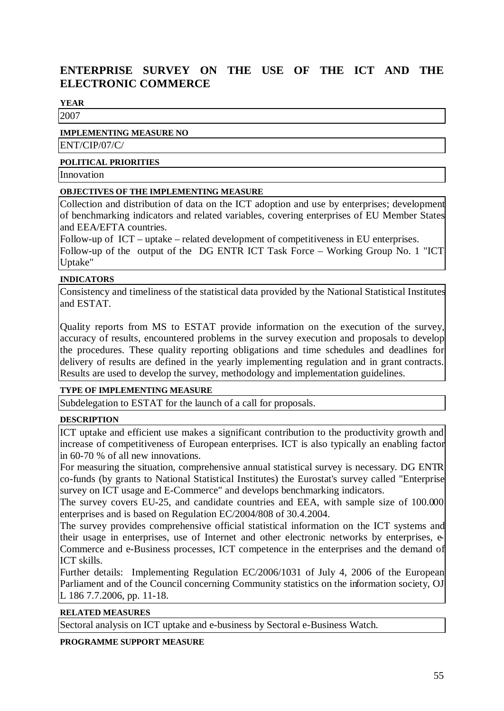# **ENTERPRISE SURVEY ON THE USE OF THE ICT AND THE ELECTRONIC COMMERCE**

#### **YEAR**

2007

#### **IMPLEMENTING MEASURE NO**

ENT/CIP/07/C/

#### **POLITICAL PRIORITIES**

Innovation

#### **OBJECTIVES OF THE IMPLEMENTING MEASURE**

Collection and distribution of data on the ICT adoption and use by enterprises; development of benchmarking indicators and related variables, covering enterprises of EU Member States and EEA/EFTA countries.

Follow-up of ICT – uptake – related development of competitiveness in EU enterprises.

Follow-up of the output of the DG ENTR ICT Task Force – Working Group No. 1 "ICT Uptake"

#### **INDICATORS**

Consistency and timeliness of the statistical data provided by the National Statistical Institutes and ESTAT.

Quality reports from MS to ESTAT provide information on the execution of the survey, accuracy of results, encountered problems in the survey execution and proposals to develop the procedures. These quality reporting obligations and time schedules and deadlines for delivery of results are defined in the yearly implementing regulation and in grant contracts. Results are used to develop the survey, methodology and implementation guidelines.

#### **TYPE OF IMPLEMENTING MEASURE**

Subdelegation to ESTAT for the launch of a call for proposals.

#### **DESCRIPTION**

ICT uptake and efficient use makes a significant contribution to the productivity growth and increase of competitiveness of European enterprises. ICT is also typically an enabling factor in 60-70 % of all new innovations.

For measuring the situation, comprehensive annual statistical survey is necessary. DG ENTR co-funds (by grants to National Statistical Institutes) the Eurostat's survey called "Enterprise survey on ICT usage and E-Commerce" and develops benchmarking indicators.

The survey covers EU-25, and candidate countries and EEA, with sample size of 100.000 enterprises and is based on Regulation EC/2004/808 of 30.4.2004.

The survey provides comprehensive official statistical information on the ICT systems and their usage in enterprises, use of Internet and other electronic networks by enterprises, e-Commerce and e-Business processes, ICT competence in the enterprises and the demand of ICT skills.

Further details: Implementing Regulation EC/2006/1031 of July 4, 2006 of the European Parliament and of the Council concerning Community statistics on the information society, OJ L 186 7.7.2006, pp. 11-18.

#### **RELATED MEASURES**

Sectoral analysis on ICT uptake and e-business by Sectoral e-Business Watch.

#### **PROGRAMME SUPPORT MEASURE**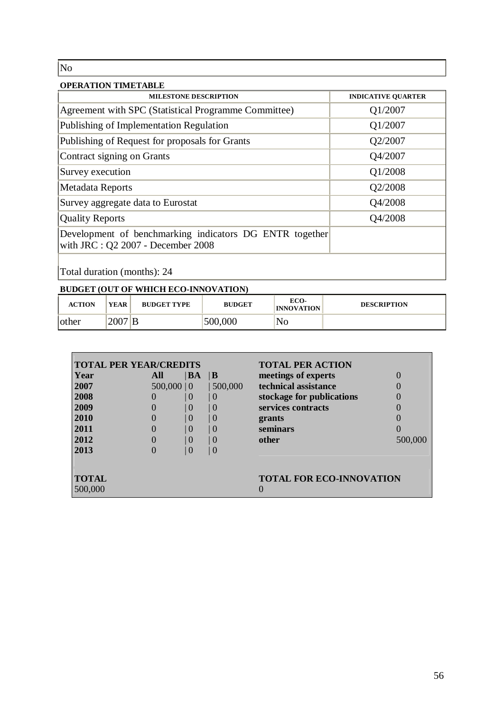No

| <b>MILESTONE DESCRIPTION</b>                                                                    | <b>INDICATIVE QUARTER</b> |
|-------------------------------------------------------------------------------------------------|---------------------------|
| Agreement with SPC (Statistical Programme Committee)                                            | Q1/2007                   |
| Publishing of Implementation Regulation                                                         | Q1/2007                   |
| Publishing of Request for proposals for Grants                                                  | Q2/2007                   |
| Contract signing on Grants                                                                      | Q4/2007                   |
| Survey execution                                                                                | Q1/2008                   |
| Metadata Reports                                                                                | Q2/2008                   |
| Survey aggregate data to Eurostat                                                               | Q4/2008                   |
| <b>Quality Reports</b>                                                                          | Q4/2008                   |
| Development of benchmarking indicators DG ENTR together<br>with JRC : $Q2 2007$ - December 2008 |                           |

Total duration (months): 24

| <b>ACTION</b> | <b>YEAR</b> | <b>BUDGET TYPE</b> | <b>BUDGET</b> | ECO-<br><b>INNOVATION</b> | <b>DESCRIPTION</b> |
|---------------|-------------|--------------------|---------------|---------------------------|--------------------|
| Iother        | $2007$ B    |                    | 500,000       | No                        |                    |

| <b>TOTAL PER YEAR/CREDITS</b> |                  |          |              | <b>TOTAL PER ACTION</b>                          |                  |
|-------------------------------|------------------|----------|--------------|--------------------------------------------------|------------------|
| Year                          | All              | BA       | $\mathbf{B}$ | meetings of experts                              | $\left( \right)$ |
| 2007                          | $500,000 \mid 0$ |          | 500,000      | technical assistance                             |                  |
| 2008                          |                  | 0        | 0            | stockage for publications                        |                  |
| 2009                          |                  | 0        | $\theta$     | services contracts                               |                  |
| 2010                          |                  | ()       | ()           | grants                                           |                  |
| 2011                          |                  | $\theta$ | ()           | seminars                                         |                  |
| 2012                          |                  | $\Omega$ | $\theta$     | other                                            | 500,000          |
| 2013                          |                  | $\Omega$ | 0            |                                                  |                  |
|                               |                  |          |              |                                                  |                  |
| <b>TOTAL</b><br>500,000       |                  |          |              | <b>TOTAL FOR ECO-INNOVATION</b><br>$\mathcal{O}$ |                  |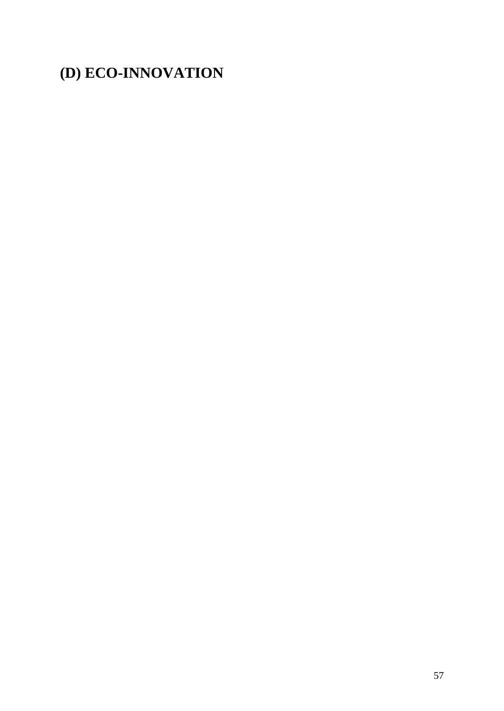# **(D) ECO-INNOVATION**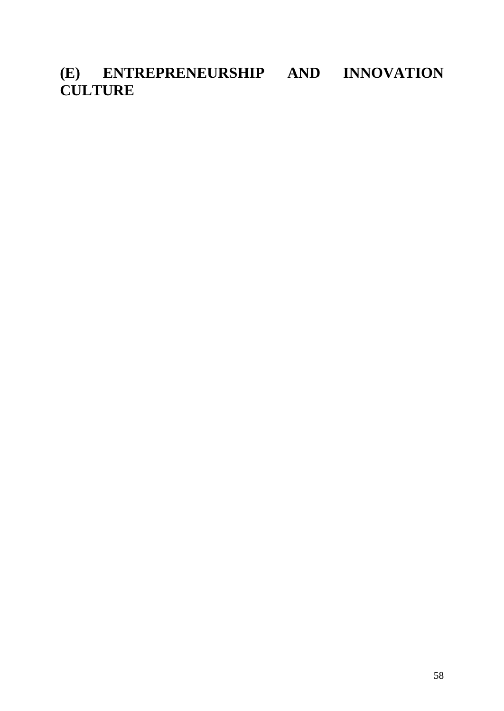**(E) ENTREPRENEURSHIP AND INNOVATION CULTURE**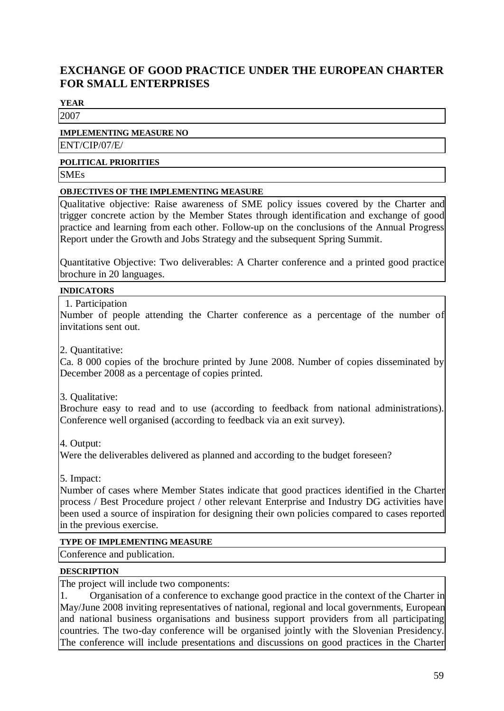# **EXCHANGE OF GOOD PRACTICE UNDER THE EUROPEAN CHARTER FOR SMALL ENTERPRISES**

#### **YEAR**

2007

**IMPLEMENTING MEASURE NO**

ENT/CIP/07/E/

#### **POLITICAL PRIORITIES**

**SMEs** 

#### **OBJECTIVES OF THE IMPLEMENTING MEASURE**

Qualitative objective: Raise awareness of SME policy issues covered by the Charter and trigger concrete action by the Member States through identification and exchange of good practice and learning from each other. Follow-up on the conclusions of the Annual Progress Report under the Growth and Jobs Strategy and the subsequent Spring Summit.

Quantitative Objective: Two deliverables: A Charter conference and a printed good practice brochure in 20 languages.

#### **INDICATORS**

1. Participation

Number of people attending the Charter conference as a percentage of the number of invitations sent out.

2. Quantitative:

Ca. 8 000 copies of the brochure printed by June 2008. Number of copies disseminated by December 2008 as a percentage of copies printed.

3. Qualitative:

Brochure easy to read and to use (according to feedback from national administrations). Conference well organised (according to feedback via an exit survey).

4. Output:

Were the deliverables delivered as planned and according to the budget foreseen?

5. Impact:

Number of cases where Member States indicate that good practices identified in the Charter process / Best Procedure project / other relevant Enterprise and Industry DG activities have been used a source of inspiration for designing their own policies compared to cases reported in the previous exercise.

#### **TYPE OF IMPLEMENTING MEASURE**

Conference and publication.

#### **DESCRIPTION**

The project will include two components:

1. Organisation of a conference to exchange good practice in the context of the Charter in May/June 2008 inviting representatives of national, regional and local governments, European and national business organisations and business support providers from all participating countries. The two-day conference will be organised jointly with the Slovenian Presidency. The conference will include presentations and discussions on good practices in the Charter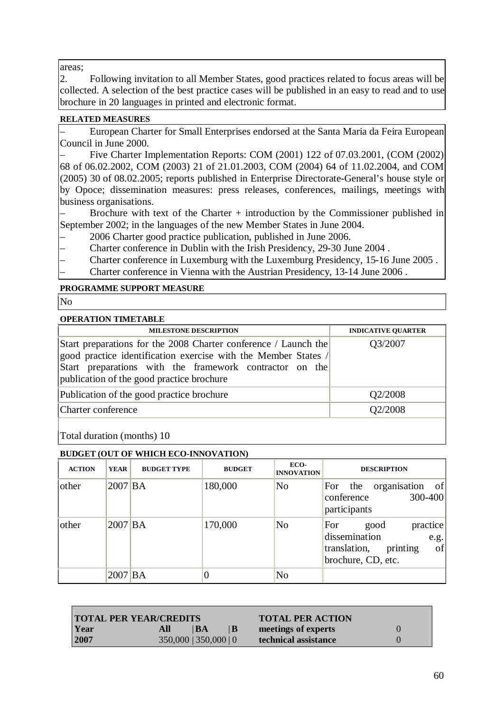areas;

2. Following invitation to all Member States, good practices related to focus areas will be collected. A selection of the best practice cases will be published in an easy to read and to use brochure in 20 languages in printed and electronic format.

#### **RELATED MEASURES**

– European Charter for Small Enterprises endorsed at the Santa Maria da Feira European Council in June 2000.

– Five Charter Implementation Reports: COM (2001) 122 of 07.03.2001, (COM (2002) 68 of 06.02.2002, COM (2003) 21 of 21.01.2003, COM (2004) 64 of 11.02.2004, and COM (2005) 30 of 08.02.2005; reports published in Enterprise Directorate-General's house style or by Opoce; dissemination measures: press releases, conferences, mailings, meetings with business organisations.

Brochure with text of the Charter  $+$  introduction by the Commissioner published in September 2002; in the languages of the new Member States in June 2004.

- 2006 Charter good practice publication, published in June 2006.
- Charter conference in Dublin with the Irish Presidency, 29-30 June 2004 .
- Charter conference in Luxemburg with the Luxemburg Presidency, 15-16 June 2005 .
- Charter conference in Vienna with the Austrian Presidency, 13-14 June 2006 .

#### **PROGRAMME SUPPORT MEASURE**

No

#### **OPERATION TIMETABLE**

| <b>MILESTONE DESCRIPTION</b>                                                                                                                                                                                                              | <b>INDICATIVE QUARTER</b> |
|-------------------------------------------------------------------------------------------------------------------------------------------------------------------------------------------------------------------------------------------|---------------------------|
| Start preparations for the 2008 Charter conference / Launch the<br>good practice identification exercise with the Member States /<br>Start preparations with the framework contractor on the<br>publication of the good practice brochure | Q3/2007                   |
| Publication of the good practice brochure                                                                                                                                                                                                 | Q2/2008                   |
| Charter conference                                                                                                                                                                                                                        | Q2/2008                   |
|                                                                                                                                                                                                                                           |                           |

Total duration (months) 10

| <b>ACTION</b> | <b>YEAR</b> | <b>BUDGET TYPE</b> | <b>BUDGET</b> | ECO-<br><b>INNOVATION</b> | <b>DESCRIPTION</b>                                                                                       |
|---------------|-------------|--------------------|---------------|---------------------------|----------------------------------------------------------------------------------------------------------|
| other         | $2007$ BA   |                    | 180,000       | No                        | organisation of<br>For the<br>300-400<br>conference<br>participants                                      |
| other         | $2007$ BA   |                    | 170,000       | No                        | practice<br>For<br>good<br>dissemination<br>e.g.<br>of<br>printing<br>translation,<br>brochure, CD, etc. |
|               | $2007$ BA   |                    | 0             | N <sub>o</sub>            |                                                                                                          |

| <b>TOTAL PER YEAR/CREDITS</b> |     |                           | <b>TOTAL PER ACTION</b> |                      |  |
|-------------------------------|-----|---------------------------|-------------------------|----------------------|--|
| <b>Year</b>                   | All | <b>BA</b>                 | B                       | meetings of experts  |  |
| 2007                          |     | $350,000$   $350,000$   0 |                         | technical assistance |  |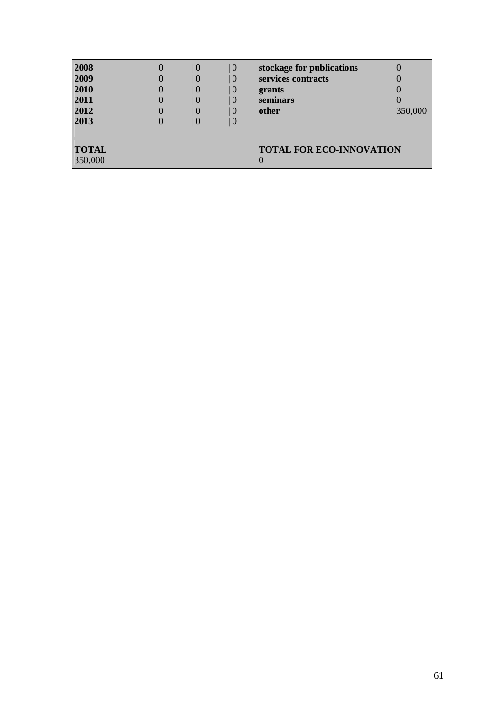| 2008<br>2009<br>2010<br>2011<br>2012<br>2013 | 0<br>0 | $\theta$<br>$\theta$<br>$\theta$<br>$\theta$<br>$\theta$<br>0 | $\mid 0 \mid$<br>$\theta$<br>$\theta$<br>$\theta$<br>$\theta$<br>$\theta$ | stockage for publications<br>services contracts<br>grants<br>seminars<br>other | 0<br>O<br>0<br>350,000 |
|----------------------------------------------|--------|---------------------------------------------------------------|---------------------------------------------------------------------------|--------------------------------------------------------------------------------|------------------------|
| <b>TOTAL</b><br>350,000                      |        |                                                               |                                                                           | <b>TOTAL FOR ECO-INNOVATION</b>                                                |                        |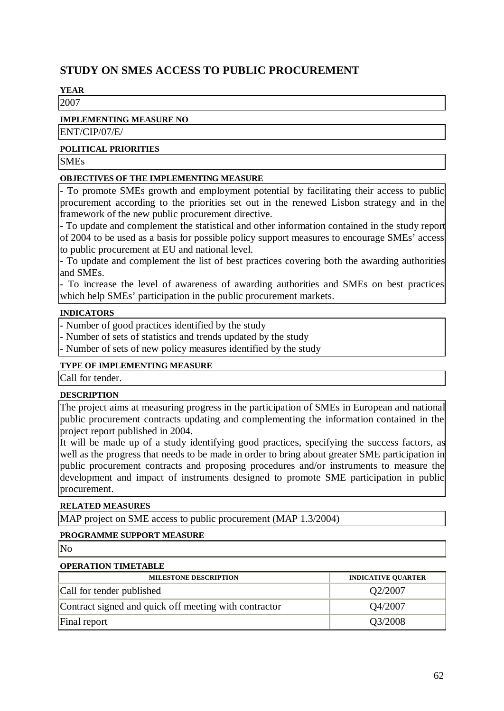# **STUDY ON SMES ACCESS TO PUBLIC PROCUREMENT**

# **YEAR**

2007

#### **IMPLEMENTING MEASURE NO**

ENT/CIP/07/E/

#### **POLITICAL PRIORITIES**

**SMEs** 

#### **OBJECTIVES OF THE IMPLEMENTING MEASURE**

- To promote SMEs growth and employment potential by facilitating their access to public procurement according to the priorities set out in the renewed Lisbon strategy and in the framework of the new public procurement directive.

- To update and complement the statistical and other information contained in the study report of 2004 to be used as a basis for possible policy support measures to encourage SMEs' access to public procurement at EU and national level.

- To update and complement the list of best practices covering both the awarding authorities and SMEs.

- To increase the level of awareness of awarding authorities and SMEs on best practices which help SMEs' participation in the public procurement markets.

#### **INDICATORS**

- Number of good practices identified by the study

- Number of sets of statistics and trends updated by the study

- Number of sets of new policy measures identified by the study

#### **TYPE OF IMPLEMENTING MEASURE**

Call for tender.

#### **DESCRIPTION**

The project aims at measuring progress in the participation of SMEs in European and national public procurement contracts updating and complementing the information contained in the project report published in 2004.

It will be made up of a study identifying good practices, specifying the success factors, as well as the progress that needs to be made in order to bring about greater SME participation in public procurement contracts and proposing procedures and/or instruments to measure the development and impact of instruments designed to promote SME participation in public procurement.

#### **RELATED MEASURES**

MAP project on SME access to public procurement (MAP 1.3/2004)

#### **PROGRAMME SUPPORT MEASURE**

No

#### **OPERATION TIMETABLE**

| <b>MILESTONE DESCRIPTION</b>                          | <b>INDICATIVE OUARTER</b> |
|-------------------------------------------------------|---------------------------|
| Call for tender published                             | Q2/2007                   |
| Contract signed and quick off meeting with contractor | Q4/2007                   |
| Final report                                          | Q3/2008                   |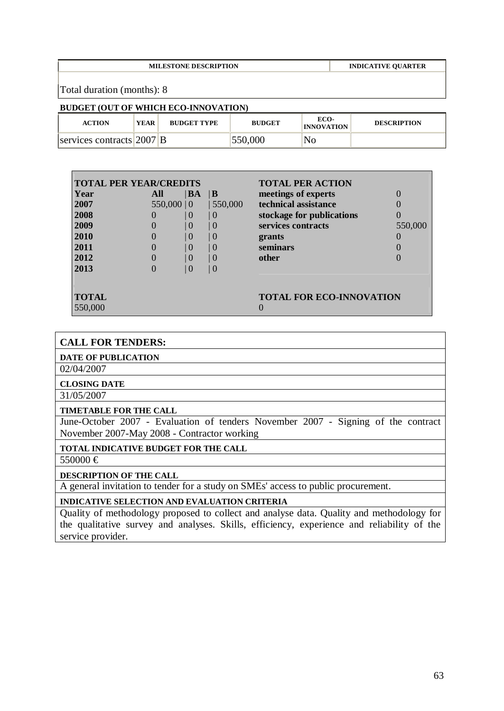|                            | <b>MILESTONE DESCRIPTION</b> |                                             | <b>INDICATIVE QUARTER</b> |                                 |                    |
|----------------------------|------------------------------|---------------------------------------------|---------------------------|---------------------------------|--------------------|
| Total duration (months): 8 |                              |                                             |                           |                                 |                    |
|                            |                              | <b>BUDGET (OUT OF WHICH ECO-INNOVATION)</b> |                           |                                 |                    |
| <b>ACTION</b>              | <b>YEAR</b>                  | <b>BUDGET TYPE</b>                          | <b>BUDGET</b>             | ECO-<br><b>TATALOUS</b> APPEALS | <b>DESCRIPTION</b> |

| <b>ACTION</b>             | <b>YEAR</b> | <b>BUDGET TYPE</b> | <b>BUDGET</b> | ECO-<br><b>INNOVATION</b> | <b>DESCRIPTION</b> |
|---------------------------|-------------|--------------------|---------------|---------------------------|--------------------|
| services contracts 2007 B |             |                    | 550,000       | No                        |                    |

| <b>TOTAL PER YEAR/CREDITS</b> |                  |                  |                  | <b>TOTAL PER ACTION</b>         |         |
|-------------------------------|------------------|------------------|------------------|---------------------------------|---------|
| Year                          | All              | <b>BA</b>        | $\mathbf{B}$     | meetings of experts             |         |
| 2007                          | $550,000 \mid 0$ |                  | 550,000          | technical assistance            |         |
| 2008                          |                  | $\left( \right)$ | $\left( \right)$ | stockage for publications       |         |
| 2009                          |                  | $\theta$         | ()               | services contracts              | 550,000 |
| 2010                          |                  | $\overline{0}$   | $\mid$ ()        | grants                          |         |
| 2011                          |                  | $\left( \right)$ | $\mid$ ()        | seminars                        |         |
| 2012                          |                  | $\Omega$         | $\mid$ ()        | other                           |         |
| 2013                          |                  | $\theta$         | $\mid$ ()        |                                 |         |
| <b>TOTAL</b><br>550,000       |                  |                  |                  | <b>TOTAL FOR ECO-INNOVATION</b> |         |

#### **CALL FOR TENDERS:**

**DATE OF PUBLICATION**

02/04/2007

**CLOSING DATE**

31/05/2007

#### **TIMETABLE FOR THE CALL**

June-October 2007 - Evaluation of tenders November 2007 - Signing of the contract November 2007-May 2008 - Contractor working

# **TOTAL INDICATIVE BUDGET FOR THE CALL**

 $550000 \in$ 

#### **DESCRIPTION OF THE CALL**

A general invitation to tender for a study on SMEs' access to public procurement.

#### **INDICATIVE SELECTION AND EVALUATION CRITERIA**

Quality of methodology proposed to collect and analyse data. Quality and methodology for the qualitative survey and analyses. Skills, efficiency, experience and reliability of the service provider.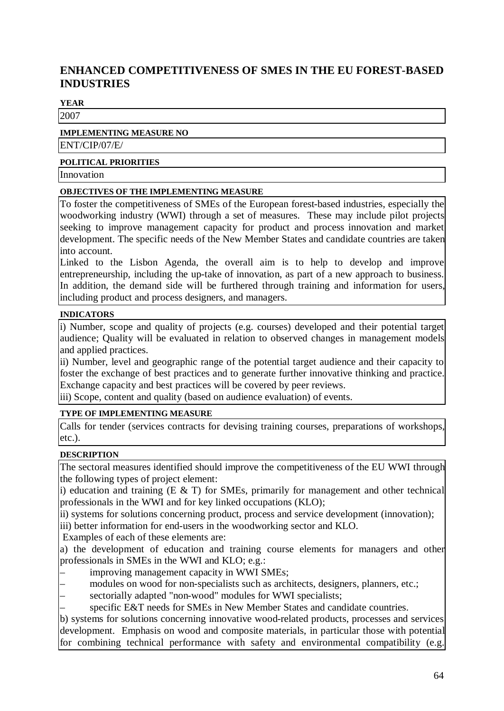# **ENHANCED COMPETITIVENESS OF SMES IN THE EU FOREST-BASED INDUSTRIES**

#### **YEAR**

2007

#### **IMPLEMENTING MEASURE NO**

ENT/CIP/07/E/

#### **POLITICAL PRIORITIES**

Innovation

#### **OBJECTIVES OF THE IMPLEMENTING MEASURE**

To foster the competitiveness of SMEs of the European forest-based industries, especially the woodworking industry (WWI) through a set of measures. These may include pilot projects seeking to improve management capacity for product and process innovation and market development. The specific needs of the New Member States and candidate countries are taken into account.

Linked to the Lisbon Agenda, the overall aim is to help to develop and improve entrepreneurship, including the up-take of innovation, as part of a new approach to business. In addition, the demand side will be furthered through training and information for users, including product and process designers, and managers.

#### **INDICATORS**

i) Number, scope and quality of projects (e.g. courses) developed and their potential target audience; Quality will be evaluated in relation to observed changes in management models and applied practices.

ii) Number, level and geographic range of the potential target audience and their capacity to foster the exchange of best practices and to generate further innovative thinking and practice. Exchange capacity and best practices will be covered by peer reviews.

iii) Scope, content and quality (based on audience evaluation) of events.

#### **TYPE OF IMPLEMENTING MEASURE**

Calls for tender (services contracts for devising training courses, preparations of workshops, etc.).

#### **DESCRIPTION**

The sectoral measures identified should improve the competitiveness of the EU WWI through the following types of project element:

i) education and training  $(E \& T)$  for SMEs, primarily for management and other technical professionals in the WWI and for key linked occupations (KLO);

ii) systems for solutions concerning product, process and service development (innovation);

iii) better information for end-users in the woodworking sector and KLO.

Examples of each of these elements are:

a) the development of education and training course elements for managers and other professionals in SMEs in the WWI and KLO; e.g.:

- improving management capacity in WWI SMEs;
- modules on wood for non-specialists such as architects, designers, planners, etc.;
- sectorially adapted "non-wood" modules for WWI specialists;

– specific E&T needs for SMEs in New Member States and candidate countries.

b) systems for solutions concerning innovative wood-related products, processes and services development. Emphasis on wood and composite materials, in particular those with potential for combining technical performance with safety and environmental compatibility (e.g.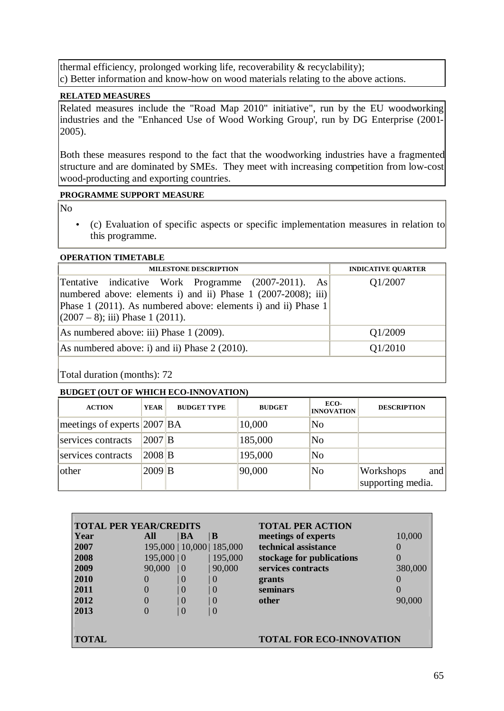thermal efficiency, prolonged working life, recoverability & recyclability); c) Better information and know-how on wood materials relating to the above actions.

#### **RELATED MEASURES**

Related measures include the "Road Map 2010" initiative", run by the EU woodworking industries and the "Enhanced Use of Wood Working Group', run by DG Enterprise (2001- 2005).

Both these measures respond to the fact that the woodworking industries have a fragmented structure and are dominated by SMEs. They meet with increasing competition from low-cost wood-producting and exporting countries.

#### **PROGRAMME SUPPORT MEASURE**

No

• (c) Evaluation of specific aspects or specific implementation measures in relation to this programme.

#### **OPERATION TIMETABLE**

| <b>MILESTONE DESCRIPTION</b>                                                                                                                                                                                                    | <b>INDICATIVE OUARTER</b> |
|---------------------------------------------------------------------------------------------------------------------------------------------------------------------------------------------------------------------------------|---------------------------|
| Tentative indicative Work Programme (2007-2011). As<br>numbered above: elements i) and ii) Phase $1$ (2007-2008); iii)<br>Phase 1 (2011). As numbered above: elements i) and ii) Phase 1<br>$(2007 – 8)$ ; iii) Phase 1 (2011). | Q1/2007                   |
| As numbered above: iii) Phase 1 (2009).                                                                                                                                                                                         | Q1/2009                   |
| As numbered above: i) and ii) Phase $2(2010)$ .                                                                                                                                                                                 | Q1/2010                   |
|                                                                                                                                                                                                                                 |                           |

Total duration (months): 72

| <b>ACTION</b>                  | <b>YEAR</b>         | <b>BUDGET TYPE</b> | <b>BUDGET</b> | ECO-<br><b>INNOVATION</b> | <b>DESCRIPTION</b>                    |
|--------------------------------|---------------------|--------------------|---------------|---------------------------|---------------------------------------|
| meetings of experts $ 2007 BA$ |                     |                    | 10,000        | No                        |                                       |
| services contracts             | $2007$ B            |                    | 185,000       | No                        |                                       |
| services contracts             | $2008$ <sub>B</sub> |                    | 195,000       | No                        |                                       |
| other                          | $2009$ <sub>B</sub> |                    | 90,000        | No                        | Workshops<br>and<br>supporting media. |

| <b>TOTAL PER YEAR/CREDITS</b> |                  |                |                            | <b>TOTAL PER ACTION</b>         |                  |
|-------------------------------|------------------|----------------|----------------------------|---------------------------------|------------------|
| Year                          | All              | BA             | B                          | meetings of experts             | 10,000           |
| 2007                          |                  |                | 195,000   10,000   185,000 | technical assistance            |                  |
| 2008                          | $195,000 \mid 0$ |                | 195,000                    | stockage for publications       | $\left( \right)$ |
| 2009                          | 90,000           | $\overline{0}$ | 90,000                     | services contracts              | 380,000          |
| 2010                          | $\theta$         | O              | $\left($                   | grants                          |                  |
| 2011                          |                  | $\overline{0}$ | ()                         | seminars                        |                  |
| 2012                          |                  | 1 O            | ()                         | other                           | 90,000           |
| 2013                          |                  | ()             | ()                         |                                 |                  |
|                               |                  |                |                            |                                 |                  |
| <b>TOTAL</b>                  |                  |                |                            | <b>TOTAL FOR ECO-INNOVATION</b> |                  |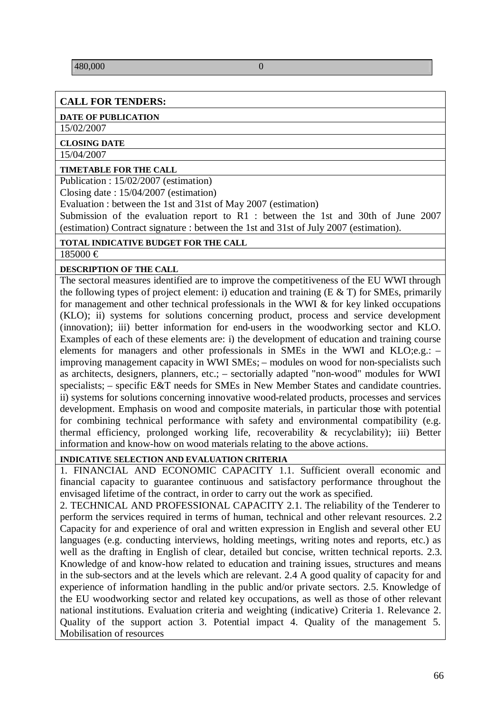#### **CALL FOR TENDERS:**

#### **DATE OF PUBLICATION**

15/02/2007

#### **CLOSING DATE**

15/04/2007

#### **TIMETABLE FOR THE CALL**

Publication : 15/02/2007 (estimation)

Closing date : 15/04/2007 (estimation)

Evaluation : between the 1st and 31st of May 2007 (estimation)

Submission of the evaluation report to R1 : between the 1st and 30th of June 2007 (estimation) Contract signature : between the 1st and 31st of July 2007 (estimation).

#### **TOTAL INDICATIVE BUDGET FOR THE CALL**

185000 €

#### **DESCRIPTION OF THE CALL**

The sectoral measures identified are to improve the competitiveness of the EU WWI through the following types of project element: i) education and training ( $E \& T$ ) for SMEs, primarily for management and other technical professionals in the WWI & for key linked occupations (KLO); ii) systems for solutions concerning product, process and service development (innovation); iii) better information for end-users in the woodworking sector and KLO. Examples of each of these elements are: i) the development of education and training course elements for managers and other professionals in SMEs in the WWI and KLO;e.g.: – improving management capacity in WWI SMEs; – modules on wood for non-specialists such as architects, designers, planners, etc.; – sectorially adapted "non-wood" modules for WWI specialists; – specific E&T needs for SMEs in New Member States and candidate countries. ii) systems for solutions concerning innovative wood-related products, processes and services development. Emphasis on wood and composite materials, in particular those with potential for combining technical performance with safety and environmental compatibility (e.g. thermal efficiency, prolonged working life, recoverability & recyclability); iii) Better information and know-how on wood materials relating to the above actions.

#### **INDICATIVE SELECTION AND EVALUATION CRITERIA**

1. FINANCIAL AND ECONOMIC CAPACITY 1.1. Sufficient overall economic and financial capacity to guarantee continuous and satisfactory performance throughout the envisaged lifetime of the contract, in order to carry out the work as specified.

2. TECHNICAL AND PROFESSIONAL CAPACITY 2.1. The reliability of the Tenderer to perform the services required in terms of human, technical and other relevant resources. 2.2 Capacity for and experience of oral and written expression in English and several other EU languages (e.g. conducting interviews, holding meetings, writing notes and reports, etc.) as well as the drafting in English of clear, detailed but concise, written technical reports. 2.3. Knowledge of and know-how related to education and training issues, structures and means in the sub-sectors and at the levels which are relevant. 2.4 A good quality of capacity for and experience of information handling in the public and/or private sectors. 2.5. Knowledge of the EU woodworking sector and related key occupations, as well as those of other relevant national institutions. Evaluation criteria and weighting (indicative) Criteria 1. Relevance 2. Quality of the support action 3. Potential impact 4. Quality of the management 5. Mobilisation of resources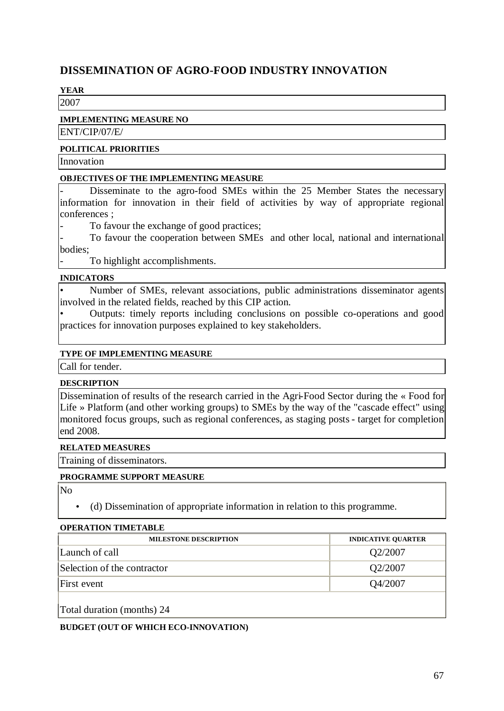# **DISSEMINATION OF AGRO-FOOD INDUSTRY INNOVATION**

# **YEAR**

2007

#### **IMPLEMENTING MEASURE NO**

ENT/CIP/07/E/

#### **POLITICAL PRIORITIES**

Innovation

#### **OBJECTIVES OF THE IMPLEMENTING MEASURE**

Disseminate to the agro-food SMEs within the 25 Member States the necessary information for innovation in their field of activities by way of appropriate regional conferences ;

To favour the exchange of good practices;

To favour the cooperation between SMEs and other local, national and international bodies;

To highlight accomplishments.

#### **INDICATORS**

• Number of SMEs, relevant associations, public administrations disseminator agents involved in the related fields, reached by this CIP action.

• Outputs: timely reports including conclusions on possible co-operations and good practices for innovation purposes explained to key stakeholders.

#### **TYPE OF IMPLEMENTING MEASURE**

Call for tender.

#### **DESCRIPTION**

Dissemination of results of the research carried in the Agri-Food Sector during the « Food for Life » Platform (and other working groups) to SMEs by the way of the "cascade effect" using monitored focus groups, such as regional conferences, as staging posts - target for completion end 2008.

#### **RELATED MEASURES**

Training of disseminators.

#### **PROGRAMME SUPPORT MEASURE**

No

• (d) Dissemination of appropriate information in relation to this programme.

#### **OPERATION TIMETABLE**

| <b>MILESTONE DESCRIPTION</b> | <b>INDICATIVE QUARTER</b> |
|------------------------------|---------------------------|
| Launch of call               | Q2/2007                   |
| Selection of the contractor  | Q2/2007                   |
| First event                  | Q4/2007                   |
|                              |                           |

Total duration (months) 24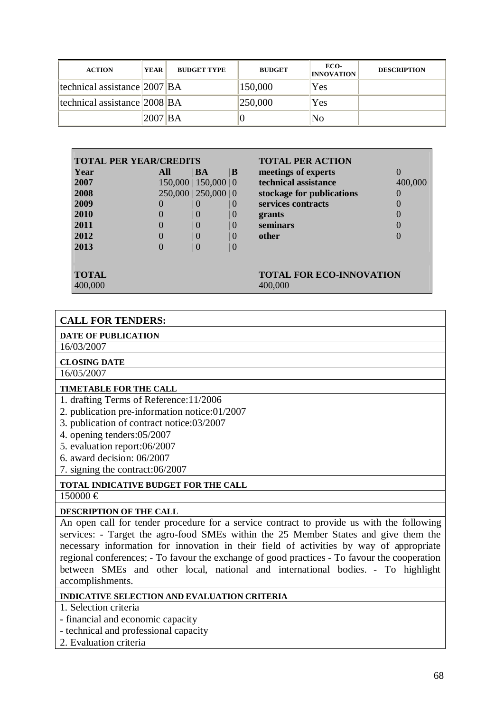| <b>ACTION</b>                       | YEAR      | <b>BUDGET TYPE</b> | <b>BUDGET</b> | ECO-<br><b>INNOVATION</b> | <b>DESCRIPTION</b> |
|-------------------------------------|-----------|--------------------|---------------|---------------------------|--------------------|
| technical assistance $ 2007 BA$     |           |                    | 150,000       | Yes                       |                    |
| $ t$ echnical assistance $ 2008 BA$ |           |                    | 250,000       | Yes                       |                    |
|                                     | $2007$ BA |                    |               | No                        |                    |

| <b>TOTAL PER YEAR/CREDITS</b> |                           |                |                      | <b>TOTAL PER ACTION</b>                    |                  |
|-------------------------------|---------------------------|----------------|----------------------|--------------------------------------------|------------------|
| Year                          | All                       | $\mathbf{B}$   | $\parallel$ <b>B</b> | meetings of experts                        | $\left( \right)$ |
| 2007                          | $150,000$   $150,000$   0 |                |                      | technical assistance                       | 400,000          |
| 2008                          | $250,000$   $250,000$   0 |                |                      | stockage for publications                  |                  |
| 2009                          |                           | $\theta$       | 0                    | services contracts                         |                  |
| 2010                          |                           | $\theta$       | 0                    | grants                                     |                  |
| 2011                          |                           | $\overline{0}$ | 0                    | seminars                                   |                  |
| 2012                          |                           | $\overline{0}$ | $\overline{0}$       | other                                      |                  |
| 2013                          |                           | $\theta$       | ()                   |                                            |                  |
| <b>TOTAL</b><br>400,000       |                           |                |                      | <b>TOTAL FOR ECO-INNOVATION</b><br>400,000 |                  |

### **CALL FOR TENDERS:**

#### **DATE OF PUBLICATION**

16/03/2007

#### **CLOSING DATE**

16/05/2007

#### **TIMETABLE FOR THE CALL**

1. drafting Terms of Reference:11/2006

- 2. publication pre-information notice:01/2007
- 3. publication of contract notice:03/2007
- 4. opening tenders:05/2007
- 5. evaluation report:06/2007
- 6. award decision: 06/2007
- 7. signing the contract:06/2007

#### **TOTAL INDICATIVE BUDGET FOR THE CALL**  $150000 \in$

#### **DESCRIPTION OF THE CALL**

An open call for tender procedure for a service contract to provide us with the following services: - Target the agro-food SMEs within the 25 Member States and give them the necessary information for innovation in their field of activities by way of appropriate regional conferences; - To favour the exchange of good practices - To favour the cooperation between SMEs and other local, national and international bodies. - To highlight accomplishments.

#### **INDICATIVE SELECTION AND EVALUATION CRITERIA**

- 1. Selection criteria
- financial and economic capacity
- technical and professional capacity
- 2. Evaluation criteria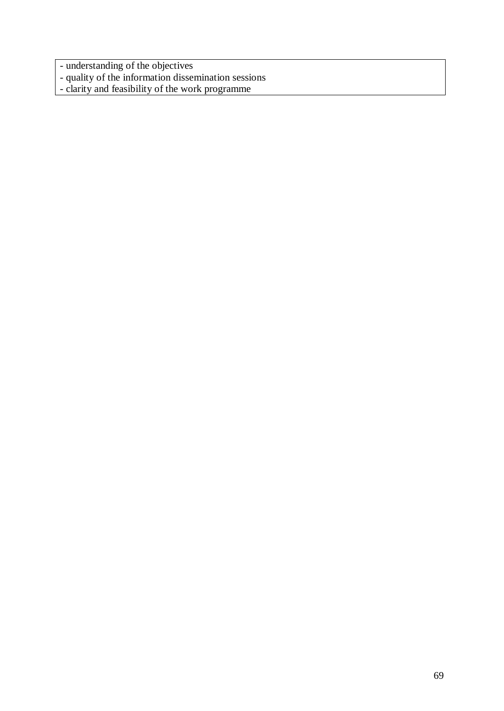- understanding of the objectives
- quality of the information dissemination sessions
- clarity and feasibility of the work programme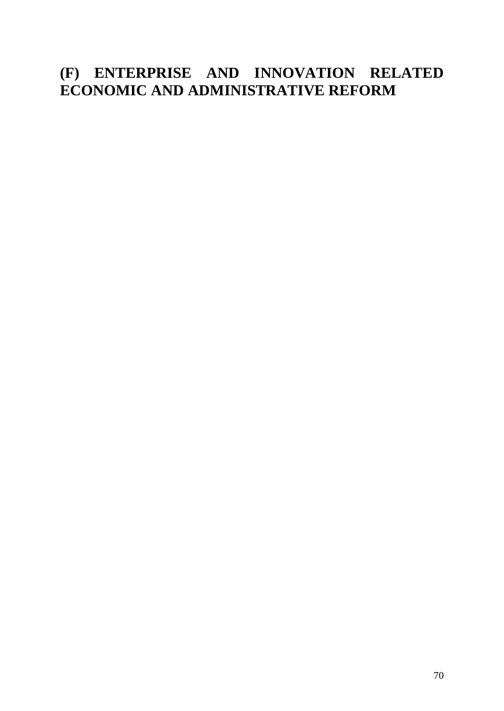# **(F) ENTERPRISE AND INNOVATION RELATED ECONOMIC AND ADMINISTRATIVE REFORM**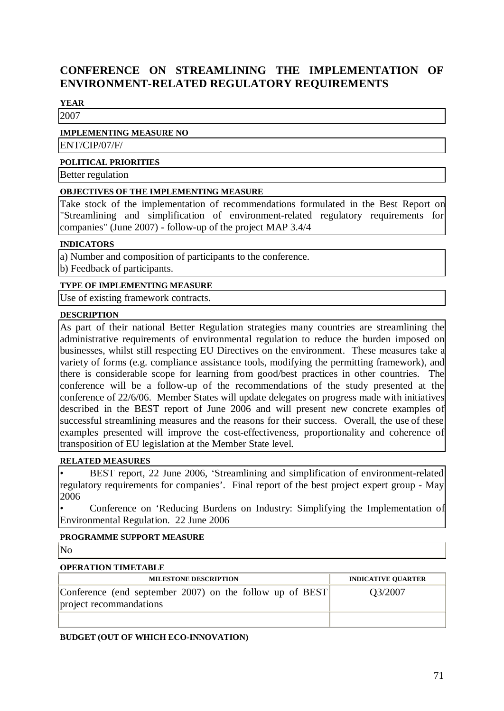# **CONFERENCE ON STREAMLINING THE IMPLEMENTATION OF ENVIRONMENT-RELATED REGULATORY REQUIREMENTS**

#### **YEAR**

2007

#### **IMPLEMENTING MEASURE NO**

ENT/CIP/07/F/

#### **POLITICAL PRIORITIES**

Better regulation

#### **OBJECTIVES OF THE IMPLEMENTING MEASURE**

Take stock of the implementation of recommendations formulated in the Best Report on "Streamlining and simplification of environment-related regulatory requirements for companies" (June 2007) - follow-up of the project MAP 3.4/4

#### **INDICATORS**

a) Number and composition of participants to the conference.

b) Feedback of participants.

#### **TYPE OF IMPLEMENTING MEASURE**

Use of existing framework contracts.

#### **DESCRIPTION**

As part of their national Better Regulation strategies many countries are streamlining the administrative requirements of environmental regulation to reduce the burden imposed on businesses, whilst still respecting EU Directives on the environment. These measures take a variety of forms (e.g. compliance assistance tools, modifying the permitting framework), and there is considerable scope for learning from good/best practices in other countries. The conference will be a follow-up of the recommendations of the study presented at the conference of 22/6/06. Member States will update delegates on progress made with initiatives described in the BEST report of June 2006 and will present new concrete examples of successful streamlining measures and the reasons for their success. Overall, the use of these examples presented will improve the cost-effectiveness, proportionality and coherence of transposition of EU legislation at the Member State level.

#### **RELATED MEASURES**

BEST report, 22 June 2006, 'Streamlining and simplification of environment-related regulatory requirements for companies'. Final report of the best project expert group - May 2006

• Conference on 'Reducing Burdens on Industry: Simplifying the Implementation of Environmental Regulation. 22 June 2006

#### **PROGRAMME SUPPORT MEASURE**

No

#### **OPERATION TIMETABLE**

| <b>MILESTONE DESCRIPTION</b>                                                        | <b>INDICATIVE OUARTER</b> |
|-------------------------------------------------------------------------------------|---------------------------|
| Conference (end september 2007) on the follow up of BEST<br>project recommandations | Q3/2007                   |
|                                                                                     |                           |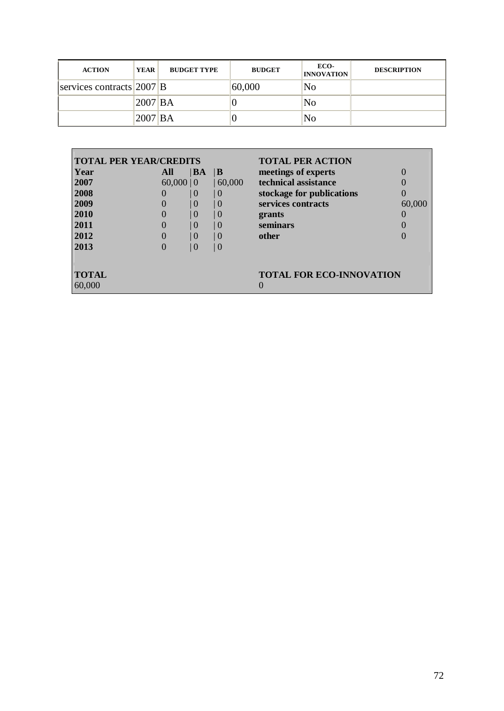| <b>ACTION</b>               | <b>YEAR</b> | <b>BUDGET TYPE</b> | <b>BUDGET</b> | ECO-<br><b>INNOVATION</b> | <b>DESCRIPTION</b> |
|-----------------------------|-------------|--------------------|---------------|---------------------------|--------------------|
| services contracts  2007  B |             |                    | 60,000        | N <sub>0</sub>            |                    |
|                             | 2007 BA     |                    |               | N <sub>0</sub>            |                    |
|                             | 2007 BA     |                    |               | No                        |                    |

| <b>TOTAL PER YEAR/CREDITS</b> |                 |                     |        | <b>TOTAL PER ACTION</b>         |        |
|-------------------------------|-----------------|---------------------|--------|---------------------------------|--------|
| Year                          | All             | BA <br>$\mathbf{B}$ |        | meetings of experts             |        |
| 2007                          | $60,000 \mid 0$ |                     | 60,000 | technical assistance            |        |
| 2008                          |                 | 0<br>  ()           |        | stockage for publications       |        |
| 2009                          |                 | 10<br>0             |        | services contracts              | 60,000 |
| 2010                          |                 | 0<br>$\theta$       |        | grants                          |        |
| 2011                          |                 | $\vert$ ()<br>0     |        | seminars                        |        |
| 2012                          |                 | $\mid$ ()<br>  ()   |        | other                           |        |
| 2013                          |                 | 0<br>  0            |        |                                 |        |
| <b>TOTAL</b><br>60,000        |                 |                     |        | <b>TOTAL FOR ECO-INNOVATION</b> |        |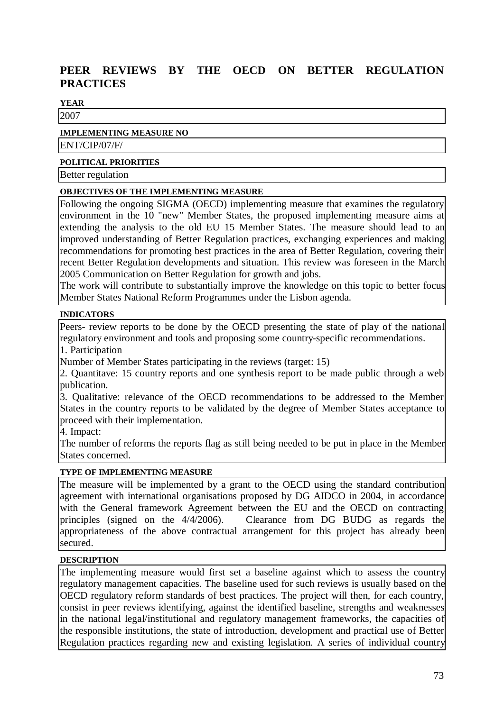# **PEER REVIEWS BY THE OECD ON BETTER REGULATION PRACTICES**

## **YEAR**

2007

### **IMPLEMENTING MEASURE NO**

ENT/CIP/07/F/

#### **POLITICAL PRIORITIES**

Better regulation

### **OBJECTIVES OF THE IMPLEMENTING MEASURE**

Following the ongoing SIGMA (OECD) implementing measure that examines the regulatory environment in the 10 "new" Member States, the proposed implementing measure aims at extending the analysis to the old EU 15 Member States. The measure should lead to an improved understanding of Better Regulation practices, exchanging experiences and making recommendations for promoting best practices in the area of Better Regulation, covering their recent Better Regulation developments and situation. This review was foreseen in the March 2005 Communication on Better Regulation for growth and jobs.

The work will contribute to substantially improve the knowledge on this topic to better focus Member States National Reform Programmes under the Lisbon agenda.

### **INDICATORS**

Peers- review reports to be done by the OECD presenting the state of play of the national regulatory environment and tools and proposing some country-specific recommendations.

1. Participation

Number of Member States participating in the reviews (target: 15)

2. Quantitave: 15 country reports and one synthesis report to be made public through a web publication.

3. Qualitative: relevance of the OECD recommendations to be addressed to the Member States in the country reports to be validated by the degree of Member States acceptance to proceed with their implementation.

4. Impact:

The number of reforms the reports flag as still being needed to be put in place in the Member States concerned.

### **TYPE OF IMPLEMENTING MEASURE**

The measure will be implemented by a grant to the OECD using the standard contribution agreement with international organisations proposed by DG AIDCO in 2004, in accordance with the General framework Agreement between the EU and the OECD on contracting principles (signed on the 4/4/2006). Clearance from DG BUDG as regards the appropriateness of the above contractual arrangement for this project has already been secured.

### **DESCRIPTION**

The implementing measure would first set a baseline against which to assess the country regulatory management capacities. The baseline used for such reviews is usually based on the OECD regulatory reform standards of best practices. The project will then, for each country, consist in peer reviews identifying, against the identified baseline, strengths and weaknesses in the national legal/institutional and regulatory management frameworks, the capacities of the responsible institutions, the state of introduction, development and practical use of Better Regulation practices regarding new and existing legislation. A series of individual country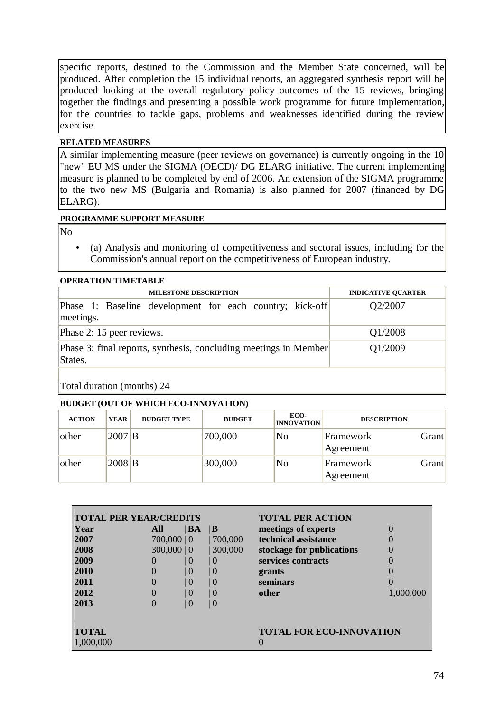specific reports, destined to the Commission and the Member State concerned, will be produced. After completion the 15 individual reports, an aggregated synthesis report will be produced looking at the overall regulatory policy outcomes of the 15 reviews, bringing together the findings and presenting a possible work programme for future implementation, for the countries to tackle gaps, problems and weaknesses identified during the review exercise.

### **RELATED MEASURES**

A similar implementing measure (peer reviews on governance) is currently ongoing in the 10 "new" EU MS under the SIGMA (OECD)/ DG ELARG initiative. The current implementing measure is planned to be completed by end of 2006. An extension of the SIGMA programme to the two new MS (Bulgaria and Romania) is also planned for 2007 (financed by DG ELARG).

### **PROGRAMME SUPPORT MEASURE**

No

• (a) Analysis and monitoring of competitiveness and sectoral issues, including for the Commission's annual report on the competitiveness of European industry.

| <b>OPERATION TIMETABLE</b>                                                  |                           |  |  |  |  |  |  |
|-----------------------------------------------------------------------------|---------------------------|--|--|--|--|--|--|
| <b>MILESTONE DESCRIPTION</b>                                                | <b>INDICATIVE QUARTER</b> |  |  |  |  |  |  |
| Phase 1: Baseline development for each country; kick-off<br>meetings.       | Q2/2007                   |  |  |  |  |  |  |
| Phase 2: 15 peer reviews.                                                   | Q1/2008                   |  |  |  |  |  |  |
| Phase 3: final reports, synthesis, concluding meetings in Member<br>States. | Q1/2009                   |  |  |  |  |  |  |
|                                                                             |                           |  |  |  |  |  |  |

Total duration (months) 24

### **BUDGET (OUT OF WHICH ECO-INNOVATION)**

| <b>ACTION</b> | <b>YEAR</b> | <b>BUDGET TYPE</b> | <b>BUDGET</b> | ECO-<br><b>INNOVATION</b> | <b>DESCRIPTION</b>     |       |
|---------------|-------------|--------------------|---------------|---------------------------|------------------------|-------|
| <b>other</b>  | $2007$ B    |                    | 700,000       | N <sub>o</sub>            | Framework<br>Agreement | Grant |
| <b>other</b>  | $2008$ B    |                    | 300,000       | N <sub>o</sub>            | Framework<br>Agreement | Grant |

| <b>TOTAL PER YEAR/CREDITS</b> |                  |           |                | <b>TOTAL PER ACTION</b>         |           |
|-------------------------------|------------------|-----------|----------------|---------------------------------|-----------|
| Year                          | All              | <b>BA</b> | IВ             | meetings of experts             |           |
| 2007                          | $700,000 \mid 0$ |           | 700,000        | technical assistance            |           |
| 2008                          | 300,000   0      |           | 300,000        | stockage for publications       |           |
| 2009                          | $\mathbf{O}$     | $\theta$  | 0              | services contracts              |           |
| 2010                          |                  | $\Omega$  | $\overline{0}$ | grants                          |           |
| 2011                          |                  | $\theta$  | $\mid$ ()      | seminars                        |           |
| 2012                          |                  | $\Omega$  | $\overline{0}$ | other                           | 1,000,000 |
| 2013                          |                  | $\Omega$  | $\vert$ ()     |                                 |           |
| <b>TOTAL</b><br>1,000,000     |                  |           |                | <b>TOTAL FOR ECO-INNOVATION</b> |           |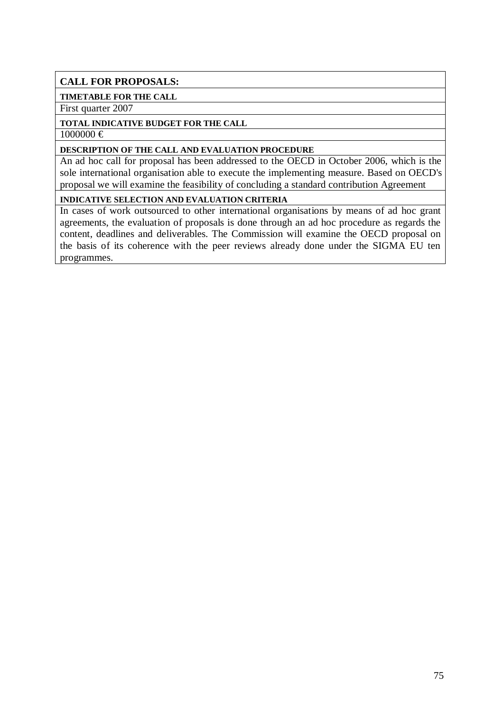## **CALL FOR PROPOSALS:**

### **TIMETABLE FOR THE CALL**

First quarter 2007

# **TOTAL INDICATIVE BUDGET FOR THE CALL**

 $1000000 \in$ 

#### **DESCRIPTION OF THE CALL AND EVALUATION PROCEDURE**

An ad hoc call for proposal has been addressed to the OECD in October 2006, which is the sole international organisation able to execute the implementing measure. Based on OECD's proposal we will examine the feasibility of concluding a standard contribution Agreement

### **INDICATIVE SELECTION AND EVALUATION CRITERIA**

In cases of work outsourced to other international organisations by means of ad hoc grant agreements, the evaluation of proposals is done through an ad hoc procedure as regards the content, deadlines and deliverables. The Commission will examine the OECD proposal on the basis of its coherence with the peer reviews already done under the SIGMA EU ten programmes.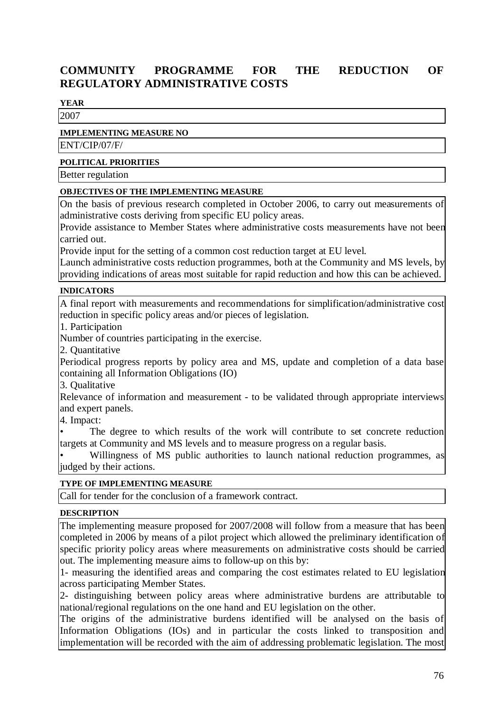# **COMMUNITY PROGRAMME FOR THE REDUCTION OF REGULATORY ADMINISTRATIVE COSTS**

### **YEAR**

2007

### **IMPLEMENTING MEASURE NO**

ENT/CIP/07/F/

### **POLITICAL PRIORITIES**

Better regulation

### **OBJECTIVES OF THE IMPLEMENTING MEASURE**

On the basis of previous research completed in October 2006, to carry out measurements of administrative costs deriving from specific EU policy areas.

Provide assistance to Member States where administrative costs measurements have not been carried out.

Provide input for the setting of a common cost reduction target at EU level.

Launch administrative costs reduction programmes, both at the Community and MS levels, by providing indications of areas most suitable for rapid reduction and how this can be achieved.

### **INDICATORS**

A final report with measurements and recommendations for simplification/administrative cost reduction in specific policy areas and/or pieces of legislation.

1. Participation

Number of countries participating in the exercise.

2. Quantitative

Periodical progress reports by policy area and MS, update and completion of a data base containing all Information Obligations (IO)

3. Qualitative

Relevance of information and measurement - to be validated through appropriate interviews and expert panels.

4. Impact:

The degree to which results of the work will contribute to set concrete reduction targets at Community and MS levels and to measure progress on a regular basis.

Willingness of MS public authorities to launch national reduction programmes, as judged by their actions.

### **TYPE OF IMPLEMENTING MEASURE**

Call for tender for the conclusion of a framework contract.

### **DESCRIPTION**

The implementing measure proposed for 2007/2008 will follow from a measure that has been completed in 2006 by means of a pilot project which allowed the preliminary identification of specific priority policy areas where measurements on administrative costs should be carried out. The implementing measure aims to follow-up on this by:

1- measuring the identified areas and comparing the cost estimates related to EU legislation across participating Member States.

2- distinguishing between policy areas where administrative burdens are attributable to national/regional regulations on the one hand and EU legislation on the other.

The origins of the administrative burdens identified will be analysed on the basis of Information Obligations (IOs) and in particular the costs linked to transposition and implementation will be recorded with the aim of addressing problematic legislation. The most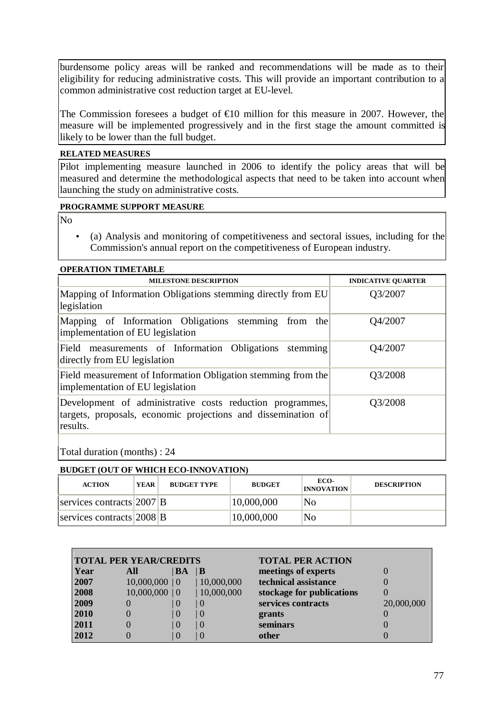burdensome policy areas will be ranked and recommendations will be made as to their eligibility for reducing administrative costs. This will provide an important contribution to a common administrative cost reduction target at EU-level.

The Commission foresees a budget of  $\epsilon 10$  million for this measure in 2007. However, the measure will be implemented progressively and in the first stage the amount committed is likely to be lower than the full budget.

### **RELATED MEASURES**

Pilot implementing measure launched in 2006 to identify the policy areas that will be measured and determine the methodological aspects that need to be taken into account when launching the study on administrative costs.

#### **PROGRAMME SUPPORT MEASURE**

No

• (a) Analysis and monitoring of competitiveness and sectoral issues, including for the Commission's annual report on the competitiveness of European industry.

#### **OPERATION TIMETABLE**

| <b>MILESTONE DESCRIPTION</b>                                                                                                           | <b>INDICATIVE QUARTER</b> |
|----------------------------------------------------------------------------------------------------------------------------------------|---------------------------|
| Mapping of Information Obligations stemming directly from EU<br>legislation                                                            | Q3/2007                   |
| Mapping of Information Obligations<br>stemming<br>from the<br>implementation of EU legislation                                         | Q4/2007                   |
| Field measurements of Information Obligations<br>stemming<br>directly from EU legislation                                              | Q4/2007                   |
| Field measurement of Information Obligation stemming from the<br>implementation of EU legislation                                      | Q3/2008                   |
| Development of administrative costs reduction programmes,<br>targets, proposals, economic projections and dissemination of<br>results. | Q3/2008                   |

Total duration (months) : 24

### **BUDGET (OUT OF WHICH ECO-INNOVATION)**

| <b>ACTION</b>             | <b>YEAR</b> | <b>BUDGET TYPE</b> | <b>BUDGET</b> | ECO-<br><b>INNOVATION</b> | <b>DESCRIPTION</b> |
|---------------------------|-------------|--------------------|---------------|---------------------------|--------------------|
| services contracts 2007 B |             |                    | 10,000,000    | No                        |                    |
| services contracts 2008 B |             |                    | 10,000,000    | No                        |                    |

| <b>TOTAL PER YEAR/CREDITS</b> |     |                  |            | <b>TOTAL PER ACTION</b>   |            |
|-------------------------------|-----|------------------|------------|---------------------------|------------|
| Year                          | All | BA               | B          | meetings of experts       |            |
| 2007                          |     | $10,000,000$   0 | 10,000,000 | technical assistance      |            |
| 2008                          |     | $10,000,000$   0 | 10,000,000 | stockage for publications |            |
| 2009                          |     | ()               |            | services contracts        | 20,000,000 |
| 2010                          |     | ()               |            | grants                    |            |
| 2011                          |     | ()               |            | seminars                  |            |
| 2012                          |     | $\theta$         |            | other                     |            |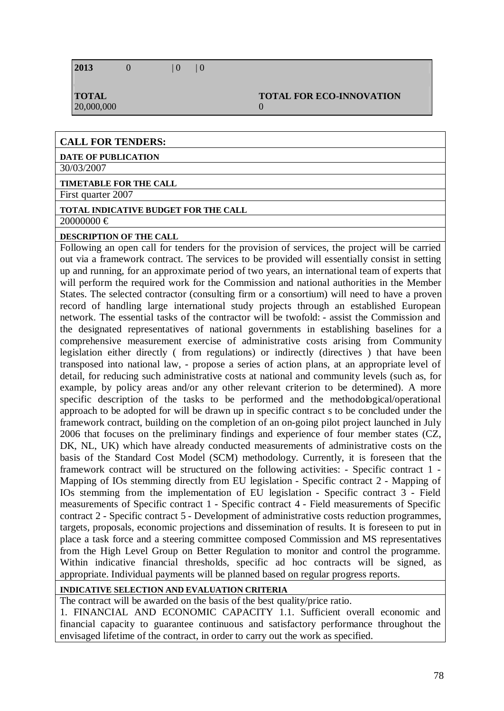$\Omega$ 

# **CALL FOR TENDERS:**

#### **DATE OF PUBLICATION**

30/03/2007

# **TIMETABLE FOR THE CALL**

First quarter 2007

# **TOTAL INDICATIVE BUDGET FOR THE CALL**

# $20000000 \in$

### **DESCRIPTION OF THE CALL**

Following an open call for tenders for the provision of services, the project will be carried out via a framework contract. The services to be provided will essentially consist in setting up and running, for an approximate period of two years, an international team of experts that will perform the required work for the Commission and national authorities in the Member States. The selected contractor (consulting firm or a consortium) will need to have a proven record of handling large international study projects through an established European network. The essential tasks of the contractor will be twofold: - assist the Commission and the designated representatives of national governments in establishing baselines for a comprehensive measurement exercise of administrative costs arising from Community legislation either directly ( from regulations) or indirectly (directives ) that have been transposed into national law, - propose a series of action plans, at an appropriate level of detail, for reducing such administrative costs at national and community levels (such as, for example, by policy areas and/or any other relevant criterion to be determined). A more specific description of the tasks to be performed and the methodological/operational approach to be adopted for will be drawn up in specific contract s to be concluded under the framework contract, building on the completion of an on-going pilot project launched in July 2006 that focuses on the preliminary findings and experience of four member states (CZ, DK, NL, UK) which have already conducted measurements of administrative costs on the basis of the Standard Cost Model (SCM) methodology. Currently, it is foreseen that the framework contract will be structured on the following activities: - Specific contract 1 - Mapping of IOs stemming directly from EU legislation - Specific contract 2 - Mapping of IOs stemming from the implementation of EU legislation - Specific contract 3 - Field measurements of Specific contract 1 - Specific contract 4 - Field measurements of Specific contract 2 - Specific contract 5 - Development of administrative costs reduction programmes, targets, proposals, economic projections and dissemination of results. It is foreseen to put in place a task force and a steering committee composed Commission and MS representatives from the High Level Group on Better Regulation to monitor and control the programme. Within indicative financial thresholds, specific ad hoc contracts will be signed, as appropriate. Individual payments will be planned based on regular progress reports.

# **INDICATIVE SELECTION AND EVALUATION CRITERIA**

The contract will be awarded on the basis of the best quality/price ratio.

1. FINANCIAL AND ECONOMIC CAPACITY 1.1. Sufficient overall economic and financial capacity to guarantee continuous and satisfactory performance throughout the envisaged lifetime of the contract, in order to carry out the work as specified.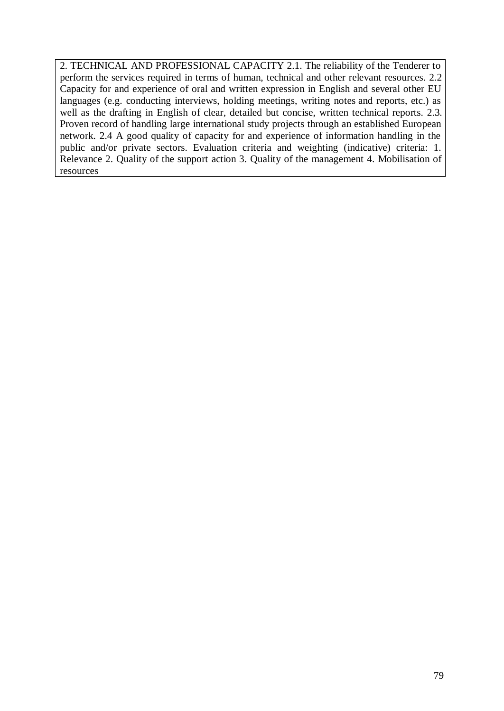2. TECHNICAL AND PROFESSIONAL CAPACITY 2.1. The reliability of the Tenderer to perform the services required in terms of human, technical and other relevant resources. 2.2 Capacity for and experience of oral and written expression in English and several other EU languages (e.g. conducting interviews, holding meetings, writing notes and reports, etc.) as well as the drafting in English of clear, detailed but concise, written technical reports. 2.3. Proven record of handling large international study projects through an established European network. 2.4 A good quality of capacity for and experience of information handling in the public and/or private sectors. Evaluation criteria and weighting (indicative) criteria: 1. Relevance 2. Quality of the support action 3. Quality of the management 4. Mobilisation of resources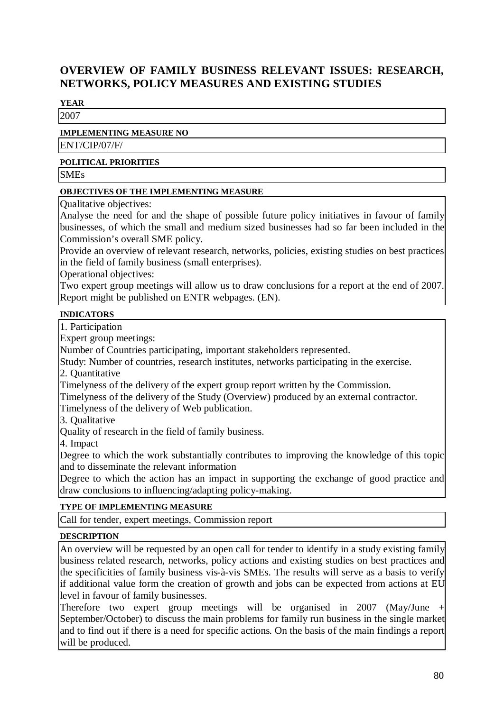# **OVERVIEW OF FAMILY BUSINESS RELEVANT ISSUES: RESEARCH, NETWORKS, POLICY MEASURES AND EXISTING STUDIES**

### **YEAR**

2007

### **IMPLEMENTING MEASURE NO**

ENT/CIP/07/F/

### **POLITICAL PRIORITIES**

**SMEs** 

## **OBJECTIVES OF THE IMPLEMENTING MEASURE**

Qualitative objectives:

Analyse the need for and the shape of possible future policy initiatives in favour of family businesses, of which the small and medium sized businesses had so far been included in the Commission's overall SME policy.

Provide an overview of relevant research, networks, policies, existing studies on best practices in the field of family business (small enterprises).

Operational objectives:

Two expert group meetings will allow us to draw conclusions for a report at the end of 2007. Report might be published on ENTR webpages. (EN).

## **INDICATORS**

1. Participation

Expert group meetings:

Number of Countries participating, important stakeholders represented.

Study: Number of countries, research institutes, networks participating in the exercise.

2. Quantitative

Timelyness of the delivery of the expert group report written by the Commission.

Timelyness of the delivery of the Study (Overview) produced by an external contractor.

Timelyness of the delivery of Web publication.

3. Qualitative

Quality of research in the field of family business.

4. Impact

Degree to which the work substantially contributes to improving the knowledge of this topic and to disseminate the relevant information

Degree to which the action has an impact in supporting the exchange of good practice and draw conclusions to influencing/adapting policy-making.

# **TYPE OF IMPLEMENTING MEASURE**

Call for tender, expert meetings, Commission report

### **DESCRIPTION**

An overview will be requested by an open call for tender to identify in a study existing family business related research, networks, policy actions and existing studies on best practices and the specificities of family business vis-à-vis SMEs. The results will serve as a basis to verify if additional value form the creation of growth and jobs can be expected from actions at EU level in favour of family businesses.

Therefore two expert group meetings will be organised in 2007 (May/June September/October) to discuss the main problems for family run business in the single market and to find out if there is a need for specific actions. On the basis of the main findings a report will be produced.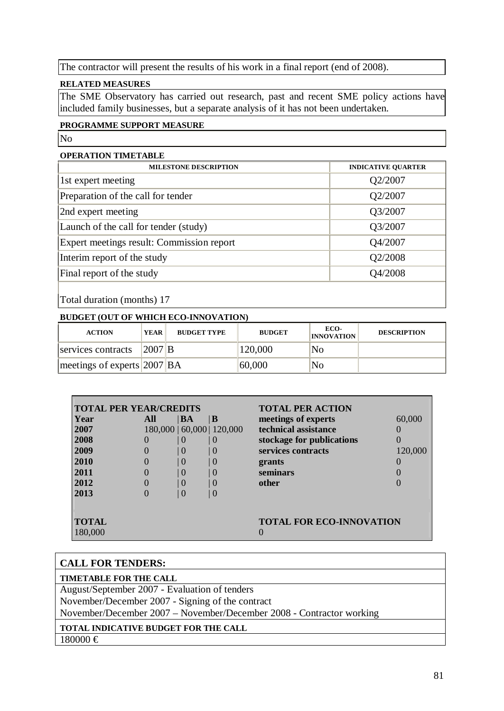The contractor will present the results of his work in a final report (end of 2008).

### **RELATED MEASURES**

The SME Observatory has carried out research, past and recent SME policy actions have included family businesses, but a separate analysis of it has not been undertaken.

## **PROGRAMME SUPPORT MEASURE**

No

### **OPERATION TIMETABLE**

| <b>MILESTONE DESCRIPTION</b>              | <b>INDICATIVE QUARTER</b> |
|-------------------------------------------|---------------------------|
| 1st expert meeting                        | Q2/2007                   |
| Preparation of the call for tender        | Q2/2007                   |
| 2nd expert meeting                        | Q3/2007                   |
| Launch of the call for tender (study)     | Q3/2007                   |
| Expert meetings result: Commission report | Q4/2007                   |
| Interim report of the study               | Q2/2008                   |
| Final report of the study                 | Q4/2008                   |
|                                           |                           |

Total duration (months) 17

## **BUDGET (OUT OF WHICH ECO-INNOVATION)**

| <b>ACTION</b>                  | <b>YEAR</b> | <b>BUDGET TYPE</b> | <b>BUDGET</b> | ECO-<br><b>INNOVATION</b> | <b>DESCRIPTION</b> |  |  |
|--------------------------------|-------------|--------------------|---------------|---------------------------|--------------------|--|--|
| services contracts             | 2007 B      |                    | 120,000       | No                        |                    |  |  |
| meetings of experts $ 2007 BA$ |             |                    | 60,000        | No                        |                    |  |  |

| <b>TOTAL PER YEAR/CREDITS</b> |     |    |                            | <b>TOTAL PER ACTION</b>         |         |
|-------------------------------|-----|----|----------------------------|---------------------------------|---------|
| Year                          | All | BA | $\mathbf{B}$               | meetings of experts             | 60,000  |
| 2007                          |     |    | 180,000   60,000   120,000 | technical assistance            |         |
| 2008                          |     | 0  | $\theta$                   | stockage for publications       |         |
| 2009                          |     | 0  | $\theta$                   | services contracts              | 120,000 |
| 2010                          |     | 0  | $\theta$                   | grants                          |         |
| 2011                          |     | 0  |                            | seminars                        |         |
| 2012                          |     | 0  | $\left($                   | other                           |         |
| 2013                          |     | 0  | $\left($                   |                                 |         |
|                               |     |    |                            |                                 |         |
| <b>TOTAL</b><br>180,000       |     |    |                            | <b>TOTAL FOR ECO-INNOVATION</b> |         |

# **CALL FOR TENDERS:**

# **TIMETABLE FOR THE CALL**

August/September 2007 - Evaluation of tenders

November/December 2007 - Signing of the contract

November/December 2007 – November/December 2008 - Contractor working

# **TOTAL INDICATIVE BUDGET FOR THE CALL**

180000 €